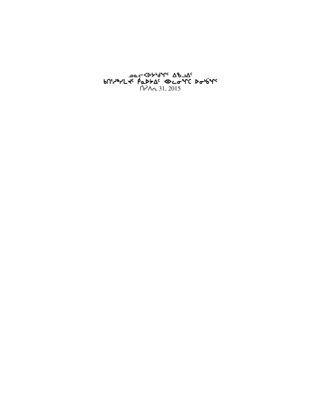# كمد**k**كγم<sup>0</sup>° ∆له∠م مصح bNነሥግረተ የሚንአፈ የአማፈራ አዲስ  $\bigcap$   $\bigcap_{n=1}^{\infty}$  31, 2015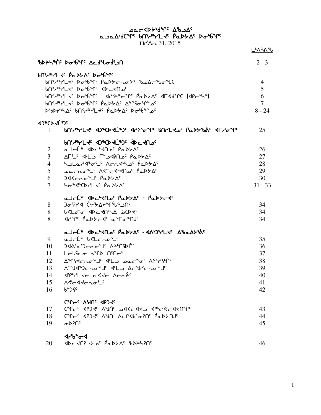and yer the the serve of the control<br>and yer buint the papp of papp of the control<br>and yin 31, 2015

|                                       |                                                                                                                                                                                                                                              | <u> L<sup></sup>አሌልግ</u>                  |
|---------------------------------------|----------------------------------------------------------------------------------------------------------------------------------------------------------------------------------------------------------------------------------------------|-------------------------------------------|
|                                       | <b>ზ</b> ÞAS AÍ PobjY' AcdUod'an                                                                                                                                                                                                             | $2 - 3$                                   |
|                                       | bnidarLts pappAs pappars<br><b>bՈ</b> ՞ᄼᡰჼᅡ᠘᠊ᡕᡏ᠂᠌ᢂᡒᡃᡃ᠖ᢧ᠙᠂ᠹᢆᡆᢂᢣ <i>ᡄ</i> ᠊ᡅᠣᢂ᠋᠅᠂᠍᠍᠖᠘ᡄ᠋ᢥᡁᠣ᠋᠋ᠰᢕ<br>bn Andry Dobine ADC AU OC<br>bneef lapering appropress and the lapers<br>bn Arl de Double Papp As Arrours<br>DBDrhhac bnerkler PaDSAC Dobina | 4<br>5<br>6<br>$\overline{7}$<br>$8 - 24$ |
| <b><d*cd+ligo< b=""></d*cd+ligo<></b> |                                                                                                                                                                                                                                              |                                           |
|                                       | 1 bn: http://www.disposition.com/community/state/state/state/state/                                                                                                                                                                          | 25                                        |
|                                       | PUINALL TO ADACD TEADS ADE TURE                                                                                                                                                                                                              |                                           |
| $\overline{2}$                        | ماحلّه Abc المام Abc باصلهم                                                                                                                                                                                                                  | 26                                        |
| 3                                     | ،∆לאבי היא הרים ב∟י" בי הי                                                                                                                                                                                                                   | 27                                        |
| $\overline{4}$                        | holard of Carbbac Pappac                                                                                                                                                                                                                     | 28                                        |
| 5                                     | ᠊ᢁᡏ᠀᠀᠂᠀ᡊ᠅ᢗᠵ᠙ᡔᢗᢥᢂ᠉᠖᠂᠀ᢆᢁᢣᠫᡊ                                                                                                                                                                                                                    | 29                                        |
| 6                                     | $345c_0c^4$ $s^6c_0c_1c_1$                                                                                                                                                                                                                   | 30                                        |
| $\overline{7}$                        | So <sup>%</sup> CVCDrLtc PaDSAC                                                                                                                                                                                                              | $31 - 33$                                 |
|                                       |                                                                                                                                                                                                                                              |                                           |
| 8                                     | ) <sub>σ</sub> ፡ንረ4 (•ነይል>*Ր*ሁ®⊇በ                                                                                                                                                                                                            | 34                                        |
| 8                                     | <b>L<ld-o <dc<nla="" b="" bcd<c<=""></ld-o></b>                                                                                                                                                                                              | 34                                        |
| 8                                     | <b>Internal Part of Strate Algement</b>                                                                                                                                                                                                      | 34                                        |
|                                       | a Jalin Abcikuse Paptas - Andrial Abadtine                                                                                                                                                                                                   |                                           |
| 9                                     | a Jel <sup>is</sup> leleno <sup>s je</sup>                                                                                                                                                                                                   | 35                                        |
| 10                                    | <b>᠊ᡅ᠕ᠰ᠕᠂ᡫ᠂ᡄᡊᡄ᠀ᡄᠾᡵᢄ</b>                                                                                                                                                                                                                      | 36                                        |
| 11                                    | LELSCO SIPLASAS                                                                                                                                                                                                                              | 37                                        |
| 12                                    | AMSKCRO <sup>&amp;JC</sup> SLL, POCYO <sup>s</sup> VYCYSUC                                                                                                                                                                                   | 38                                        |
| 13                                    | ᠕ <sup>ᅆ</sup> ᠊ᡃᠠᢃᡃᢀ᠆ᡴᠣ <sup>ᡑ</sup> ᠍᠆᠂ᡏᡃᡫ᠍᠘᠂᠘ᡕ᠄᠋ᢥ᠘᠆                                                                                                                                                                                       | 39                                        |
| 14                                    | <b><i>SPHLTO aKTO VCV7C</i></b>                                                                                                                                                                                                              | 40                                        |
| 15                                    | ASCATCLO'S                                                                                                                                                                                                                                   | 41                                        |
| 16                                    | $b^2$ ) $Sc$                                                                                                                                                                                                                                 | 42                                        |
|                                       | CAL <sup>C</sup> C VAUC AbJ <i>AC</i>                                                                                                                                                                                                        |                                           |
| 17                                    | CAL GOS CALS ANUC PPSSES APPSSES                                                                                                                                                                                                             | 43                                        |
| 18                                    | ל״ך- <sup>כ</sup> PP)ל <sup>כ</sup> A'JA בבר Ab*ס־Cף Pב4 אים                                                                                                                                                                                 | 44                                        |
| 19                                    | $\sigma$ <sub>D</sub> <sub>2</sub>                                                                                                                                                                                                           | 45                                        |
|                                       | <b><br/> 4rb of d</b>                                                                                                                                                                                                                        |                                           |
|                                       |                                                                                                                                                                                                                                              |                                           |

46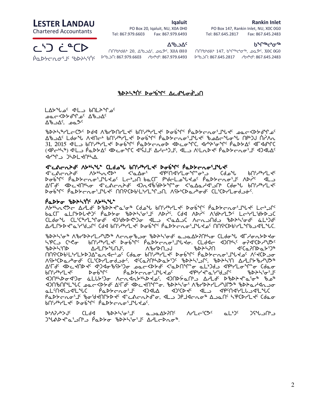#### Rankin Inlet

## Iqaluit

PO Box 147, Rankin Inlet, NU, X0C 0G0 Tel: 867.645.2817 Fax: 867.645.2483

#### **Ხ**Ზᢕ<sup>ᠷ</sup>Ⴉ

ᑎᑎᖃᒃᑯᕕᒃ 20, ᐃᖃᓗᐃᑦ, ᓄᓇᕗᑦ, X0A 0H0 ᑎᑎᖃᒃᑯᕕᒃ 147, ᑲᖏᕐᒃᖠᓂᕐᒃ, ᓄᓇᕗᑦ, X0C 0G0

PO Box 20, Iqaluit, NU, X0A 0H0 Tel: 867.979.6603 Fax: 867.979.6493

#### ∆ڄظ∙∆

LESTER LANDAU

Chartered Accountants

# ᓚᔅᑐ ᓛᓐᑕᐅ

ᑮᓇᐅᔭᓕᕆᓂᕐᒧᑦ ᖃᐅᔨᓴᕐᑏᑦ ᐅᖃᓘᑎ: 867.979.6603 ᓱᑲᔪᒃᑯᑦ: 867.979.6493 ᐅᖃᓘᑎ: 867.645.2817 ᓱᑲᔪᒃᑯᑦ: 867.645.2483

# <u>ზDASANE Dobine Acdu</u>odian

LAS Use C 4L D 60LAM DC ∆د م\^ل م∩^ل حاكت مصح  $\Delta^{6}$ ەمى $\Delta^{6}$ 

csphays and the basisty weight was about the California signal site of the control of the control of the contro  $\Delta^2$ لامكاد لـ المحاربة المائمة الـراحة المائمة التاريخة بالمكاحمة عاملة المجلس المبلكة المجلس  $31, 2015$   $4^L$  bn  $7^m$   $1^m$   $8^m$   $9^m$   $9^m$   $9^m$   $9^m$   $9^m$   $9^m$   $1^m$   $1^m$   $1^m$   $1^m$   $1^m$   $1^m$   $1^m$   $1^m$   $1^m$   $1^m$   $1^m$   $1^m$   $1^m$   $1^m$   $1^m$   $1^m$   $1^m$   $1^m$   $1^m$   $1^m$   $1^m$   $1^m$   $1^m$   $1^m$   $1^$ (xro4n6) x7ml `rNs/w5 xsMiqb x3`CAj5 who4gj5, xml W7mEsJ5 `rNs/oEi3j5 xgxZw5  $4r^2$  $352L$ 

# d-cacrad attal cldow bnidalte bobys pabtcroilles

ketakana ye boliyarlar xidabi karakana dada yan dan boliyarlar xida da aktif kesta da da da da da da da da da situqta<sup>r p</sup>alitional iraqda `rakitionalitionalitionalitionalitionalitionalitionalitionalitionalitio A'Fd' ৰা বাৰিক বাৰ্টিক বিদ্যা বিদ্যা সমূহ বাৰ্ট-বাৰ্ট-বাৰ্ট-A' A' Juki XII XII A' أخرف<sup>م</sup>19 `Pad CityChef'S The MAYCAb'L'+/L'\*rم תר ASP'Cldal AbdyCltubash Clt

## PaDSo BDASTIC ASHSU"

W- የአማሪ ያንጋል የተመረኛ አንዱ የተመረሰው የበነት የተመረሰው የተመረሰው የተመረሰው አይልል።<br>ለአየት የአመረሰው አይልል የተመረሰው የተመረሰው የተመረሰው የተመረሰው የተመረሰው baCL aLLYDL + PC POSS "PDAS's"JC VD PC COS VD PC VORYLI C-PLIGAD bb3b<sup>3</sup>ymqif3 xjdam3b6y3mqi xidam3b6° xidam3b6° xlb3d<sup>c</sup> c ልዝLቦኦኦ<del>ላ</del>\*ፊነረየግራ ርየ4 የሀኒ<sub>ነ</sub>»ኣΓሩ ኦ<u>Գየ<sub>ላ</sub>ሌ የማን</u>ራ ማንጋፊሚሚሊያል ሀሀራውን ፈጠ*ብ*ር

rsp>\`o`` ^`b\D\\L\`J`` ^c^a`bلo` `bb\\`qd` a\_add\?N`\o` CLdo`\ <randb hp() ( لاح - المالية الحر المالية الأصلي المالية المستقامة المستقامة المستقامة المستقامة المستقامة ا cspn3ts whmQ/ztA5, WcystlA cspnDt x5bNDtsN/3g6 oc Cda bhide babar que popula a papper de la capis de Casa WG+CDa Abods CLSCD ALGO-JOS 4SCaPN4Da + 10 \$DAAS\_OS, \$DAASA ΔALC+\$AVJD\$ Aلاح <br /> الحاجة المالكة المحاجة المستخركة المستخرج محاجم المستخرج مع المستخرج المستخرج المستخرج المستخرج ال  $\partial^2 \mathcal{A}$  $\Delta$ q)Ոʰ\Þσ<lˤ)σ àLl♭ˤ)σ Λση<lλ♭ʰ\Þd٥ˤ, <lλΡ♭αΠʰ Δ/Ldˤ ÞჼbÞት≺ʰaˤσ\* ჼbΔ\* Xaliam Calctoty And Marton Stock Carton Alcton Alctoty Stock ملا Claric Antibution and Lans are the Claric Alta Claric Alternation and the Claric Alternation and the Clari raphtoris bobtanthy of alamata, all pridence alam sport of clash of the construction of the construction of the construction of the construction of the construction of the con

s4WDh4SA5 bmfx cspn3i3j5 NlNw/Dt5 Wymo3bK5 Nm4g5 gCzlt4l  $2^{\omega}$ UAD  $\zeta^*a^{\omega}$ JN: PaDbo BDAS $\zeta^*a^{\omega}$ Is AAL oper.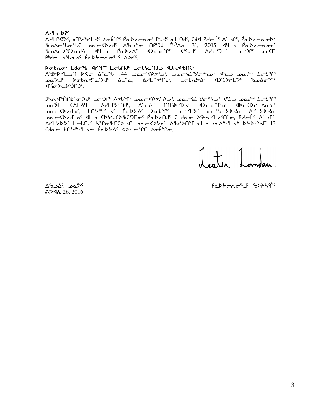## **A** - D<sub>25</sub>

Δ/LՐ ? , bՈነ/ "/L τ Dσύ "Γ Ρα D τησί "ι τ ε Lι Jd, Cd P ι τ ί Λ΄ υΓ, Ρα D τησι Σ bedr to the car the distinct of the same of the second the second the second that the second the second that t ᠍᠍᠍᠍᠊᠍ᡃᠥᡌᠲ᠖ᡆᢂ᠂᠐᠂᠐ᡁᡉ᠑ᢣ᠓ᡬ᠂᠀ᢢᡄ᠑ᡕᢄ᠃᠑ᢢᡳ᠑ᡱ᠂᠘ᢣᡉ᠑ᢪ᠂᠐ᠷᢗ᠓ Pude Lands Paptenois Apple.

# Dobno' Ldo'l 42m LcLNJ LcLScNJ 4)n4bNC

Λ'd>DrLJN D<σ Δ'c " 144 ρατ'<D>'ρ', ρατ' "Jσ" λρ' <1L ρατ' Lτι'' **ـ**موكّـا<sup>د</sup> للمعلم المسلم المسلم المسلم المسلم المسلم المسلم المسلم المسلم المسلم المسلم المسلم المس Ϥჼ<sup>ϳ</sup>ϭ·ϷϲϷ·ϿႶϽʹͺ

᠑ᢣ᠋ᠬ᠊ᡏᡃᢥ᠒ᡰᢐ᠆ᢐ᠈ᠮ᠘ᡕ᠆ᡃ᠑ᡗ<sup>ᡕ</sup>᠕ᡃᠵᡁᢩᠰ*᠂ᡆᡄ᠆ᡐᢣ᠌᠌᠌ᢇᡐᠶ᠂ᡂᡄᡏᡠ᠊ᡟᡃᡂ᠍ᠰ᠕ᠴ᠅ᡆᡄ᠅᠘ᠵᡶ᠍ᡃᢚ<br>ᢅᡆ*᠔ᠮᢇ᠌ᡎ᠘ᡌᡌᡵᢔ᠂᠘᠕᠘᠘ᡃᢞ᠓ᡃᡪ᠂᠕ᢣᡄᡝᢈ᠂᠓᠓ᢂᢣᢂᡕ᠅᠂᠗ᡃ᠘ᡉ᠅᠂᠗ᢄ᠆᠂᠗ᢄ᠆᠘ᢂᢄ ArLYDS<sup>C</sup> LEUNG SYGBACD DOCKDYd<sup>c</sup>, ABrDAY JJ QJQABRLK DBDRUL 13 Cdaσ bnid "PL do PaDbA" <DcomC Dobino.

Lester Landau.

 $\Delta^{6}$ סם,  $\Delta^{c}$ ב ለን ላሊ 26, 2016 Paddero+Je 8DAS100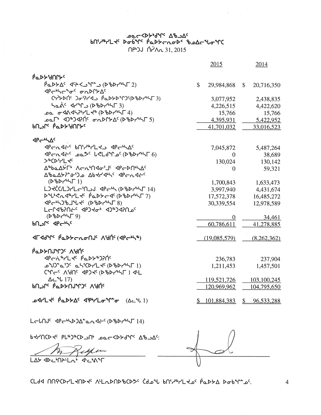$P$ <<br/> AUCD <<br/>c PL <br/>PLP <<br/>DPLP <<br/>DPLP <<br/>  $\Delta P$ LAS <DCMALLni ⊲้ ⊂ ้ง^Г

L CLNJ<sup>C</sup> <P C & D 2 C a A < C < C & D P & T 4)

|                                                                                                        |                | 2015                         | 2014                 |
|--------------------------------------------------------------------------------------------------------|----------------|------------------------------|----------------------|
| ₽ <sup>Q</sup> P≻{JUL}                                                                                 |                |                              |                      |
| $\overline{P}$ $\Delta P$ $\Delta C$ $\Delta P$ $\Delta C$ $\Delta P$ $\Delta P$ $\Delta C$ $\Delta P$ | $\mathbb{S}^-$ | 29,984,868 \$                | 20,716,350           |
| <b>⊲</b> ฅᡄᡃᡰᡪᡄ᠋᠍ᢥᠣ <sup>ᢈ</sup> ᠂ᡒ᠘ᢂᡗᢣ᠘                                                               |                |                              |                      |
| Ch'77DNC Jo9741 PaD7D9066D75573)                                                                       |                | 3,077,952                    | 2,438,835            |
| had <sup>c</sup> 4r <sup>2</sup> r (DbDr <sup>6</sup> hr 3)                                            |                | 4,226,515                    | 4,422,620            |
| <b>᠊ᠣ᠌ᢁ᠆ᡏ᠙᠀ᡕᢋ᠀᠂᠘᠀᠆ᡉ᠂᠆᠑ᢒ</b>                                                                            |                | 15,766                       | 15,766               |
| ᠊ᠣ᠌ᡅ᠌ᡗᡃ᠂᠂ᢦ᠑ᢞ᠑ᢦ᠌᠌ᡍ᠒ᠻ᠂ᡒ᠘ᢂᡗᢣ᠘ᠻ᠂᠒᠖ᡃ᠖ᢂᢣ᠅ᡃᡪ᠌᠖᠋                                                               |                | 4,395,931                    | 5,422,952            |
| ₧₧₹₽₽₽₽₩₽₽                                                                                             |                | 41,701,032                   | 33,016,523           |
|                                                                                                        |                |                              |                      |
| $4P - bL$                                                                                              |                |                              |                      |
| PCASE bn'th'Lta PC+LAC                                                                                 |                | 7,045,872                    | 5,487,264            |
| $\langle 0 \rangle$ לויאלאס (גלבור ה-CLd (לוואריאך $(0 \rangle$                                        |                | $\Omega$                     | 38,689               |
| <b>&gt;&amp;CD&amp;LFC</b>                                                                             |                | 130,024                      | 130,142              |
| Δ <sup>®</sup> baΔΥΓ <sup>6</sup> Λσα <sup>6</sup> ΠΔσεΙ <sup>ς</sup> ΔΡσΡΠΕΔΩ                         |                | $\mathbf{0}$                 | 59,321               |
| ΔbaΔb?" σ') a Δb dd dd C qp c n d c c                                                                  |                |                              |                      |
| $(P^6D P^6T 1)$                                                                                        |                | 1,700,843                    | 1,633,473            |
| LJKCC/LJTLC'N JJ APC <sup>6</sup> N (D'bDr' <sup>6</sup> NF 14)                                        |                | 3,997,940                    | 4,431,674            |
| $D^4U^6C\cap C^6V^1LC^6$ $\beta$ a $D$ bc $C^6$ ( $D^6DV^6V^7$ )                                       |                | 17,572,378                   | 16,485,272           |
|                                                                                                        |                | 30,339,554                   | 12,978,589           |
| LCC4b2Nt <sup>c</sup> 4PJ tot 4J \$J42N of                                                             |                |                              |                      |
| $(P^6D^{\prime\prime}N\Gamma 9)$                                                                       |                | $\Omega$                     | 34,461               |
| <b>bn Jrc</b> AP <sub>C</sub> bLc                                                                      |                | 60,786,611                   | 41,278,885           |
|                                                                                                        |                |                              |                      |
| JFJd <sup>a</sup> r <sup>c</sup> PadtcronJc Adnc (JPchfa)                                              |                | (19,085,579)                 | (8,262,362)          |
| <u>ΡάΡΑυγλος</u> VAU <sub>c</sub>                                                                      |                |                              |                      |
| <b><pc+x+ b="" l+c="" pady+)?nc<=""></pc+x+></b>                                                       |                | 236,783                      |                      |
|                                                                                                        |                | 1,211,453                    | 237,904<br>1,457,501 |
|                                                                                                        |                |                              |                      |
| ∆د 1⁄2 17)                                                                                             |                | 119,521,726                  | 103,100,245          |
| <b>PUSLC POPAULLAGE</b>                                                                                |                | 120,969,962                  | 104,795,650          |
|                                                                                                        |                |                              |                      |
| <b>ArL + Padba &lt; PorLo + C (Ac + 1)</b>                                                             |                | $$101,884,383$ $$96,533,288$ |                      |
|                                                                                                        |                |                              |                      |

᠔ᡄ᠆᠀ᢣᡃᢐᢞᢪ᠂᠘ᢞᢣᠴᢩᢁ<br>᠗ᡤ᠆ᢞᠠ᠆ᢣ᠘ᢍ᠅ᢇᡪ᠍ᡰᡆ᠉ᡝ᠅ᢙᢀ᠂ᢣᠴᡰᡪ᠌ᢝ᠕᠈ᡫ በቦ•ጋJ ሰሶለ<sub>ባ</sub> 31, 2015

 $\overline{4}$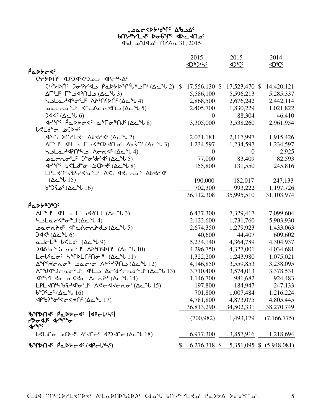# ,مص⊂≺4حمر 7&° *A*c የሀ<sub>ላም</sub>ኒ୮ሩ ኦዑየ<sub>ታራ</sub> ላኦ<sup>⊂</sup>≺ሀን<sub>с</sub>

 $31, 2015$   $31, 2015$ 

|                                                                                                                                                                                                                                                                                                                                                                  | 2015                       | 2015                                        | 2014                      |
|------------------------------------------------------------------------------------------------------------------------------------------------------------------------------------------------------------------------------------------------------------------------------------------------------------------------------------------------------------------|----------------------------|---------------------------------------------|---------------------------|
|                                                                                                                                                                                                                                                                                                                                                                  | <b><d>9&gt;5&lt;10</d></b> | <br><u><br/> &lt;&lt;</u>                   | <br><u><br/> &lt;&lt;</u> |
| PaDYC J                                                                                                                                                                                                                                                                                                                                                          |                            |                                             |                           |
| ChiPDUC COCOSTO CHIPPING                                                                                                                                                                                                                                                                                                                                         |                            |                                             |                           |
| Ch'7>DN' Joi714, PaD>Din'il" -N' (Acil)                                                                                                                                                                                                                                                                                                                          | 17,556,130 \$<br>S         | 17,523,470 \$                               | 14,420,121                |
|                                                                                                                                                                                                                                                                                                                                                                  | 5,586,100                  | 5,596,213                                   | 5,285,337                 |
| ᡃᡪ᠌᠘᠘᠘ᠰᢀ᠋ᡉ᠄᠋᠂᠕ᢣᡃ᠓ᡩᡅ᠒᠙ᢉ᠘ᡄ᠆ᡶ᠘᠄                                                                                                                                                                                                                                                                                                                                     | 2,868,500                  | 2,676,242                                   | 2,442,114                 |
| $\Delta \sim \Delta \sim 5$ (ל ל־כלורת לו $\Delta \sim \Delta \sim 5$                                                                                                                                                                                                                                                                                            | 2,405,700                  | 1,830,229                                   | 1,021,822                 |
| $745^{\circ}$ ( $\Delta\epsilon^{\circ}$ 6)                                                                                                                                                                                                                                                                                                                      | $\Omega$                   | 88,304                                      | 46,410                    |
| $47^{\circ}$ Pabbes and $\sigma^{\circ}$ Depart $8$ )                                                                                                                                                                                                                                                                                                            | 3,305,000                  | 3,538,260                                   | 2,961,954                 |
| <b>L<ld<sup>eo</ld<sup></b> b<br>CD <c< td=""><td></td><td></td><td></td></c<>                                                                                                                                                                                                                                                                                   |                            |                                             |                           |
| <b>JAP-DAPL+4 Ab+P+46 (AC+L2)</b>                                                                                                                                                                                                                                                                                                                                | 2,031,181                  | 2,117,997                                   | 1,915,426                 |
| AL'I' J'HU JEJJAºCDRNIC AbRINº (ACJU 3)                                                                                                                                                                                                                                                                                                                          | 1,234,597                  | 1,234,597                                   | 1,234,597                 |
| Acn <4 (Δc = 4) مكان Acn <4 (Δc = 4)                                                                                                                                                                                                                                                                                                                             | $\mathbf{0}$               | $\mathbf{0}$                                | 2,925                     |
| $\text{per}_1(\Delta \subset \mathcal{N})$ - $\text{per}_2(\Delta \subset \mathcal{N})$                                                                                                                                                                                                                                                                          | 77,000                     | 83,409                                      | 82,593                    |
| $d^2\gamma^c$ $d^2\gamma^c$ $d^2\gamma^c$ $d^2\gamma^c$ $d^2\gamma^c$ $d^2\gamma^c$                                                                                                                                                                                                                                                                              | 155,800                    | 131,550                                     | 245,816                   |
| LPL <nlbsddigili abdda<="" accddcngi="" td=""><td></td><td></td><td></td></nlbsddigili>                                                                                                                                                                                                                                                                          |                            |                                             |                           |
| $(\Delta \subset \sim 15)$                                                                                                                                                                                                                                                                                                                                       | 190,000                    | 182,017                                     | 247,133                   |
| 5° (∆د_∿ل 16)                                                                                                                                                                                                                                                                                                                                                    | 702,300                    | 993,222                                     | 1,197,726                 |
|                                                                                                                                                                                                                                                                                                                                                                  | 36,112,308                 | 35,995,510                                  | 31,103,974                |
| <b>PaDY&amp;J&amp;Jc</b>                                                                                                                                                                                                                                                                                                                                         |                            |                                             |                           |
| $\Delta \Gamma^*$ الكر T حــالله $\Gamma$ لاك كل $\Delta \Gamma^*$ (د سال                                                                                                                                                                                                                                                                                        | 6,437,300                  | 7,329,417                                   | 7,099,604                 |
| <b>S</b> SLa Ad <sup>&amp;</sup> o & J (Ac U 4)                                                                                                                                                                                                                                                                                                                  | 2,122,600                  | 1,731,760                                   | 5,903,930                 |
|                                                                                                                                                                                                                                                                                                                                                                  | 2,674,350                  | 1,279,923                                   | 1,433,063                 |
| $34<^{\circ}$ ( $\Delta\subset^{\circ}$ ل 6)                                                                                                                                                                                                                                                                                                                     | 40,600                     | 44,407                                      | 609,602                   |
| $a$ J $\subset$ L <sup>4</sup> $b$ <ld<math>c (<math>\Delta</math><math>c</math><math>\sim</math>U<math>b</math>)</ld<math>                                                                                                                                                                                                                                      | 5,234,140                  | 4,364,789                                   | 4,304,937                 |
| $340$ ' $\alpha$ '' $300$ ' $\alpha$ o' $1$ '' $\Lambda$ ' $\Lambda$ l $\Lambda$ l' $\Lambda$ ' $\Lambda$                                                                                                                                                                                                                                                        | 4,296,750                  | 4,327,001                                   | 4,034,681                 |
| LELSCOC KIPDLNSNO \$ (ACLU1)                                                                                                                                                                                                                                                                                                                                     | 1,322,200                  | 1,243,980                                   | 1,075,021                 |
| $\Delta^4$ M $\Delta^4$ $\Delta^2$ $\Delta^4$ $\Delta^5$ $\Delta^6$ $\Delta^7$ $\Delta^8$ $\Delta^8$ $\Delta^8$ $\Delta^9$ $\Delta^9$ $\Delta^8$ $\Delta^9$ $\Delta^9$ $\Delta^9$ $\Delta^9$ $\Delta^9$ $\Delta^9$ $\Delta^9$ $\Delta^9$ $\Delta^9$ $\Delta^9$ $\Delta^9$ $\Delta^9$ $\Delta^9$ $\Delta^9$ $\Delta^9$ $\Delta^9$ $\Delta^9$ $\Delta^9$ $\Delta^$ | 4,146,850                  | 3,559,853                                   | 3,238,095                 |
| Λ <sup>ερ</sup> 13) - Λσ <sup>4</sup> 1 <sup>6</sup> 4 L 2 Δ τ΄ 4 Υ τη σ <sup>4</sup> 1 <sup>6</sup> (Δ τ΄ 4 13)                                                                                                                                                                                                                                                 | 3,710,400                  | 3,574,013                                   | 3,378,531                 |
| <i>Δ</i> ριγμεσ α<εσ Λσπρ <sup>ι</sup> (Δειμ14)                                                                                                                                                                                                                                                                                                                  | 1,146,700                  | 981,682                                     | 924,483                   |
| LPLKN4\bSdd'ofJ' ACcddcno' (Ac"l 15)                                                                                                                                                                                                                                                                                                                             | 197,800                    | 184,947                                     | 247,133                   |
| $b^{\circ}$ مكا $^{c}$ ( $\Delta c^{\circ}$ ل $\downarrow$ 16                                                                                                                                                                                                                                                                                                    | 701,800                    | 1,007,484                                   | 1,216,224                 |
| <0" ש <sup>2</sup> לף של ה-4 לח <sup>2</sup> (ב-1/ 17)                                                                                                                                                                                                                                                                                                           | 4,781,800                  | 4,873,075                                   | 4,805,445                 |
|                                                                                                                                                                                                                                                                                                                                                                  | 36,813,290                 | 34,502,331                                  | 38,270,749                |
| BYDNY PaDYCAS (APCLILS)                                                                                                                                                                                                                                                                                                                                          | (700, 982)                 |                                             |                           |
| <b>7&gt;<sub>0</sub>-4J' 4r'm</b> -0                                                                                                                                                                                                                                                                                                                             |                            | <u>1,493,179</u>                            | (7,166,775)               |
| $4r^{\prime}$                                                                                                                                                                                                                                                                                                                                                    |                            |                                             |                           |
| L <ld- (ac="" +="" +n="" 0="" 18)<="" 4p3="" actn="" jcb="" td=""><td>6,977,300</td><td>3,857,916</td><td>1,218,694</td></ld->                                                                                                                                                                                                                                   | 6,977,300                  | 3,857,916                                   | 1,218,694                 |
| BYPAC PaDYCDF ( <pcll)< td=""><td>\$</td><td><math>6,276,318</math> \$ <math>5,351,095</math> \$ <math>(5,948,081)</math></td><td></td></pcll)<>                                                                                                                                                                                                                 | \$                         | $6,276,318$ \$ $5,351,095$ \$ $(5,948,081)$ |                           |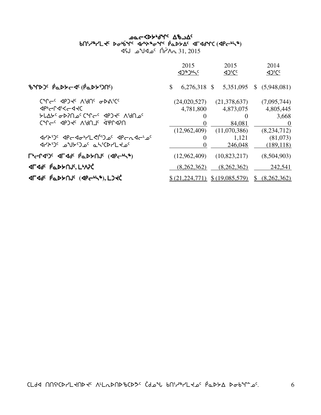# Aد−Moyor Work work vt3h6ymJ5 vt3h6ymJ5si4`vq5 xy4p6iq5 `rNs/w5 xuxfqb si4`vq5 xy4p6iq5 `rNs/w5 xuxfqb **(**xro4n6**)**  145 ـ 1k<sup>2</sup>م ∕`n<sup>\</sup> 1<sub>Ω</sub>^ 1, 2015

|                                                                                            | 2015<br>$(1)^n$                 | 2015<br><b>ADSCC</b>                  | 2014<br><b>AD<sub>i</sub>Cc</b>   |
|--------------------------------------------------------------------------------------------|---------------------------------|---------------------------------------|-----------------------------------|
| BYPD' PaDYC- (PaDYDN')                                                                     | $\mathcal{S}$<br>$6,276,318$ \$ | 5,351,095                             | \$ (5,948,081)                    |
| CAL <sup>C</sup> C AbJAC VAUC <del>O</del> DVICC<br><b>ን የህልም ን አርቁር የ</b> ትርና ላይጋት ለምህት የ | (24,020,527)<br>4,781,800       | (21,378,637)<br>4,873,075<br>$\theta$ | (7,095,744)<br>4,805,445<br>3,668 |
|                                                                                            | (12,962,409)                    | 84,081<br>(11,070,386)                | $\theta$<br>(8,234,712)           |
| <b>PCAPS CONTROVING APCAPTS</b><br>JYAUC 20YOC aLSCALLLaC                                  | $\theta$                        | 1,121<br>246,048                      | (81,073)<br>(189, 118)            |
| <b>T'-14')' 4544' PaDSNJ' (4Pc-14")</b>                                                    | (12,962,409)                    | (10,823,217)                          | (8,504,903)                       |
| <b>AFAde PaDSAJE, LIAPC</b>                                                                | (8,262,362)                     | (8,262,362)                           | 242,541                           |
| <b>ALAGE PODEUTE (APCOLA), LIKE</b>                                                        | \$ (21,224,771)                 | \$(19,085,579)                        | (8,262,362)<br>\$                 |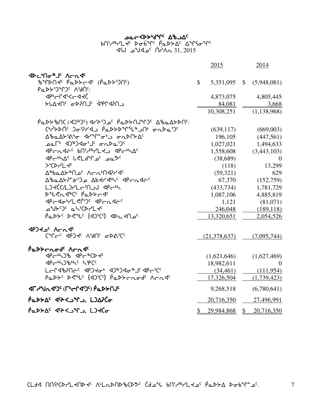# كمد**k**ك−<b⊁•ط^r^ ∆مك bበՙሥት/LՎՙ ኦԺb<sup>ኣ</sup>Րՙ ሶ໋⊾ኦታΔՙ ∆<sub>፝</sub>ዣናԺዣՙ  $\sim$ CA 31, 2015 - أ $\sim$ ك $\sim$  31, 2015

|                                                                                              |              | 2015         | 2014                     |
|----------------------------------------------------------------------------------------------|--------------|--------------|--------------------------|
|                                                                                              |              |              |                          |
| BYDNY <sup>c</sup> Paddc4 <sup>c</sup> (Padd5)NS)                                            | $\mathbb{S}$ |              | 5,351,095 \$ (5,948,081) |
| <u>የ</u> Φኦታንግን <sup>ς</sup> ለነብር:                                                           |              |              |                          |
| <b>くっとしつぐん</b>                                                                               |              | 4,873,075    | 4,805,445                |
| <u>ትቦፖሩሀ<math>\epsilon</math> Գኦ}ሀገ<math>\epsilon</math> ‹‹ኤሁረ}ሀገ</u>                        |              | 84,081       | 3,668                    |
|                                                                                              |              | 10,308,251   | (1, 138, 968)            |
| <u>ΡάΡΣΡΜΟ</u> (ΑΙΡΟ) ΑΓΆΩΔΟ ΡάΡΣΟΛΑΛΟ ΔΡάΔΣΡΟΥ:                                             |              |              |                          |
| <b>CHARRY JOPALE PEDSPAREDA CHARRY</b>                                                       |              | (639, 117)   | (669,003)                |
|                                                                                              |              | 196,105      | (447, 561)               |
| ഛ∟, ∢ാ∌ാ∢ഘു ഘുഴാം                                                                            |              | 1,027,021    | 1,494,633                |
| PCAGEC bnidarled apconde                                                                     |              | 1,558,608    | (3,443,103)              |
| JPGNAC LELJAC DQSC                                                                           |              | (38,689)     | $\Omega$                 |
| >CD-L4c                                                                                      |              | (118)        | 13,299                   |
| Δ <sup>®</sup> baΔ <sup>y®</sup> Na <sup>c</sup> Λσα <sup>β</sup> N4P14c                     |              | (59,321)     | 629                      |
| ΔbaΔXP-05) Δbtrdhs 4Pcndts                                                                   |              | 67,370       | (152,759)                |
| LJKC(L) LL MJJ AP CH                                                                         |              | (433, 734)   | 1,781,729                |
| DUCATEC PaDYCT                                                                               |              | 1,087,106    | 4,885,819                |
| PCJ0"YLSM" PCNJC                                                                             |              | 1,121        | (81,071)                 |
| <b>OULCOC QLICALLYC</b>                                                                      |              | 246,048      | (189, 118)               |
| Padys dels (1996) 10c4Nos                                                                    |              | 13,320,651   | 2,054,526                |
| <b>JPJ JC ACAC</b>                                                                           |              |              |                          |
| CAL COST AND COULC                                                                           |              | (21,378,637) | (7,095,744)              |
| Padtcrode Acrde                                                                              |              |              |                          |
|                                                                                              |              | (1,621,646)  | (1,627,469)              |
| <b><pc+5)bhsc 54pcc<="" b=""></pc+5)bhsc></b>                                                |              | 18,982,611   | $\Omega$                 |
| LCL4b?NCc 4PJ tob 4JBJ 40BJC 4PCCC                                                           |              | (34, 461)    | (111, 954)               |
| PaDY <sup>c</sup> DeVC (1)CC) PaDY crode Acade                                               |              | 17,326,504   | (1,739,423)              |
| <b>ALLAJ (Citributo) ALLAI</b>                                                               |              | 9,268,518    | (6,780,641)              |
| Padda (PAC) LJAPCo                                                                           |              | 20,716,350   | 27,496,991               |
| Padda' dh <an, lado<="" td=""><td>\$</td><td>29,984,868</td><td>\$<br/>20,716,350</td></an,> | \$           | 29,984,868   | \$<br>20,716,350         |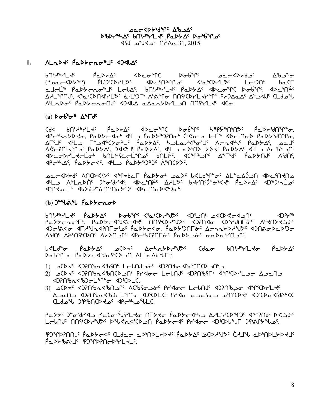**DOC <DLAJLE Ab DOC** DBDrULAC BNILAL PODSAC DoUGALOC 1.2015  $\Lambda$ לוֹח  $\sim$ ב4لأه ل

#### ALLAG Padtrugts 1746 1.

 $\overline{P}$ ႲႮ**<sub>ჼ</sub>ႥႥ**Ⴤ厂<del>Ⴗ</del>ჺ alti® Padtroo®J LtlA bnit®rLt PadtA ddcoM DobM' ddcMA' Δ/L\*MJ'. <'ω'CDN4'YL>' ἀ'L'DΓ' Λ'δ\Mσ MN'CDYLKY'Υ' Ρ/DΔαΔ' Δ' J4J' (Ldω'' ALL Abdr<sup>e</sup> Pedbronon 4) ALA edenbril on Maril + 4 Act:

# $(a)$   $\triangleright \sigma$   $\stackrel{\circ}{\sigma} \stackrel{\circ}{\sigma}$   $\stackrel{\circ}{\Lambda}$   $\stackrel{\circ}{\Lambda}$   $\stackrel{\circ}{\sigma}$   $\stackrel{\circ}{\sigma}$

ᡏᠲᡄᡃᡃᡳ᠋᠘ᢣᡅᢣᡇᡕ᠂ᠹᡉᢂᢣᡄ᠊ᡏ᠋ᡆᡃ᠂ᡏᡃ᠘᠍ᠨᠹᡆᢂᢣ᠉᠈᠓ᠣᡃ᠂ᢗᡃᢞ᠋ᡒᡉ᠂ᡆ᠍ᠴᡄ᠘ᠳ᠂ᡏᡉᢂ᠖ᢆᠬ᠓᠀ ∆Г`⅃໌ ◁└∟ℶ ୮՟ℶ◁<sup>ቈ</sup>ℂϷℴ<sub>ჼ</sub>⅃ՙ ฅഀℴϷ≻∆٬ ᢣℶ⅃ℴℳ⅌ℴ՟⅃ՙ ⋀ϲ℩ℷ◁<sub>ჼ</sub>Ւՙ ฅഀℴϷ≻∆٬ ℴℴ⅃ՙ ΛΚΕΡΠΗΝΑΓΟ ΡΟΡΑΣΚΑΙ Ο ΠΟΛΑΣΚΑΙ ΑΙ Ο ΟΡΗΠΟΙΚΑΙ ΑΠΟΣΟΛΟΝΑΙ **IDCODYLIGU PULASECLIPS PULAS ACTION ATTIS PODENUS APMS.** <PC+LAC, PaDbc<C, <LD PaDb+J+JC A+NCD2C

᠊**ᡉ᠋ᡏ᠆ᡕᢄᢣᠲᡁ᠂᠕᠐ᢗ᠖ᠺᡒᢄ᠂ᢋ᠕ᠼᠻᠻ᠆ᡁ᠀ᡊ᠗᠂ᡉᡏᡵ᠅᠂ᡉ᠀ᡕ᠂ᡗᡪ᠆᠀ᢣᢃ**ᢣ᠗᠂᠗ᢣᡄ᠓ᡕ᠐ᡉ **IL ALLADIS JOGHAS IDEMISS AALLE BEANSILES PAPPAS IDEDELLES** ᡏ᠋ᡩᡗ᠊ᢈᡰᡄ᠌᠌᠋ᠮ᠂᠂ᡏᡌᢣᡠᡗᡱᡠᡃ᠓᠋ᡴᡅᢣ᠑᠋ᡏ᠂᠂ᡏᡅᡄᡃ᠓᠋ᠳᡅᢞ᠑ᠣᡃ᠂

# $(b)$ )<sup>-1</sup>6<sup>1</sup>  $\beta$ <sub>1</sub> $\gamma$ -16<sup>1</sup>

᠊᠖᠊᠓᠅᠗ᢠ᠘ᡄ᠙᠂᠖ᢓᢣᢣ᠘᠂᠉ᢞᡆᢄᢣ᠀ᢥ᠉ᠪᡏᢀ᠂ᢅ᠗ᠱ᠑ᠬ᠅᠕ᢞᠾ᠉ᢣᡌᢥ᠉ᡀ᠉᠕ᡬ くりっしょ PaDYcnoT. PaDYcdyCcdt NNGCDdyDC dJ?Ndo CDiYJNToC NCHNDCSoC ᠑ᠿ᠑ᢣ᠉ᡉᢂᡝ᠑ᢣᢞ᠕ᠽ᠑ᡰᢄᢞᡳ᠉ᠲ᠑ᡰᢈ᠓ᢗᡷᡃᢒᠲ᠂᠗ᡄᠲ᠓ᡋ᠅᠗ᡔᡫᡏᢍᠲᠾ᠉ᡕ᠗ᢣ᠓ᢞᡙ᠗ᡔ᠓ᢆᡉ 

ᡁ᠍ぐᠾᡆ᠌᠆ᢆᠣ᠖᠊᠖ᢓ᠖ᢣ᠘ᡁᢄ᠂᠖ᢗᢂᡁᢄᡁᢄᡁ᠗ᠷ᠑ᠷ᠖᠂᠐ᠷ᠑ᢣ᠕ᢠ᠀ᡁᢄᡁ᠗ᠷ᠑ᠷ᠘ᠻ ᢂᡉᡃ᠖ᠾᡑᠾᢪᡉ᠂ᠾ᠗ᢣ᠑ᠵ᠀ᡫᠾᢂᢑᢄᡕᢋᢂᢑᠾᢂᡁᢂ

- 1) CD + จากใจการใจกิ๊ง Lelก Joe จากใจการใจ ที่ 2.
- DPNbadbJcLinto dJiOLC
- A A COCO CHA COCO AND COLCAN A COCO CHA COCO AND COLORA COLOCA CLdou JPbNCD Jo APGhoiLC.

<u>የ</u>Φኦ<sub>ና</sub> ጋኈትየተፈግ ኑ٬ በሚሉ<sub>ክ</sub>ሊዝናል ሀLÞፋዉ የሚኮኦሩፋሥገ ለኣፐ¿ኑር⊳ኤՆ‹ ፈሔኔሀዊ ኦሩ፲ዒ‹ LELNJS NASCRASSS DSLRASCRON PODFERS PLAGE ADSCRIME DSMAPSW.

PJMPPMUS PODSCAS CLda.or aDMDLSD PS PaDSAS ACD PUDS CHIM aDMDLSD PLS PQDY&NJSEPPPPDPOCDFLELS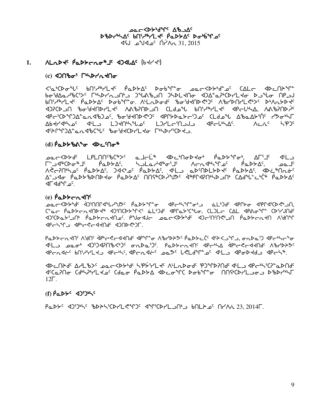**DOC CAL THARLY DOC** DBDruhac bnirurle Padbac Doubuloc  $\sim 31.2015$  مكلاه لكات

#### ⁄\L∩של Pקדשרטי⊕ד קארק (Pץלא) 1.

# 

<'a'CDo'\L' bN'd'iYLd' PaDYA' Dob'\L'o \_oac<DY'd'a' CALc <DCN}'\L' Ⴆ**ᡒ**᠄ᡌᠽ᠘ᢞ᠕ᢒ᠅᠘᠂ᠾ᠉ᡫᡘᢣ᠑ᠱ᠕ᢆᠪᢣ᠓᠂᠑ᡶᢂᡫᢂᡁ᠗ᡫᢂᡫᡫ᠓ᠣ᠂᠗ᢓᢠᢄᡳ᠘ᡫᢂᡁ᠗ᠾ᠗ᡁ bNidarLds beddyds debyled: Virudags pagasalddail ViphdUllsids divuddas ាንረD>ግ ያዱላብታ\Γሩ VVያሁJD>U CΓ9ግብ የሀላ<sub>ች</sub>\Γሩ db←ቦ<sub>r</sub>/ኛ VVያሁJD<sub>ንເ</sub> Ϥየϲ·ΏϒͳϽϪʹͼ*ϲ*ϲϤʹϸϽʹͻʹͺʹϸϭ·ʹϧϤϤϽϷϤʹͻʹͺͺϤϨϹͰϘʹͻʹͻʹͺͺϤͰͻʹϤϓͺͺϪʹϸͼϪͰʹϔͿʹͺͺϓϡϭ·ϞϹ Δbdr/dhas dhla LJdnhhus LJrLdinaja dhabhAs. Λολί hipji JEANNOU PLANCUC POSTACOLLAR LIPANICOS

# $(d) \hat{P}$ α $D$ לא $\sigma$   $dD$ כ $n^*$

ᢒᡉᡄ᠆ᢄᢣᢦ᠂ᡌᡌᡌ᠕ᡗ᠅᠐ᢗ᠅ᡔᢄ᠂ᡆ᠘ᡄᡫᢥ᠕ᡋᢂᠳ᠈ᡧᡄ᠉ᡗᡉᢞ᠕ᡔᢥᠾ᠉᠂ᠪᡆᢂᢣᠾ᠂᠀ᡌᡳ᠘᠂᠐ᡄᡗ<br>᠘ᡓ᠋ᢍᠽ᠆ᢄᢣᢣ᠗ᢄ᠃ᡌᡌ᠕ᡗ᠅᠖ᢄᡫᡄ᠅᠕ᡉ᠘ᡧ᠖ᡃᡗᡉ᠅᠘ᠻ᠂᠂ᡗᢜᠾᢂᡁ᠘ᠻᢠᠾ᠅ᡗᡉ <u>Δ</u>ʹ᠊ϽϤϘ*ͺͺ*ϸϭʹϦϡϼϦϢϯϤϘ*ͺͺ*ϸϭʹϦϒϔͼͺͺͿϢϥͼϹϦʹϧϧʹϭͺͺϥͼϸͿͺϥϗͿͶ;ϒϦʹϿϢͼͺͺϹͲϥͳͺϚͲϙʹϲϧϛͼͺͺϦ  $\sim$   $\sim$   $\sim$   $\sim$ 

# $(e)$   $\beta_0$  $\beta_2$  $\gamma_0$  $\gamma_1$

ه د د کام او د کار ۱۳۲۹ کار د به کار اسلام کرد او د کام د کار کار د کار د کار د کار د کار د کار د کار اسلام کر C"ac PaDbcatODt" dJ'OCDbJ'C' aLlJd' dPCab'C'llo, CLJLc CAL dPAo"C" CD'L'JOd' A)<sup>י</sup>Cלא-AG AL הביצור Alt-AG Alt AG-CK מאפלס Alt-AG-AG Ag-CK AG-CK AG-CK AG-CK AG-CK PCHALD APPCC-ARUS ADUDED.

٩٩-٩-٩٧٩ ١٩٩٢ ٩٩-٩-٩-٩٩٩٩ ٩٩-٩-٩ ١٩-٩-٩-٩ ٩-٩-٩-٩ ١٩-٩-٩ ١٩-٩-٩ ١٩٢٩ ٩ ١٩٢٩ ٩ JLLJ POLL, JUNNANG CUPTC, POPFCULL, JPC, JPCSCAJUR, VPLPC, JPC Prodis bnidicles aptions of the back belowing the spoked of the

Delay at the formulation of the club of the child of the control of the control of the control of the control o ᡏ᠋ᡃᢗ᠋ᡆ᠌ᢇ᠓ᠳ᠂ᢗ᠋᠋ᢦᡃᡪᢂ᠘᠘ᡆᡏᡉ᠂ᡏ᠗᠑ᢣ᠘᠂᠓ᢣ᠘ᡆᢞᠰᢗ᠂ᢂᡉᡌᡳᡗ᠇᠖᠂᠓᠓ᡩᢗᢂ᠘ᠴᡉᠴ᠉ᠪᢂ᠘ᡩ  $12\Gamma$ .

# $(f)$  $\beta$ a $D$  $\nvdash$ c  $\Delta$  $D$  $\beta$  $\nvdash$ c

PaDYS < 9) PaDYS {PADYSTERY COMPLATE} }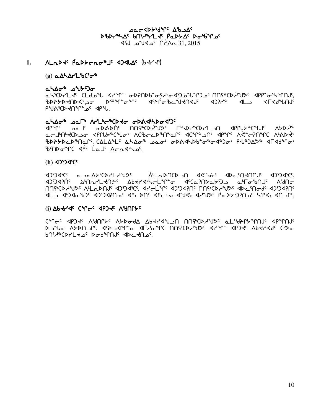**DOC <DLAGLE UP-SOC** DBDruhac bnirurle Padbac Doubuloc 1.2015  $\Lambda$ 1/ 10° مكك مكتاب بايد

# $1.$   $\Lambda$ Lad  $\Lambda$ <sup>c</sup>  $\beta$ ad  $\lambda$ cac<sup>n</sup>  $\Lambda$ <sup>c</sup>  $\Lambda$ d  $\Lambda$ c (b  $\Lambda$ / $\Lambda$ <sup>s</sup>)

# $(g)$  and  $\Delta$  and  $\Delta$

## <u>ﯩ</u>ל\∆<del>ە</del> ھ−∆\∆

«የየምግል የምግል የተማግ የተማግል አይነት የተማግል የተማግል የተማግል የተማግል የተማግል የተማግል የተማግል የተማግል የተማ PUN'CD INT " O' dp"U.

# ahada part ArltesCoto opadhbodisc

<u>ϤϸϧͿϲ</u>ͺͺͺͺͺͽϭ·ϽϳϲͺͺͺͺϤͻϗϧϦͺϥͺϓϥϓͼϦϤ;ϥ;ϙͻͼͺͺͺͺϹϧϓϘϤϽϯ;ϹϷϤϦͻϯͼϓͲϽϤͺͺϓϯϷʹϧϧʹϙͿ ჼbÞᡝᢣϷᡄϷჼႶჲՐჼ. ᢗ∆LΔჼᡫ<sup>ᡕ</sup>ᡠᢣ∆ᠥჼ᠂ᡂᠥᡃ᠂ᡒᡅ᠋᠍᠍ᢌᡧᡐᢂᡕᡅᡈᢐ᠊ᢦᠲ᠀ᢐᡃ᠂ᢆᢆᢆᢪᡅ᠉ᡗᡌᡷ᠉᠂ᡏᡏᢦᠯᠲᡉᡃ BCADOMC APC La JC ACASHOC

# $(h)$  4)') $4^{c}C^{c}$

JUJACC QUARYCALLAYAC ALLADUCAUN ASPAC ADENUMIC AUJACCE ᠊᠍᠍᠑᠍ᡐᡗᡤ᠂ᢩ᠄᠌᠉ᡃ᠓ᡊᡳ᠘ᢣ᠓ᡷ᠍ᢄ᠂᠂ᡌᢞᢃᢣᠻᢋᢂᢣᠢᡄᡌᠴᡗ᠆᠗ᠱᢗᡉᠷ᠓ᡑ᠂᠀ᠺᡌ᠗ᡆ **MAGCY AU AUDANG ASSACC. AY CLAPS ASSACT MAGCY AUSS AD CAPPS ASSACT** كالت طابكة المسلم المسلم المسلم المسلم المسلم المسلم المسلم المسلم المسلم المسلم المسلم المسلم المسلم المسلم ا

# (i) AP44dc Calce AbJ4c VAULAC

יר שייר פון האלא לאר האינט לא האיר האיר שייר שייר האלאר האיר האלאר האיר האלאר האלאר האלאר האלאר האלא **ګے** *پا***ت ۱۹۶۸ کارز (اپراکس**یل هالم کال ۱۹۵۴ میلاد ۱۹۶۹ میلاد ۱۹۶۹ میلاد (۱۹۶۹ میلاد ۱۹۶۳) pUiY&CDYLTOC DOP&UULC ADCTUOC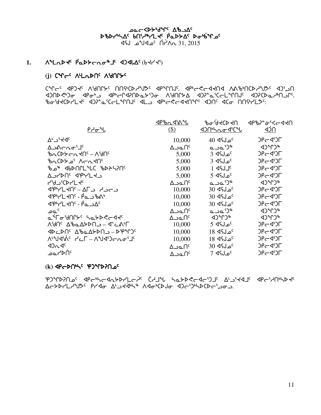**@**⊂<bት<sub>ነ</sub>ባูሊ 70°70 DBDruhac bnirarler PaDDAC Double 1, 2015 Δ^\N` <sup>2</sup>م4 كال<sup>ە</sup>م ل

# 1.  $\Lambda^d$ Lad $\tau^c$   $\beta^a$ D $\gamma$ cao $^a$ F <br/><d)<br/><d(b</d)

# (i) CM<sub>CC</sub> VILUDUS VAULAS

**C "ר-נ PSP" ו- ל"ר הישראלי לוחויגרט לייטאי כיור ווא ליחושי הישראלי היא החי** ᡕ᠄᠕᠘ᡗᢥᠴᢀᡤᢈᠾᢂᠾᠢ᠘᠂ᡗᢥ᠅ᡗᡳᢂ᠐ᡰ᠅᠕᠂ᡁᡗᡳᢂ᠕ᡗᢣ᠔᠂᠂ᢏ᠅ᠸᠲᡌ᠉᠂ᢒ᠓ᡗᢄ᠉᠕᠕ᢉ BobytCDYLt<sup>c</sup> departement of the CCddate and de Unity List

|                                                                                          | <u><apbn <art<="" u=""></apbn></u> | ᡃ᠍᠍ᡰᡉ᠊ᡃᠠᢃᢣᢗᢂ          | <b>JPP&gt;</b> >°&'<←440       |
|------------------------------------------------------------------------------------------|------------------------------------|-----------------------|--------------------------------|
| <u> የታምብ</u>                                                                             | \$)                                |                       | <u>⊲מר</u>                     |
| $\Delta^L$ ے'ל<br>                                                                       | 10,000                             | <sup>0</sup> م ل1∖ 40 | $DF = 30$                      |
| ∆⊇∆⊂പഠ'∃ി                                                                                | ∆ےمد∆                              | പാ⊾'ఎ"                | $(1)^n$                        |
| ᡃᡃᢦ᠘ᢗᢂᢣᡄ᠍᠘ᡪᢂᢕ                                                                            | 5,000                              | $3$ dfJ $\circ$       | $DPC4^5$                       |
| <sup>9</sup> \rnd 'a לשח                                                                 | 5,000                              | $3$ dfJ $\circ$       | $DF = 45F$                     |
| ჼᲮឹ ଏPኦՍԱՐՐ ՔԻ≻ՐԱՆ                                                                       | 5,000                              | $1$ $45J1$            | $DP - Q^c$                     |
| <b>AULAUL SAALS</b>                                                                      | 5,000                              | 5 dfJ_o <sup>c</sup>  | $DP - Q^c$                     |
| <b>451/CD-YL+C</b>                                                                       | ∆౨௳∩ౕ                              | പാ⊾'ఎ"                | $4$ ) $^{\circ}$ r) $^{\circ}$ |
| נמג נחם – AF לγיץ <b>4</b>                                                               | 10,000                             | <sup>5</sup> مـل؟4 30 | $DP - Q^c$                     |
| $\langle 1967L \langle 106 - \rho_0 \rangle \langle 196R \rangle$                        | 10,000                             | <sup>5</sup> مـل؟4 30 | $DP - Q^c$                     |
| $\Delta^{6}P^{\dagger}P^{\dagger}L$ $\Delta^{6}P^{\dagger}$ - $\beta_{\Delta}\Delta^{6}$ | 10,000                             | <sup>5</sup> مل¶4 30  | $DF = 35$                      |
| ے م                                                                                      | ∆ےمد∆                              | പാ⊾'ఎ"                | $(1)^n$                        |
|                                                                                          | ∆౨௳∩ౕ                              | $(1)^n$               | くつしんしゃ                         |
| ∩'ง∩⊂∆' ����>∩¬ – ଏ~⊂∨∟                                                                  | 10,000                             | <sup>ء</sup> مےل؟4 5  | $DPC4^5$                       |
| ⊲▷⊂▷∩←∆₿ឹФ₹≻▷∪⊃−▷₿₩)                                                                     | 10,000                             | 18 ⊲د 18              | $DPC4^5$                       |
| ᠰᡃᡃᠠᡏᡃᡬᡕ᠂᠘᠘᠘᠆᠕ᠰ᠕᠅ᠡ᠆ᡴᡉ᠄ᡁ                                                                  | 10,000                             | 18 ⊲د18 18            | $DF - 45T$                     |
| 42n4c                                                                                    | ∆౨௳∩ౕ                              | <sup>5</sup> مـل؟4 30 | $DF - 45$                      |
| <sup>6</sup> ∩⊄⁄ ∟ەم                                                                     | ∆ےمد∆                              | 7 dsJ_oc              | $DP - Q^c$                     |

 $(k)$   $4P$   $\left\{P\right\}$   $\left\{P\right\}$   $\left\{P\right\}$   $\left\{P\right\}$   $\left\{P\right\}$ 

PJMPPULS apchCdl LDP-CALP-CP CHUM LatDRC-d-DJS ALSA-SP-SP JanCP <u> ActALLiya Prido Austalia Adolia da Deiala Sociaca</u>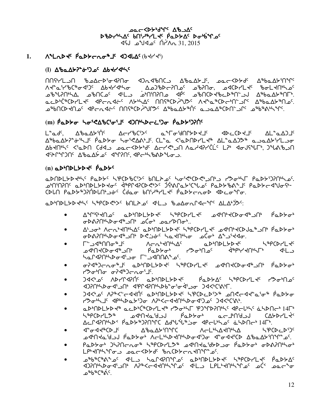**DOC <DLAJLE Ab DOC DBDruLAG bNiruLKG PODSAG DGubiTOG** 31, 2015 ANN <sup>2</sup>م4لا<sup>م</sup> م

#### **MILLDE PaDDELOONS 4DALAC(bddd)**  $1.$

# (I) ΔbaΔX2-o-520c Δbdr/dh/c

᠓ᡤᡃᠠ᠘᠊᠍᠕᠌᠂᠍᠍᠍᠍᠍᠍᠂᠍᠗᠘ᡕᠫᢀᡆ᠂᠗᠕᠕᠗᠕ᢒ᠐ᢗ᠍ᠴ᠂᠘ᢞ᠖᠘ᢣ᠑ᢞ᠕᠂᠕᠗᠘ᢣ᠑ᠾ ᠰᢞ᠌᠘ᡩ᠈ᢣ᠑ᢣᡌ᠅᠕ᠪᡕᢂᢣᡉ᠂᠂᠘᠍ᡘ᠍᠓ᠪᢄ᠕ᠪ᠅᠕ᠪ᠓ᢆᡍ᠗᠂᠕ᡏᢄᢂᡗᡆ᠅᠘ᢂ᠘᠂᠈ᢗᢪ᠖ <u>۹</u>ϷϞͶϿϤϞϪͺͺͺͺͺͽϸϽϤʹͻʹʹͺͺϥϤͰͺͺͺͺͺͺͺͺͺͺͻϥϒϤϒͻϯͼϯͼϓͽʹϘϓϸϹϦϫϸʹϹϽͲϙϓͳϘϗϘϓϤϽϒϙͿ ᢆᢆᢆڡᡄᢂᡃᡬᡃᡑᢗᢂ᠘᠆ᡕ᠁᠀ᡛᡄ᠇᠘ᡩᡄ᠁᠕ᡔᡃᡃᡪ᠘ᠻ᠂᠓ᡗᡲᡃᡃ᠖᠘ᢥᢧ᠑ᠻ᠅᠕ᡕᡃᡃᢦ᠘᠋ᢆ᠍᠊ᢞᢕᡄᡃ᠒᠋᠆ᢆ᠑ᡗ᠅᠂᠘ᢞᡃᠣᡉ᠘ᡃᠵ᠍᠍ᡃ᠓᠊ᠣ<sup>ᢗ</sup> ᠊ᠣ<sub>ᡃ</sub>ᢛ᠐ᢗᡅᢂ᠕᠊ᡉ᠂᠂ᢦ᠖ᠳ᠀᠆ᡘᢀ᠂᠕᠘ᢣ᠈᠕ᢣ᠈᠂ᡔ᠅᠕ᢣ᠈ᡍ᠓᠅᠈ᢣᡅ᠉᠅᠗ᢣ᠕ᢆ᠅᠗ᢆᢣᠾ᠅ᢆ᠗ᢆᢣ᠗ᢞᢐ

# (m) Paddo Soi CabCioiJ <br />
1996 Coint Caddinal

L<sup></sup>՟aJ<sup>c</sup>. ΔჼbaΔ≻ՙἠ<sup>ϲ</sup> Δ⊂૮ჼbCՙ><sup>ϲ</sup> a<sup>s</sup>Γσ·์dՈՐ≻Ϸ≺⅃<sup>ϲ</sup> ◁▻⊂◯▻**ּ**ּᢣ<sup>┌</sup> △└ۦ<del></del> 
△ AbdAhri Kiada Bartadar Artahi Addarichi La dousiuri. 2168-0 <u>JEANTHONE AbaAY of JANAE APENBADUOS.</u>

# $(n)$  a  $D^b$  $D$  $L$  $D$  $D$  $C$ <sup>c</sup>  $\beta$  $D$  $D^c$

aDNDLYDKK PaDY SPCDBCIY bNLAS SoiGLOGIONS POTHE PaDYDPINS. ᠊ᠣᡃ᠒᠋ᡃ᠒᠒ᡤ᠂᠗᠘ᢣ᠓᠘ᡫᢣᢂᢣᡆ᠌᠅ᢋ᠗ᡁᢂ᠘ᢓᢄᢣᢄ᠅᠀ᡩᢂᡁ᠖ᢣ᠈ᢗᢞᡁ᠖ᢅ᠙ᡆᢂᢣ᠗ᢠ᠅ᠾ᠗᠘ᢣᢄ᠂ᡗᡆᢂᢣᡄ᠆ᡘᡇ᠋᠗᠋ᠵᡗᡃ CDLN PaDY\$)?NDLN'st' Cdao bN'/\$/Lt' PaDYcnoD <Dco'To.

aDMDLGDdus SipcDdus boldos dla badonrddus ALAMS.

- AMichelloc aDMDLGDecheller Supplement of the PaDG  $\bullet$ ᡋ᠑᠂ᡉᢂ᠕᠕᠂ᡆᢄᢦ᠑᠂᠕ᢠ᠂ᠴ᠐ᡫ᠂᠇ᠾᢂ᠂
- <u>ᡋᢂ᠕ᠾᢂᡔ᠖ᡕ᠉ᢆ᠀ᡖᡏᡐ᠉ᠪᡷ᠖ᢞᡳ᠖ᢞ᠕ᢞᠾᢄ</u>ᢞᠣᡏᢥ᠕ᡐᢃᡏᡇ
- ℾ<sup></sup>՟ℶ⊲ჼႶႶℴ<sub>՟</sub>ჼ⅃<sup>ϲ</sup> ∧⊂∿<sub>₿</sub>≼∪ŗΥ∇ L&bCDLTFC  $\bullet$ ᠴᡏ᠕ᡕᡄᢞᢄᢐᠫᡰ᠓ᢞ ᡥ᠋ᡆᢂᢣᠣᡃ᠂᠂᠂ᢢᢁᡃ᠒᠊ᠣ᠂᠂᠂ᡧᡅ᠑᠂᠂᠂ᢢᢂ᠂ᢢᢂ ᢣ**᠌**᠘ᡗᢦᡗᠰᡃᡐᠥᡏᡃᠴᠣ᠂᠋ᠮ᠋᠆ᠴᡏ᠓ᡢᢥ᠍ᠴ<sup>᠌</sup>
- ᡋ᠌ᢣᢋ᠗᠆᠘ᡐ᠉᠐ᢣᢂᢣᢄ᠂᠂ᡋᢋᢂᠾᡔᢄ᠂ᡑᢂᡁᢃ᠂᠗ᢋ᠕ᢞ᠐ᢣᢋ᠉᠂ᡗᢋᢂᡫᢂ᠂᠀ᢆᠾ  $\bullet$ ᠊ᠠᡃᠵ᠋ᠥᡃ᠓᠋ᡉ᠂ᡋ᠒ᠰ᠑ᠸ᠘ᡋ᠂ᢩᡌ᠂
- ϽϤ<ჼͺϼ<sup>ϲ</sup>ͺͺͺΛϷϲͲϤϠ;Ⴖ<sup>ϲ</sup>ͺͺͺͼͺϽϷϞႶϷϹ*ϧͻ*ͰϘͺ·ͺͺͺͺͺʹϥͼͺϷ϶ϧϓͼͺͺͺͺϞϥͼʹͺͺͺϲʹϧʹϧͼͱͶͺϼͼ **IPOLIA SE CONTRACTED SUPPORTS IN THE POLICE**
- <u>) del n'ales de la partitation de la partita de la producción de la producción de la producción de la pro</u>  $\bullet$ restally depthetion wheredelight and deleters.
- aDMDLYDY® acDNC®CDYLY® Y30NL PJMDPNNS < << CHDDCD145 לייףכסלבא שליחלפ<sup>י</sup>טל P<sub>4</sub>סלאסל מכליחיט כבאגרלי Δ⊆Γ<RPN}\D< PdDb\$)RN°PC Δd°l°U\$jo <RCU\$\D<sup>c</sup> a\DNC\$14F\$.
- ᡏ᠆ᢆᠣ᠊ᡏ᠆ᡏ᠉ᢕ᠘ᠻ᠂᠌᠂᠘ᢞᡉ᠘ᢣ᠈᠓᠂ᠾᢗ᠁᠃᠃᠕ᠸ᠆᠌᠘᠉ᢕ᠑ᠰ᠕ hPCDCDDDC  $\bullet$ ᠴᡏᡃ᠌ᡅᡪᡆ᠄ᡃᢦᠴ᠑᠂ᠹᡉᢂᢣᠣᡃ᠂᠕ᡄᡶᡃᡰᡪᢂᢣ᠓ᢣ᠕ᢣ᠕ᢣ᠀ᢐ᠂ᡏ᠆ᢐᡏᡳᢗᢂ᠘ᢞᡉ᠘ᢣ᠈᠓ᠰ᠆᠖
- PaDYot JSPNCnot StPCDPLSt adndailyDao PaDYot oDAPNthot
- ᠴ<sup>ᡑ</sup>ᡃᡖᡑᢗ᠊ᡑ᠍᠍᠊ᡭ᠊ᢦ᠆᠘᠆ᢃ᠂᠂᠘᠘᠘᠕᠕ᠾᢄ᠂᠂᠘ᢘ᠈ᠾ᠑ᢣ᠘᠂ \_ა<sup>ቈ</sup>ხ®⊂®ል<sup>๋с</sup>.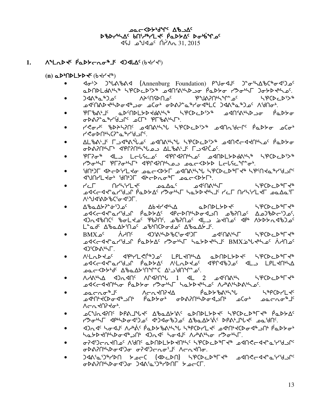**DOC <DLAJLE Ab DOC DBDruLAG bNiruLKG PODSAG DGubiTOG** 31, 2015 ANN <sup>2</sup>م4لا<sup>م</sup> م

**NEWAG BEDACULE AJAMAC (P444)**  $1.$ 

 $(n)$  and  $n$  and  $n \geq 2$ 

- aDNDLdANS SPCDcDSX a4NSANDao PaDYo 19045 JoyDdhas.
- ᠍᠍᠍᠍᠍᠍᠙ᢞ᠋᠐ᢞᠷᢂ ላት<sup>ና</sup>በናÞበ<sub>≏</sub>ና ¢د\*م\*∧4⊂ ∂ 5.9CDCD578  $\bullet$ ᠴᡏ᠓ᢠᡗᢣᢞᡰᡪᢂᡆᡏᡑᢖᠣ᠂ᠴᢗᠣᡃ᠂ᡉᢂᠡ᠌ᢃ᠆ᡌᡑᠰᡉᡏᠲ᠘ᠻ᠂᠕ᡧᢥᠣᡅ᠗᠀᠂᠕ᠬᡉᡃ᠂
- PLBALIC aDMDLYDKdALLA LPCDCDSX adninudo Padyo  $\bullet$ GDAY LAULE OCH PLBANLE.
- לאחר שלחלאחר בי האראי ליארי לאחר האראראי האראר התואר היה היו הארי הארי היו הארי היו הארי היו הארי הי  $\bullet$ **MARYAL AND HOLOGY**
- ᠘ᡶ᠍ᡃ᠍᠍᠍᠍᠍ᡃᠦ᠘᠖᠂᠘ᢦᢪᠰ᠅ᡁ᠘᠖᠂᠘ᢂ᠕ᠰᡫ᠉ᡫ᠉᠙᠐ᢣ᠘᠈ᢞ᠉᠗؇᠓ᢞ*ᠸ᠆*ᡘᢣ᠓ᢣᡉ᠂ᡬ  $\bullet$ ᡋ᠊ᢂᡳ᠐ᢣᠷ᠖ᡕ᠉ᡌ᠒ᠾᢂ᠘᠑ᠴ᠉᠘ᡌᡰ᠗᠅ᡆᢞ᠓ᠱ᠗᠀
- $\bullet$ rest PFP appears as encoded Label There.
- **IGODF ADCPIYL JOLCKDYF ANAILY SPCDCD&FY& LiPCNGAGGYS**  $\bullet$ **JUN/LYo' YN')F JACDRO'F LOLCKDYF'.**
- ـامهامه معدهانه المعامل المعامل المعاملات المعاملات المعاملات المعاملات المعاملات المعاملات المعاملات المعاملا በረረአተር  $P \subset \Gamma$ LPCD, DPL48  $\bullet$ ᡌ᠋ᡰᡉᢆᢣᢂᠴᡗ᠂᠕ᠴ᠈ᢞ᠕ᢠ᠅ᢢᡒᢥ᠓ᡰ᠈ᡧᡐ᠙ᢣᠢ᠓ᢣᡏᡐ᠗ᢢ᠈᠕ᢌᡬ᠅ ለ<sup>ι</sup>\*ህ<f^b\b^\b\C'o-<f^ol^}
- ∆ზ௳∆≻ॽ<del>ഀ</del>∻ՙϽഛ △₽←₩₹₽₹₽₹₽₽₽₽₩₽₽₽₩ 59CDCD8548  $\bullet$ ᠴᢃᢉᡄ᠊᠍ᢦᢞ᠘᠆᠈ᡆ᠐ᡏ᠋ᢀᠴ᠖᠂ᡗᡇᡔᢦ᠓ᠰ᠕ᢦᠲ᠀᠉᠘ᢣ᠈᠕ᡕᢣ᠉᠘ᢐ᠈ᡀ᠈ᢞᢄᢣᢄᢣᢄ <u> JOGAPUC, POLAJE, ABSUC, POUPE dLI SAUDE da JOGADIO de VISOU</u> ـْكْلِمْ كْلْمْسْكْمْ كْمْسْكْتْ كْمْسْكْتْ مْتْكْتْتْخْشْكْتْ بْكْتْتْخْشْكْتْ بْ
- $BMXa^c$   $\Lambda$  $\bullet$ ـو المسلم المسلم الأمريكي المسلم المسلم المسلم المسلم المسلم المسلم المسلم المسلم المسلم المسلم المس **<D'CDALLE**
- ALLOD JO JPH/L CN 2 C LPL JNLA aDNDL b JPCD CD PF J PCD CD PF J P  $\bullet$ Adder Ale Cappar Aland Cappar and Chernica ےمحرکاپہار Δ'¢مکان (۳۲۵-۵۳۰ - محمد) میں اس
- $\Lambda$ **ے אלר אלוויק ויבאלה ו'איקייק העלא לייתר האלייקייק וייתר.**
- ∟∿⊂∩ه"∐ ∧⊂י אט}<ק *Ⴒ*๎ҩ⊅*⊱* ჼჾჽჼჄ *ሥ* የሆነብር ላ ᠴᡧ᠓᠋ᢣᢗᢂᠴᠿ᠂ᡁ᠆ᠾᡔᢂ᠂ᡁᢗᡔᢂ᠕ᡁ᠙ᡐᡆ᠃ᢐᢗᢦᡱ᠉᠂ᡁᡄᢞᡅᢦᠲ᠑ᢣᡃ᠓ᠰᠣ ᠕ᡕ᠆᠘ᡕᡳᢃ᠓ᡪᢋ᠖ᡃ᠂
- ᠊ᠣᢗ᠊ᡃ᠕᠊᠍ᡎᢃᠾ᠂᠖ᢂ᠆᠕ᡪ᠖᠂᠑ᢣᡆᢂᢣ᠀ᡤ᠗᠘᠑ᢣᡗᠵ᠘᠂᠗ᢓᡳ᠘ᢂ᠂ᡗ᠗ᢗᢣ᠗ᢆ᠘  $\bullet$ Y'> <sub>C'</sub>NC dintro di Joc di de la Doc Abady in the Light.
- ᡕ᠉᠐ᡄᡏᡕ᠂ᡕᢁᡕᡌ᠅᠕ᡔᡰᢠᡳ᠂ᡕ᠂ᡕ᠉᠐ᢣᢣ᠗ᠱᠰ᠉ᡁᢂᡫᢞᡁᢂᡁᢂ᠕ᢣ᠖ᡰ᠉ᡩ᠓ᢣᡒᢥ hathybod Jh dad hodd Auntho Port
- ᡋᡃ᠑ᡄ᠋ᠮ᠑ᡄᠮ᠌ᢋ᠐ᡉᢆᡕᡕ᠕᠕ᡁ᠄᠂ᡋᡖᢕᠾᡖᠢᢣ᠔᠕ᡎ᠘ᠷ᠕ᠷ᠘ᠷ᠕ᠷ᠘᠕ᠷ᠘ᢣ᠕ᠴ᠕ᢑ  $\bullet$ **ᢦ᠊ᢂ᠋ᠷ᠌᠒ᢣᠾᢣᠾᢣᢋᢋ᠀᠂᠇ᡏᡳᡵᡏ**᠗᠂ᡆᢗᢣᡐᡆ᠂ᠾᢆᠷ
- « EXPONDED TO AN APC DEPOSITION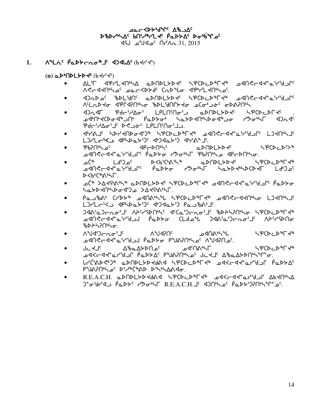**DOC <DLAJLE AB DDC DBDruLAG bNiruLKG PODSAG DGubiTOG**  $\sim 31.2015$  مكالأم لكك

**᠕ᠳᡄ᠅ᡁ᠋ᢀᢓᡘ᠆᠈᠂᠕᠕᠓᠀᠕᠕᠀᠕**  $1.$ 

 $(n)$  and  $(P+P)$  and  $(P+P)$ 

- AL'IT <PYL<N'LA aDNDLYD<4 LPCDCD PT<P a<N<c<l><c<l> ASCARING PECSARE CUDUR AbilLAUPPO
- DUD OC POLPUC CDUDLYD AC HOLD PLA DAUGLAL CHALL <u> ٨.٢ مكر ١٩٨٣ م المحمول المحموم موسى به مكرم المحموم المحموم المحموم المحموم المحموم المحموم المحموم المحموم ا</u>
- $\bullet$ ᠴᡏᡃ᠓᠋ᢣᢗᡅ᠋ᡉ᠊ᡏ᠉ᠴ᠓ᡃ᠂᠂ᢆᠹᡅᢂᢣᠣᡃ᠂᠂ᢣᡆᢣᡅ᠊ᡪ᠓ᢣᠾᢂᢐᡏ᠉ᠴᠣ᠃᠂᠂᠍ᢢᠣᡃᢂ᠘᠂᠀ Pdc"dat" Desite LPLNMo" L.
- <sup></sup> לירגש לא לארלחל איין ליינגרל אייראל אייר לא לא לא ליינגרל לא לא לא ליינגרל לא לא לא ליינגרל לא לי  $\bullet$
- ᡃᠻ᠍᠍᠍ᡋᠻ᠓᠋᠂ᡗᡉᢄ ╶ϤϷϲ᠆ϷႶ<sup>ϧͺϲ</sup><br>ϤϷϲϓϿͲϧʹ 54CDCD578  $\bullet$
- ے∩ر<sup>∻</sup> D<b'C'A''S" aDNDLYD+C SPCDcD"F+"  $1 d^{5}$  o<sup>c</sup> **᠊ᡆᢂ᠋ᢉᠵ᠆ᡏᡳᠼ᠌᠄ᡕ᠗ᢣᡆ᠂᠐ᢆᠷᠾᢜᠾᠾᠾᡲᡵᠾᢜᠾᡲᢇᠲᢂᠾᠾᡳᠾᠢᢜᠾᢜᠾᠾᠾ**  $D < b$ <sup>6</sup> $C$ <sup>6</sup> $\wedge$ <sup>6</sup> $\wedge$   $\vdash$ .
- ᠊ᠣᡬ᠊᠍ᢀ᠂ᢣ᠘ᢣ᠙᠊ᡭᢣᢞ᠂᠖᠊ᢂ᠕ᢂ᠘ᢣᢂᢣᢄ᠂ᡶ᠙ᢗᢂᡔᢂ᠘ᢄ᠉ᠷ᠘ᢞᠾ᠗ᡊ᠅᠕ᢣᡗᡒ᠅᠘ᡐ᠅᠕ᢣ᠀  $\bullet$ babb 40 bb 400 a 244665F.
- Paubat CCDS DANALL SPCDCDELLE DANCCATILLO LITILL
- ϽϤልჼҩϽϲ᠊៱*ᢐჼ*⅃ჼͺͺለትናϒናϷႶჼϞჼͺͺͺ⋖ჼϹҩჼϽϲ·៱ϭ·ʹ⅃ჼͺͺჼϸϷትϞϨႶჼϞϭͺͺͺኣჼႲϹϷͼͿϮϷϚ ᠴᢦᡗᡰᡭ᠋ᠵ᠆ᡏᡕ᠅ᠾ᠈ᡔ᠕᠉ᠻᢠ᠘ᢣᢣᠥᡁ᠘ᡁ᠈ᢞ᠘᠈ᢖᠢ᠙ᡆ᠑᠆᠇ᠷ᠗᠅ᡌ᠉ᢞᠻᢂᠾ ჼᲮϷჁჁჇႶჼჁႻ
- ᠕ᢞᡃᠡ᠍᠍ᡧ᠑ᡕ᠆᠘ᡉᡃ᠋ ∨°ଧ⊲ଧ∪∈ いっこしゃしょ ᠴᡏ᠋ᠬ᠕ᡃᠰᢞ᠋  $\bullet$ ᠊ᢀ᠊ᡆ᠐᠙ᡄ᠀ᢋ᠅᠘ᢣ᠀᠂᠀ᢆ᠂᠀ᡆᢂᢣ᠐᠂ᠾ᠔᠈ᡍ᠔᠅᠕᠀᠐
- ᡕ᠆ᢋ᠊Ⴈ<sub>ϲ</sub>᠂᠂᠂᠂᠊*᠊ᢐ*ᢀᢆᢦ᠊᠀ᡒᢂ ᠴᢦ<sup>᠌᠌</sup>ᡴ᠗᠍᠍ᢀᢣ᠘ 59CDCD#L48 **᠊ᡉ᠍ᡏᡳ᠆ᡏᡳᡷᡆ᠘ᢋ᠗᠂᠐ᢓᢣᢣᡌ᠂᠐ᡔᢂᡳ᠐ᢞ᠀᠂ᡫᡄᢋ᠌**᠂ᡆᢂᡆ᠘ᢣᢂᠾᢞᠾᡱ
- LLC'ADC') aDNDLYDYdAI SPCDCD FY aUCCULA CLYGUN PaDYAC PrUAPNIL OF DILINCINAD DILILAASO.
- R.E.A.C.H. aDNDLYDYdad SPODaD<sup>&</sup>TY& adsedyaridan AbtNo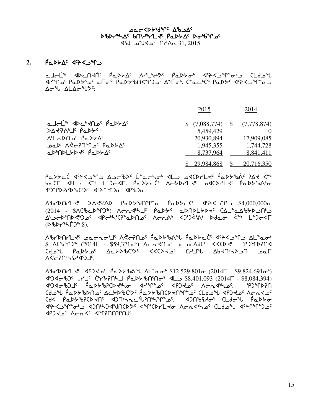# AC YOYSIAN AB scsy4nw5 vt3h6ymJ5 `rNs/w5 si4`vqk5 vt3h6ymJ5 `rNs/w5  $\sqrt{45}$  -  $\sqrt{45}$   $\frac{1}{2015}$   $\frac{1}{2015}$

# $2.$   $\rho_a$  $\rho_b$ <sub> $\Delta$ </sub>  $\sigma$  $\sim$   $\sim$   $\sim$   $\sim$

ماحلّ<sup>ه</sup> المحلّة المعلكة للاله مع المعلمة المجزعة المعالمة المعالم xyqk5 `rNs/3k5 Nui6 `rNs/ctXqgk5 w1ui4. `b8NM4`b6 `rNs/5 x5pXlq8il Aou ALACUSS:

|                                                               | 2015                            | 2014       |  |
|---------------------------------------------------------------|---------------------------------|------------|--|
| ماحلّ <sup>ه</sup> ۶۵-۲۳ م <sup>ه</sup> ۱۹۶۴ م                | $$$ (7,088,774) $$$ (7,778,874) |            |  |
| $>444$ $^{\circ}$ $^{\circ}$ $^{\circ}$ $^{\circ}$ $^{\circ}$ | 5,459,429                       |            |  |
| ALLADNO <sup>C</sup> PaDDA <sup>C</sup>                       | 20,930,894                      | 17,909,085 |  |
| <sup>20</sup> A A C-20 <sup>o</sup> Palta                     | 1,945,355                       | 1,744,728  |  |
| aDODLYDY PaDYAC                                               | 8,737,964                       | 8,841,411  |  |
|                                                               | 29.984.868                      | 20,716,350 |  |

rASYC لاحكام AS-bXC L<sup>e</sup>arho<sup>s de</sup> محاملة المكافرة AS-ter Xager ب<sup>عه</sup> vNbu x7ml `X84 m8goxu. `rNs/M`b5 wo/symJ5 kxbsymJ5 `rNs/c=[i egqsDyscb3S5 x5pQqgi xrcgi.

 $\Delta^4$ dthalte  $\Delta^4$ stymb  $\Delta^4$ pthalte  $\Delta^4$  $(2014 - $ACbCD^{\circ}T)^{\circ}$ )  $A \subset \Lambda$ dh $J^c$   $\beta aDb^c$  a $D \cap D$ lb $D \neq C$   $\Delta L^{\circ} a \Delta \overline{D}$ <u>A'JEAMBEJOR dhEirichedhDor VEUVi dJiJdish Ddao Kith Lijedh</u>  $(D^6bP^4+T^2s^6)$ .

Abrearty Serven Wereland's Abraham Annard With the City Action in Alternation of the City Action of A  $$ACb^{\alpha}D^{\alpha} (2014\Gamma - $59,321\sigma^{\beta})$  Acnd $C^{\alpha}$  and  $\Delta dC^{\alpha}$  <<<br/>Defined in  $C^{\alpha}$  $\int d\omega^4$  (do  $\int d\omega^2$  )  $\int d\omega^3$  and  $\int d\omega^5$  and  $\int d\omega^5$  and  $\int d\omega^5$  and  $\int d\omega^5$ W.CipHoPanCh

WcystymJ5 xrgJk5 `rNs/c=z wm8Ni4 \$12,529,801i (2014u - \$9,824,691i4) 45465 \b45 CH23 CH2PAL ADDE ANGLES 4 S8,401,093 (2014 - \$8,084,394) x4gxicgj5 `rNs/cDbsJ4ni xyq8k5 xrgJk5 WoEx4nk5. egqsDt مك بن المكانية المسابقة المحاوية بن المكانية (Ldaº أمريك محاوية محاوية محاوية المحاوية المحاوية المح <u>ርዛፈ የ</u>ሚኮአያርኮ<del>ፈ</del>በር ፈንበኑንሌር<sub>-የ</sub>ባይሆንትንኤር ፈንበቆየትዎ፣ ር୮ባዔዎ የሚኮዶው athypC<sub>2</sub>n\*o\*\_ xd2nh/24 yqqYlQb2 xqqqVo clda% xq2nmf xrgJk5 WoEx5 xqDttqtA5.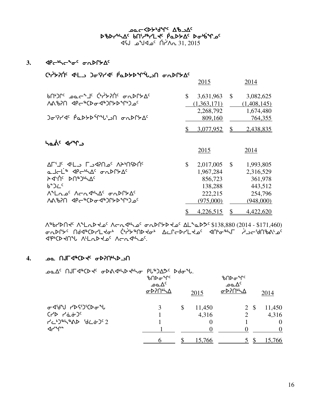yc Box-ChappyLe Walle sperthas builing fabbas babbypas 145 AM <sup>2</sup>م4∀ه ل∿ط

# 3. <br /> **<br />**  $\mathcal{A}P$  $\mathcal{C}^{h}$  $\mathcal{A}^{c}$  $\mathcal{A}^{c}$  $\mathcal{A}^{c}$  $\mathcal{A}^{c}$  $\mathcal{A}^{c}$  $\mathcal{A}^{c}$

# $C^2$

|                                                                                                                                                                                                                                               | 2015                                                                       |              | 2014                                                                 |
|-----------------------------------------------------------------------------------------------------------------------------------------------------------------------------------------------------------------------------------------------|----------------------------------------------------------------------------|--------------|----------------------------------------------------------------------|
| bnbrc pochl' Chipshic aupline<br>ለል <i></i> የንበ < 4P < " (D & 4 * )ቦታ > ግን <sub>ወ</sub> ና                                                                                                                                                     | $\mathbb{S}$<br>3,631,963<br>(1,363,171)<br>2,268,792                      | $\mathbb{S}$ | 3,082,625<br>(1,408,145)<br>1,674,480                                |
| ᠍᠔ᠣᡃ <b>᠙ᡝᡏ᠂ᠹᡉᢂᢣ᠑ᢥ᠕ᢞᠾ</b> ᠈᠑ᡉ᠈ᢂᢣᡗ                                                                                                                                                                                                             | 809,160                                                                    |              | 764,355                                                              |
|                                                                                                                                                                                                                                               | 3,077,952                                                                  | \$.          | 2,438,835                                                            |
| د۳۳ه (۲۰۹۲                                                                                                                                                                                                                                    | 2015                                                                       |              | 2014                                                                 |
| ALI'I' J'LJ LJIRO' APINIPN'<br>a Jel <sup>'s</sup> Pe <sup>s</sup> A <sup>c</sup> onPryA <sup>c</sup><br>$A$ $\Lambda$ C $\Lambda$<br>$b^2$<br>Λ <sup>α</sup> Lαρ <sup>ς</sup> Λσα <sup>4</sup> ιλΔς σαρΓΣΔς<br><u>ለልঙንበ ፈየሩልርቃዓፈልጋሌ</u> ንሌላል | \$<br>2,017,005<br>1,967,284<br>856,723<br>138,288<br>222,215<br>(975,000) | $\mathbb{S}$ | 1,993,805<br>2,316,529<br>361,978<br>443,512<br>254,796<br>(948,000) |
|                                                                                                                                                                                                                                               | <u>4,226,515</u>                                                           |              | 4,422,620                                                            |

ABYDN+ ALAD+ 26 ACA4426 onDPbD+26 AL2aD> \$138,880 (2014 - \$171,460) iEspace the Corport of the Actro Actes on the full include the corport of the corport of diptor du Allad de Acadulos.

# 1. **De NJF4ªCD+' ordin'sD**

 $A^c$  nJF4<sup>%</sup>CD  $A^c$  oDA4hD  $A^b$ ho PL<sup>8</sup>)AD<sup>c</sup> Ddo<sup>2</sup>u.

|                                                                         | ᡃᡃ᠋ᡃᠦ᠓ᡐᠥ <sup>ᡈ</sup> ᡗ<br>ے م $\Delta^c$<br>ᡉᢂ᠓ᢞᡃ | 2015         | ᡃᡃ᠋ᡃᠦᡗᢂ<br>ے م $\Delta^c$<br>ᡉᢂ᠋ᡴᢂ |              | 2014     |
|-------------------------------------------------------------------------|----------------------------------------------------|--------------|------------------------------------|--------------|----------|
| <b><sub>ᡏ</sub>᠂</b> ᡋᢃ᠈᠀᠑᠈᠀                                            |                                                    | \$<br>11,450 |                                    | $2 \sqrt{s}$ | 11,450   |
| $(1)$ $(1)$ $(1)$                                                       |                                                    | 4,316        | 2                                  |              | 4,316    |
| $12^{6}$ $10^{6}$ $10^{6}$ $10^{6}$ $10^{6}$ $10^{6}$ $10^{6}$ $10^{6}$ |                                                    | 0            |                                    |              | $\theta$ |
| ึ√∼∿°                                                                   |                                                    |              |                                    |              | $\Omega$ |
|                                                                         |                                                    | 15,766       |                                    |              | 15,766   |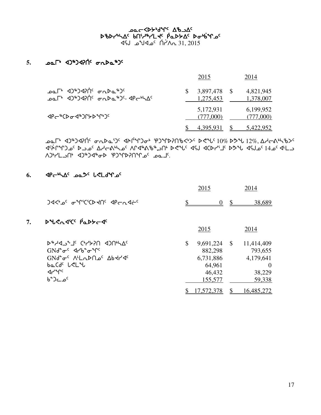# שפ⊂≺γ<sub>ף</sub>גע<sub>ל 7</sub>7 שפ⊂ ኦঙኦሥኣፊና የሀነጎ<sub>ኞ</sub>ነ୮ሩ የሚኦኦፊ ኦԺየይሌግ<sub>ና</sub> 145 AM <sup>2</sup>م4∀ه \_ ل1√

# 5. **par** 40<sup>\$</sup>)470<sup>c</sup>  $\sigma$ 2<sup>\$</sup>2<sup>c</sup>

|                                                                                     | 2015                      | 2014                   |
|-------------------------------------------------------------------------------------|---------------------------|------------------------|
| ᠊ᠣ᠌ᡅ <sup>ᠾ</sup> ᠂ᢦ᠑ᡃᢀᢃ᠋ᡇ᠒ᡃ᠂᠂ᡒᢆ᠗᠘᠉᠑<br>ᠴ᠋e᠆ ଏϽ <sup>ቈ</sup> Ͻ⊲ᠡᡗᡤ᠂᠂ᡒ᠘ᢂᡑ᠑᠋ᢩ᠂᠂᠀ᢄ᠆ᢣᠾ᠘ | 3,897,478 \$<br>1,275,453 | 4,821,945<br>1,378,007 |
| <b>⊲</b> ₧⋲®ℂϷ <b>ℴ</b> ϲϤ®ϽՐ⋟ϷჼՐჼϽ <sup>ϲ</sup>                                    | 5,172,931<br>(777,000)    | 6,199,952<br>(777,000) |
|                                                                                     | 4,395,931                 | 5,422,952              |

 $\Delta E^*$  <2)\*)<2)  $\Lambda$   $\Lambda$   $\sigma$   $\Lambda$   $\Delta$   $\sigma$   $\Lambda$   $\sigma$   $\Lambda$   $\sigma$   $\Lambda$   $\sigma$   $\Lambda$   $\sigma$   $\Lambda$   $\sigma$   $\Lambda$   $\sigma$   $\Lambda$   $\sigma$   $\Lambda$   $\Lambda$   $\sigma$   $\Lambda$   $\Lambda$   $\sigma$   $\Lambda$   $\Lambda$   $\sigma$   $\Lambda$   $\Lambda$   $\sigma$   $\Lambda$   $\Lambda$   $\sigma$   $\Lambda$   $\Lambda$   $\sigma$   $\Lambda$   $\Lambda$   $\Lambda$ ل 3GAC 3 موكان محمد الكلمة الكلمة الكلمة الكلمة الكلمة المحمد المحمد المحمد المحمد المحمد المحمد الم لـمه °مـ AJMPAYC و C4C\*C + AN-

# 6. **4PchAC base leldings**

|    |                                                                                | 2015            |               | 2014             |
|----|--------------------------------------------------------------------------------|-----------------|---------------|------------------|
|    | JAS' of THOMORY CONTE                                                          | \$<br>$\theta$  | $\mathbb{S}$  | 38,689           |
| 7. | $D^4C_0d^c$ $\beta_0D^c-d^c$                                                   |                 |               |                  |
|    |                                                                                | 2015            |               | 2014             |
|    | D&YQJ&JE CPYZZO AJUPYVE                                                        | \$<br>9,691,224 | $\mathcal{S}$ | 11,414,409       |
|    | $GMd^{\circ} \sigma^{\circ}$ $d\gamma b^{\circ} \sigma^{\circ} \gamma^{\circ}$ | 882,298         |               | 793,655          |
|    | GNG <sub>0</sub> C V <sub>L</sub> UDU 0 YP414                                  | 6,731,886       |               | 4,179,641        |
|    | baCdc LCLU                                                                     | 64,961          |               | $\left( \right)$ |
|    | $4r^{\circ}$                                                                   | 46,432          |               | 38,229           |
|    | <sup>6</sup> °ء∟د°                                                             | 155,577         |               | 59,338           |
|    |                                                                                | 17,572,378      |               | 16,485,272       |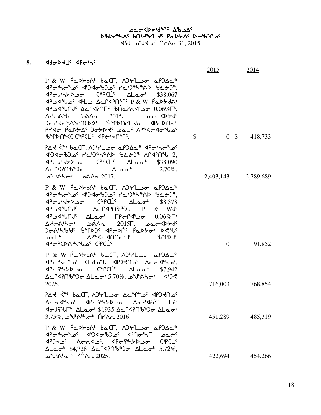# שפ⊂≺γ<sub>ף</sub>גע<sub>ל 7</sub>7 שפ⊂ ኦঙኦሥኣፊና የሀነጎ<sub>ኞ</sub>ነ୮ሩ የሚኦኦፊ ኦԺየይሌግ<sub>ና</sub> 14\\n<sup>c</sup> ∩∩`^^ 31, 2015

# 8. <br /> **Ado-D<J<<br />
<u><br />
Republished</u><br />
Republished<br />
Republished<br />
Republished<br />
Republished<br />
Republished<br />
Republished<br />
Republished<br />
Republished<br />
Republished<br />
Republi**

|                                                                                                                                                                                                                                                                                                                                                                                                                                                                                                                                                                                                                                                | 2015     | <u>2014</u>         |
|------------------------------------------------------------------------------------------------------------------------------------------------------------------------------------------------------------------------------------------------------------------------------------------------------------------------------------------------------------------------------------------------------------------------------------------------------------------------------------------------------------------------------------------------------------------------------------------------------------------------------------------------|----------|---------------------|
| P & W PaDSdat back, ADVL or aPDAa <sup>\$</sup><br>$\langle 1P_C U^{\mu} \rangle$<br>JPJJ LL ALPJAPI C P & W PaDbd<br>JP J JUN <sup>c</sup> ∆د AP J JP JUN <sup>c</sup> & DO JP J <del>J</del> o− 0.06% <sup>1</sup> ,<br>$\Delta t$ $\sigma$ <sup>2015</sup> $\Delta t$ $\sigma$ $\sigma$ $\sigma$ $\sigma$<br>᠍᠍᠍᠍᠍᠍ᠦ᠇ᢇᢣᡆ᠊ᡑ᠕᠖ᡃ᠓ᢉᢄᡔ᠄ᠪ᠂ᢧ᠉ᡗᢂ᠘ᢣᢍ᠌᠂᠂ᡘᡌᡄᢂ᠐ᡆ<br>$P Y 4\sigma$ $P \Delta Y \Delta C$ $P \Delta Y$ $P \Delta C$ $\Delta \Delta T$ $P \Delta C$ $P \Delta C$<br>BADAKCCBPCLC APERYDALS                                                                                                                                                 | \$       | $0 \quad $418,733$  |
| $P\Delta$ ל ל" $b\Delta$ (Г, $\Delta$ יץ $L\Delta$ ס $\Delta$ ף $\Delta\Delta^*$ $\Delta^*$<br>$\langle P_C U^{\mu} \rangle$<br>$\Delta$ $\subset$ $\Gamma$ $\triangle$ $\Gamma$ $\triangle$ $\Gamma$ $\triangle$ $\Gamma$ $\triangle$ $\Gamma$ $\triangle$ $\Gamma$ $\triangle$ $\Gamma$ $\triangle$ $\Gamma$ $\triangle$ $\Gamma$ $\triangle$ $\Gamma$ $\triangle$ $\Gamma$ $\triangle$ $\Gamma$ $\triangle$ $\Gamma$ $\triangle$ $\Gamma$ $\triangle$ $\Gamma$ $\triangle$ $\Gamma$ $\triangle$ $\Gamma$ $\triangle$ $\Gamma$ $\triangle$ $\Gamma$ $\triangle$ $\Gamma$ $\triangle$ $\Gamma$ $\triangle$<br>ے <sup>°</sup> ∪16 ה∧∧ם לי 102. |          | 2,403,143 2,789,689 |
| P & W PaD>da baCL, ADVL or aPDAa <sup>\$</sup><br><p<br></p<br> <p<br></p<br> <p<br></p<br> <p<br></p<br> <p<br></p<br> <p<br></p<br> <p<br></p<br> <p<br></p<br> <p<br></p<br> <p<br></p<br> <p<br></p<br> <p<br></p<br> <p<br></p<br> <p<br></p<br> <p<br></p<br> <p<br></p<br> <p<br></p<br> <p<br></p<br> <p<br></p<br> <p<br></p<br> <p<br></p<br> <p<br p<<br="" p<br=""><math>\langle 1P_C U^{\mu} \rangle</math><br/>4PJ4"UNJC ALao" FPCP4'Jo 0.06%F'<br/>ΔΑ-ΚΗΚ- 2015Γ. <b>Δα-Κ</b>ΑΗ<br/><u>) የልአልም የአልኩን የተማሪያ የሚን</u>ዮች እራብራ<br/>ᡌᡉᢁ᠘᠂ᡎ᠕ᢓ᠉ᡕᢄᡔᢂ᠕᠀᠗ᡔᢂᢉ᠓ᠪᡔ᠆᠉ᡆᡅ<br/><b>PCBALL</b> CPCL.</p<br>                                         | $\theta$ | 91,852              |
| P & W PaD>da baCL, ADVL or aPDAa <sup>\$</sup><br>JPC+hC+2C CLdo+L JPJKN2C ACnJ+12C,<br>$\langle P_C \left( \frac{1}{2} \right) P_C \right)$ $\sigma$ $\langle \frac{1}{2} \rho C \right)$ $\Delta L_{\alpha} \sigma^b$ $\langle 57, 942 \rangle$<br>Δcr4206 <sup>\$</sup> 3.70%, 2 4 4 4 4 4 5.70%, 2 4 4 5<br>2025.                                                                                                                                                                                                                                                                                                                          | 716,003  | 768,854             |
| $2\Delta$ ל ל $\Delta$ סבור, A) $\Delta$ רבוס $\Delta$ כ"ר סביר קומצים כי A $\Delta$ ל<br><br>International Accredity Alarthmy-Alarthmy-Alarthmy-Alarthmy-Alarthmy-Alarthmy-Alarthmy-Alarthmy-Alarthmy-Alarthmy-Alarthmy-Alarthmy-Alarthmy-Alarthmy-Alarthmy-Alarthmy-Alarthmy-Alarthmy-Alarthmy-Alarthmy-Alarthmy-A<br>$3.75\%$ , א <sup>ו</sup> לא <sup>ו</sup> ס האלים AYA 2016.                                                                                                                                                                                                                                                            | 451,289  | 485,319             |
| $P & W \rho_0$ $\Delta P$ $\Delta P$ $\Delta \phi$ $\Delta P$ $\Delta \phi$ $\Delta P$ $\Delta \phi$ $\Delta P$<br><b>Pchrome - ADPort - APC+ - APC+ - APC+ - APC+ - APC+ - APC+ - APC+ - APC+ - APC+ - APC+ - APC+ - APC</b><br>$\Delta$ Lao <sup>6</sup> \$4,728 $\Delta$ cr<br>4706\$) $\Delta$ Lao <sup>6</sup> 5.72%,                                                                                                                                                                                                                                                                                                                     | 422,694  | 454,266             |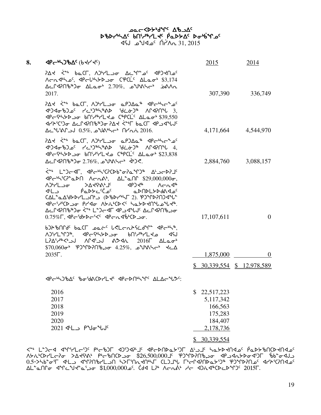# שפ⊂≺γ<sub>ף</sub>גע<sub>ל 7</sub>7 שפ⊂ ኦঙኦሥኣፊና የሀነጎ<sub>ኞ</sub>ነ୮ሩ የሚኦኦፊ ኦԺየይሌግ<sub>ና</sub>  $\sim$ CAS 31, 2015 أ $\sim$ ه $\sim$ لا $\sim$ ه  $\sim$

| 8. | $\Delta P$ C <sub>P</sub> L)B $\Delta C$ (bdr dc)                                                                                                                                                                                                                                                                                                                                           | 2015                                                                    | <u>2014</u>                             |
|----|---------------------------------------------------------------------------------------------------------------------------------------------------------------------------------------------------------------------------------------------------------------------------------------------------------------------------------------------------------------------------------------------|-------------------------------------------------------------------------|-----------------------------------------|
|    | Arnsho', Printhon CPCL' ALao' \$3,174<br>$\Delta$ <r <math="" a2n&="">\Delta AL <math>\sigma</math> and <math>\gamma</math> and <math>\sigma</math> and <math>\Lambda</math><br/>2017.</r>                                                                                                                                                                                                  | 307,390                                                                 | 336,749                                 |
|    | $P\Delta t$ <" $b\Delta CT$ , $\Delta b$ $rL$<br>4PC4539,550<br>Ac "VA" - 0.5%, 2016 וכאל Ac "VA"                                                                                                                                                                                                                                                                                           |                                                                         | 4,171,664 4,544,970                     |
|    | $P\Delta$ ל לْ $\Delta$ סברך, האירב סי סי<br>4PC443338 C*PCL C*PCL C+823,838<br>Δ⊆Γ47Πზ <sup>ቈ</sup> Ͻσ 2.76%, گ <sup>υ</sup> ა\¬( - 40)<.                                                                                                                                                                                                                                                  |                                                                         | 2,884,760 3,088,157                     |
|    | <sup></sup> <҅ L <sup></sup> ᠊Ⴢ┌⊲୮、 ⊲₧᠆ჼᢣ <sup>ᡕ</sup> ᢗ?ᢗᢂᢧ᠆ᡒᡆᠲ᠀<br>$\langle 1 \rangle$ CP <sup>+</sup> aDN ACAA <sup>6</sup> , AL <sup>+</sup> aNP \$29,000,000o,<br>V), YF <sup>U &gt;</sup> V4devilc 4b)4r VCV4r<br><b>া</b> ∟ು<br>$CAL^a\Delta^a$ }>Dr'L) (DibDr'ist 2). PJ*PP?NJd*U*<br>dp-idicDo Prdo Abitle CD <c habbenlalder.<br="">∆⊂Ր⊲ንႶჼჁჂჿ &lt;՟՟ L՟Ⴢϲ⊲ℾ ⊲₧⊿ႡႰ ∆⊂Ր⊲ንႶჼႱͻσ</c> | 17,107,611                                                              | $\overline{0}$                          |
|    | b)A&MCdc baCL pactc leLcnAScdine dPcht,<br>WACHAL and purifyll of ARTAL AST<br>LPAS JU AP 45 JU AD 45 CLA LAL 45<br>$$70,060\sigma$ የጋግንበየአጋ $\sigma$ 4.25%, $\omega$ ህየለአ $\tau$ $\leftarrow$ $\Delta$<br>$2035\Gamma$ .                                                                                                                                                                   | 1,875,000                                                               | $\theta$<br>$$30,339,554$ \$ 12,978,589 |
|    | PCNJbAC bodACD7LP PCDNNPC ALACUDE:                                                                                                                                                                                                                                                                                                                                                          |                                                                         |                                         |
|    | 2016<br>2017<br>2018<br>2019<br>2020<br>2021 JL PUJU                                                                                                                                                                                                                                                                                                                                        | \$22,517,223<br>5,117,342<br>166,563<br>175,283<br>184,407<br>2,178,736 |                                         |
|    |                                                                                                                                                                                                                                                                                                                                                                                             |                                                                         |                                         |

A84 A344444 C3ySt XPCb7f C253GS r4ocgu yC3-3 c42-b7f 1425 1425 1426 c424 xc5 1426 cل4&\*di JC4bac4لa-48 r4och/Ch/Lc-7 بحرانة S26,500,000 وA5t+Ch/Lc-7 بمكتابة A5 יב 15×10Po 3c ולארצי 15 ילא 1400Pa ילכ-130 T+c-CL3 הבו לאך לאך 3.5 o.5-Xb\*o^F שלאל-0.5 AL"م10 ^ 14°C"Jلا من 1,000,000 من (15 من من من المحمد بن المحمد بن المحمد بن المحمد بن المحمد بن ال

\$ 30,339,554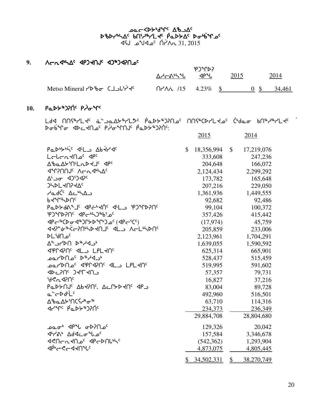# שפ⊂≺γ<sub>ף</sub>גע<sub>ל 7</sub>7 שפ⊂ ኦঙኦሥኣፊና የሀነጎ<sub>ኞ</sub>ነ୮ሩ የሚኦኦፊ ኦԺየይሌግ<sub>ና</sub>  $\overline{45}$   $\overline{6}$   $\overline{11}$   $\overline{12015}$   $\overline{11}$   $\overline{2015}$

# **9.** WoEx4nw5 xrgJtA5 xg6gxDtk5 WoEx4nw5 xg6gxDtk5

|                           | ∆ᢣᡄል⊾৲Ⴠ                                                                                                                                                                                                                                                                                                                                                                           | <b>P</b> PLP<br>⊲Ρ"ს | 2015 | 2014   |
|---------------------------|-----------------------------------------------------------------------------------------------------------------------------------------------------------------------------------------------------------------------------------------------------------------------------------------------------------------------------------------------------------------------------------|----------------------|------|--------|
| Metso Mineral アトレー (ココレビィ | $\bigcap$ $\bigcap$ $\bigcap$ $\bigcap$ $\bigcap$ $\bigcap$ $\bigcap$ $\bigcap$ $\bigcap$ $\bigcap$ $\bigcap$ $\bigcap$ $\bigcap$ $\bigcap$ $\bigcap$ $\bigcap$ $\bigcap$ $\bigcap$ $\bigcap$ $\bigcap$ $\bigcap$ $\bigcap$ $\bigcap$ $\bigcap$ $\bigcap$ $\bigcap$ $\bigcap$ $\bigcap$ $\bigcap$ $\bigcap$ $\bigcap$ $\bigcap$ $\bigcap$ $\bigcap$ $\bigcap$ $\bigcap$ $\bigcap$ |                      |      | 34.461 |

# 10. **PaD**><sub>\$</sub>)?ሰሩ P*j*σትና

لام المالك التي المعاملة المعاملة المعاملة المعاملة المعاملة المعاملة المعاملة المعاملة المعاملة الت sins art and the chique for the context relation of the context point of the context of  $\epsilon_1$ 

|                                                                                                      |              | 2015       |               | 2014       |
|------------------------------------------------------------------------------------------------------|--------------|------------|---------------|------------|
| Padbytic diL Abtrde                                                                                  | $\mathbb{S}$ | 18,356,994 | \$            | 17,219,076 |
| Lebentho <sup>c</sup> dpc                                                                            |              | 333,608    |               | 247,236    |
| Δ <i>'</i> baΔb'Π'LλD 4J' < 1PC                                                                      |              | 204,648    |               | 166,072    |
| <b>JANUL VEUJAY</b>                                                                                  |              | 2,124,434  |               | 2,299,292  |
| Δ' <sub>-</sub> σ < 4)') <                                                                           |              | 173,782    |               | 165,648    |
| <b>JHDLKNIKAC</b>                                                                                    |              | 207,216    |               | 229,050    |
| حماد <sup>ر </sup> ∆د <sup>⊿</sup> ⊿ے                                                                |              | 1,361,936  |               | 1,449,555  |
| bduleDUc                                                                                             |              | 92,682     |               | 92,486     |
| Padday's detectic dels ipjachenc                                                                     |              | 99,104     |               | 100,372    |
| PJMPPNC <pc+57*bi_c< td=""><td></td><td>357,426</td><td></td><td>415,442</td></pc+57*bi_c<>          |              | 357,426    |               | 415,442    |
|                                                                                                      |              | (17, 974)  |               | 45,759     |
| ᢦ <b>ᠢ᠈᠆</b> ᡷ᠊ᢥᡬ᠆᠈᠐ᡰᠰᢂᢣ᠙᠋ᡕ᠆᠂ᢦᡌᢇ᠈᠂᠋ᠰᡄᡯᢂᡫ                                                             |              | 205,859    |               | 233,006    |
| ∍مـ∩⊌'∟⊲                                                                                             |              | 2,123,961  |               | 1,704,291  |
| ムプレトタイム しょくしょ                                                                                        |              | 1,639,055  |               | 1,590,592  |
| <b>JPMAPMS ALL LPLAMS</b>                                                                            |              | 625,314    |               | 665,901    |
| ∗د4∿*⊄ <sup>∍</sup> مـ∩⊄⁄∟ەمـ                                                                        |              | 528,437    |               | 515,459    |
| IPLKN <sup>،</sup> APM الحاكة APM كمطلعات                                                            |              | 519,995    |               | 591,602    |
| <b>JALIU</b> C JALAU                                                                                 |              | 57,357     |               | 79,731     |
| ჼᲫ <b>ぐ</b> Ⴠ◁ʔႶ <sup>ჺ</sup>                                                                        |              | 16,827     |               | 37,216     |
| PaDYNJ <sup>c</sup> AbKPNS, ACPYDKNS <p< td=""><td></td><td>83,004</td><td></td><td>89,728</td></p<> |              | 83,004     |               | 89,728     |
| a-CDdLLc                                                                                             |              | 492,960    |               | 516,501    |
| ᠘ᡃᡃᢐ᠌ᡅ᠘ᡃᡔᡃ᠌᠓ᢗ᠊᠍ᡪᢇᡃᡃ᠋ᢦ᠆᠋᠍᠍᠊ᡑ                                                                          |              | 63,710     |               | 114,316    |
| JYºC PQDY®J?NC                                                                                       |              | 234,373    |               | 236,349    |
|                                                                                                      |              | 29,884,708 |               | 28,804,680 |
| <sup>6</sup> مـ∩?A⊳ با∿°4 *مـه                                                                       |              | 129,326    |               | 20,042     |
| ליך∧י ∆לככס <sup>4</sup> ים <sup>כ</sup>                                                             |              | 157,584    |               | 3,346,678  |
| <b>JPDDCATAL JPCDALLS</b>                                                                            |              | (542, 362) |               | 1,293,904  |
| <sup>বβ</sup> °়<−ব≺∩° <sup>ে</sup>                                                                  |              | 4,873,075  |               | 4,805,445  |
|                                                                                                      | \$           | 34,502,331 | $\frac{1}{2}$ | 38,270,749 |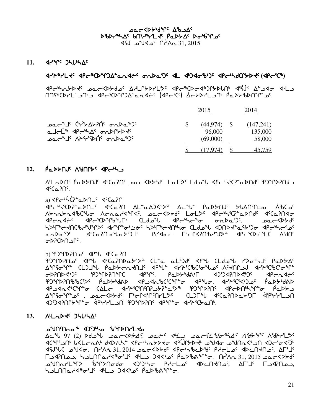bac <br />
Andre ab scsy4nw5 vt3h6ymJ5 `rNs/w5 si4`vqk5 vt3h6ymJ5 `rNs/w5  $\sim$  31, 2015  $\sim$  12  $\sim$  12  $\sim$  31, 2015

11. *dence* Julyas

# xyp6ymJ5 xro6bsqgw8NEx~o5 iEsN3g5 xm x4gxic4g5 xro4nfbQ/sJ5 **(**xro3b6**)**

ero the formal speck where the control of the state of the state of the state of the state of the state of the s tthC6bsym3dt(SPC) arc<sup>1</sup>C6ptC9 Garrier (GPC<sup>1</sup>C9 ACPPL-Clipted information)

|                                                                         | 2015                                | 2014                           |
|-------------------------------------------------------------------------|-------------------------------------|--------------------------------|
| ᠴ᠌᠖ᠴ᠖ᠸ᠅ᢥ᠈ᢣ᠘ᢣ᠑ᡤ᠂ᢐ᠘ᢂᠴ᠑ᠻ<br>a Jalin Jeriya Gabryay<br>᠊ᢁᡏ᠆ᡒ᠆ᡁ᠂᠈ᢣᢄᢣᢗᢂᡁ᠂ᢆᠴᢁ᠆ | $(44.974)$ \$<br>96,000<br>(69,000) | (147,241)<br>135,000<br>58,000 |
|                                                                         | (17.974)                            | 45,759                         |

# 12. Paddol<sup>c</sup> Aidners apends

W-Ladns Paddus ssambo agesday Lolds Laday spensional pomphology  $4cC<sub>Q</sub>$ 

a)  $\mathcal{AP}$ chich $\mathcal{CP}^{\bullet}$ a $\mathcal{P}$ N $\mathcal{CP}^{\bullet}$  x<sup>c</sup>Ca $\mathcal{P}$ N

**xpc+\SCDP+aDNJS deCaPN AL+aAJ&>+ Ac+L+ PaD>NJS >LANSNJo+ λ&Cps** W/nE/Excbzi WoENhxqX5. kNoXs/f5 mimK5 xro4n3bD8Nstf5 x5bNDtxi **Proditional state of the controver and the control of the control of the state of the state of the state of t** h>406bdy975 dd 100 h>400 cldo 10000 dnpd 10000 dp iEsN3g5 x5bNDtkzN/3gj5 ryxio u4oQxDtchaK6 xro3bs~M3mb Wdt5 isDbstlQ5 .

b) PJ\*PP?N - 4P\*U < 4°CaPN

egqsDtk5 xrz x5bNDtsN/3S6 bm8N Nm4gf5 xrz bmfkz yKi4nj5 `rNs/w5 AMSGML CLJJH PLDSCRKUJS JPHL JYPSCPGGHLOS ASKULJJ JYPSCPCSGML ottable to the top of the particle and the top of the control to the control of the cost of the control of the <br>The state of the cost of the control of the control of the control of the control of the control of the contr edthasport to the state of the state of the state of the state of the state of the state of the state of the s krladi boshi bumo xip-bili bumo xip-bili bumo xip-bili bada ya bashtari bada dha arabi aliya xipsi dha bada dh AMSoMLoC . bac<bbdc LiqSAChoLiqSc . CLJLW <CaPUbabSJL <APIYL\_O xg3gxDtQ/q8i `xr4yymlt egqsDt5 xrq8i xyp3b/Nt4.

# 13. ALLADE JHULAC

# **ainmation in the search of the search of the search of the search in the search in the search search in the se**

 $\Delta$ c<sup>a</sup>l 97 (2) do the part  $\Delta f$ , part of the particle  $\Delta f$  of  $\Delta f$  of  $\Delta f$  of  $\Delta f$ kttp-3 أحياج محاجمة de=4 fxS-b+c حياتهم المحاجر المحاجر المحاجر المحاجر المحاجر المحاجر المحاجر المحاجر المحاجر xCAzb kaxi. tyW~E 31, 2014 kNoXs/f5 xro4ncMsd5 rhomk5 xsMtJtk5, wu3j5 ULAAN C CHADAG 31, 2015 ALAN 1- C CHAGH 2015 ACHOC CHAC 31, 2015 مصدحكاة لاسم المكافرة kation of the Cate of Cate of Cate in the Cate of the Cate of the State of the Cate of the State of the State o n - Sulnna - Sart Chias - Sart Chias - Sart Chias - Sart Chias - Sart Chias - Sart Chias - Sart Chias - Sart C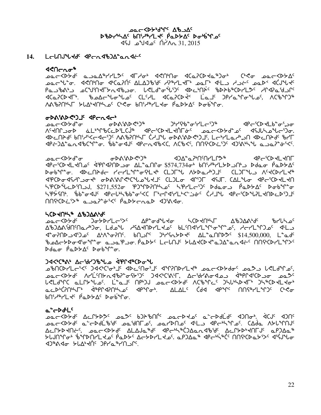**DOCCDLAGALE** ϷჼϷϒჼϞϪͼͺ*Ϸ*Ϣ;ϞϧϚͿͳϟͼͺϸ<sup>ϭ</sup>ʹϷϒϘͼͺϷ**ʹ**ϲϧϟͺͳϘͼ 1.2015  $\Lambda$ 1/ 10° مكك مكتاب بايد

#### LCLNJLtd<sup>c</sup> dPCndb)A-andt- $14.$

## $490 \text{cm}^2$

<sup>ᡗ</sup>ᡆ᠌᠘᠕ᡒ᠅ᠴ᠂ᢅᠣᢗ᠕᠕᠊ᠰ᠘ᢣᠮᢞᡳᢃᢔ᠀᠌ᠣ᠃ᡁᡭ᠘ᠲᠣᢋᢥ᠒ᢄ᠂ᡕᡌᢂ᠘ᢓ᠅᠂ᠾᢂ᠖᠄ᡆᢂ ᡏᢗᡉ᠌᠌᠌᠌᠌᠌᠌᠌᠌ᠻᢗᠣᢈᡛ᠂᠂ᡁ᠗᠘᠆ᡩᠾᡉᠲᡁ᠖᠂᠘᠘ᢣᡌ᠂᠂ᡘᢗ᠗ᡁ᠘ᡗ᠘᠂᠘ᡗᡉ᠗ᡁ᠘ᡗᡉᡁ᠖᠂ᡘᢗᢠ **ΛΑ**ჼԵ?Ո<sup></sup>ᡃᢣ᠌Ӷ᠂ᡔႱΔ<sup></sup>ᢣᡪ᠓ᡰᢣᢩ᠘᠌᠌ᢄ᠂ᢗᡃᢦ᠋ᡒ᠂᠖᠓ᡩ᠉᠊᠘ᡫᢦᠣ᠂ᢆᠹᡆᢂᢣ᠘ᠻ᠂ᢂᡉᡠᢆᡃᡗᡉ

# **GDAWDSDIE PEGSE**

ᠴ᠋᠍᠍᠋᠋ᠦ᠆<Ϸᢣď᠂ᡋ᠊᠁ᢐᢂ᠕ᢂᢂᢂᢂᢂ᠉ ᠍᠉ᡃᠠ<sup>᠋</sup>ᠻᡃ᠍᠍᠍᠍᠍᠍ᡈᡱ᠆᠈ᢆᢞ᠂᠂᠂᠂᠂᠂᠂᠂᠀ᢞ᠆᠂ᢉᢂ᠂᠀ᢞ᠆᠃᠀ᢞ ᠰ᠍ᢈᡃᡪ᠓᠊᠍ᠣᠣᢂᢠ᠘ᡶ᠈ᡩᢂᢄᢗᡔᢂ᠘ᡕᠿ᠉᠌᠂᠂᠙ᡄ᠄ᢗᢂᢣᡄᡃ᠓ᡖ᠅᠃ᠴ᠖ᡄ᠆᠀ᢂᡎᢥ᠘ᢆ᠅᠐ᢐ ᡕ᠐ᢄ᠊ᢕ᠘ᡆ᠄᠕ᡤ᠕ᡊᡄᡏᡄ᠀᠂᠕ᡘ᠖ᡅᢂ᠘ᡫ᠐᠅᠕ᡐ᠖ᡕᡅᡫᠢ᠑᠆ᢔ᠓ᡐ᠐᠅ᠾᡔᢂ᠘᠒ᡐ᠓᠅᠗ᠰ᠐ᠢᠾ 

TPYXADCPJ\$40ACAPMALLPXACACAPCDCLXACACAPGA ᠴ᠋ᡉᡄ᠆᠀᠌ᢂᡱᡉ Dobin o. <Dcn>dc rcrLin-ofL <br />
CL)L <br />
CL)L <<<<<</>
CL)L <<<<</>
CL)L <<<<</>
CL)L <<<<</>
CL)L <<<<</>
CL)L <<<<</>
CL)L <<<<</>
CL)L <<<<<</>
CL)L <<<<</>
CL) ᡰ᠋ᡪᡃᡝᢗ᠌᠍**ᢂ**ᡫᡅ᠘ᢣ᠓ᠴ᠕᠂ᢠᢃ᠌᠘ᡸᢃᢓᡉ᠂ᡏ᠑ᡨᡗᢂᡙ᠗ᠻ᠂ᠷᡃ᠙᠘ᡫᡄ᠑ᠻ᠂ᢂᡆᠣᠴ᠂*ᡭ*ᡆᢂᢣ᠘ᠻ᠂ᢂᠤᡈᡃᡗᡱᠣ ᡃᡪᡃ᠌᠍ᠹᡃᢣ᠍ᡪ᠓ᢣ᠂᠂ᠾᠲᡉᡏᡆ᠑ᡁ᠆ᡘᡇᠲᠾᢂᡁᡈᡑᠾ᠌ᡱᡳᢄ᠆ᠾᠲᠾᢂᡕ᠘ᢣᢗᠴᡠᢗ᠖ᡫ᠕ᡆᡏ᠂᠕ᡛ᠆ᡁᡗᡉ᠕ᠾ᠆ᡁᡗᢓᡳ᠑ᡫ  $\bigcap \{ \forall k \in \mathbb{N}^n \mid k \geq 0 \}^n \sigma^k \langle k \mid \rho_{\alpha} \rangle \}$ 

# **LCD 40h/& ABJAG4G**

᠍᠊ᠣᡆ*ᡄ*᠆᠀᠌ᡖᢂᡁ᠂᠖ᢣ᠐᠘᠖ᢣ᠑ᡁᢄ᠂᠗᠖ᢣ᠐ᢣ᠓᠉ᢠ᠑᠘ᡘ᠅᠕᠅᠑ᢣᡗᡳ᠘᠖ ᠘ᡃᡃᡅ᠑᠋᠊ᢕ᠙᠆ᡰ᠉᠘᠂᠘ᡧ᠑ᠰ᠂᠘ᡧ᠘ᢂ᠘ᢣ᠐᠂ᠾ᠘ᡧ᠘ᡧ᠘᠕ᡧᡗᡕ᠘ᡁᡑ᠅᠂᠂ᠾ᠆ᡗ᠓᠅᠂᠂᠂᠂᠂᠂᠂᠂᠘᠆᠕᠘᠀ bedc>Dodioin= a\_pap\_o.PaD> LcLNJ >LAdCDd=a)A-andi MNiCD7LIP>  $Pdq$   $\sigma$   $\beta q$  $\beta \gamma \Delta$   $Pdq$  $\gamma$  $\sigma$ 

# **JAC'SA' Ac'dr')by a diprotice the Jackson Actions**

ـەلە(ACP)-كەن ئەرەر ئەلىرى ئىلگەن ئىلگەن ئەھەم ئەھەم ئەھەم ئەھەم ئەرەبى ئەھەم ئەھەم ئەھەم ئە ᠊᠍ᠣᡆᡄ᠊<Ϸᢣď ለᠨᡃĹ<sup>ᡕ</sup>᠓ᢣ*ᡞ*ᡳᡏᡃ᠗ᡝ᠆ᢐ᠊ᢉᢣ<sup>ᠬ</sup>᠑ᡣᡝᢗᡃᢗᡝ᠋᠔ᢣ᠋ᠮ᠂᠂᠘ᡄᡃᢦᡰ᠍᠊᠕ᢦ᠊ᢦᡆ᠑ᠴ᠂᠂ᢤᡃᡅ᠋ᡗ᠊ᡏᢉᡚᢖᠣ᠂ᠴᡆᢓ<sup>ᢩ</sup> لكل الملك المستقاري المحمد المحمد المستقار المستقار المستقار المستقار المستقار المستقار المستقار الم مدله *فرق الملاحق المعارف المعارض الملك المطرح المعارف المعارف المراقص* المراقص المعارف المعارض الم ᠊᠖ᡤᢞᡑᡃᡗ᠘ᡕ᠍ᡕ᠂ᢆᢆᠾᢂᢣᡌᠻ᠂᠖ᡆ᠖ᠾ

#### at-DdLC

ـمعرد للماء المسابقين المعرفين المسابق المعروفي المسابق المسابق المسابق المسابق المسابق المسابق الم ـمهج<4>ط مـْجـ40أرُهُ'ط ـمه 'طالـه'. ـمهدا40ه' طلب ط1حه 10 شهر. تمام الجار 101° ACLYDYNES POCKDAG ALAJQ&qc dbCph&C)VoUq&qc ACLYDp4UL1c dbJVd& ᢣႱ᠕᠋ᠳ᠃ᢠᠰᢂ᠕ᢣ᠘ᢣ᠍ᢩᠣ᠂ᠹ᠋᠊ᢘᢂ᠘ᡄᢣᢂᢣ᠘ᢣ᠍ᠣ᠍ᡣ᠂ᡆ᠑᠋᠘ᡆ᠃᠋ᢦᡗᢞᢈᡝ᠂᠓ᡤᢗᢂᡆᢣ᠈ᡔ᠂ᡏᡃᡲ᠍ᠨᡃᡃᠾᠣ **MARGALIAN SPYSION ADARGE**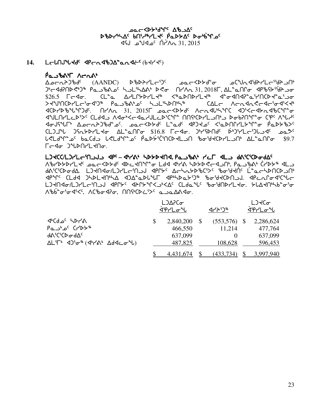AC YOYSIAN AB scsy4nw5 vt3h6ymJ5 `rNs/w5 si4`vqk5 vt3h6ymJ5 `rNs/w5  $\sqrt{45}$  -  $\sqrt{45}$   $\sqrt{17}$   $\sqrt{21}$   $\sqrt{17}$   $\sqrt{215}$ 

# **14.** L<del>e</del>lMJ Jd<sup>e</sup> dpendb) A and is (bdd ds)

 $\overline{P}$ 

McKb+dda (AANDC) suckbbd\*c الرحمة المحركة المحركة المحرمة المحرمة المحرمة المحرمة المحرمة المحرمة ال g4oxfDts?4g6 rNlc=k5 nlm3nw=4 s?i tyWE 31, 2018u, wm8NtQi xrcC/3`dpli  $$26.5$   $\Gamma$ < $\sigma$ .  $CL^2$   $\Delta$ / $LT$ > $PL\tau$ <sup>4</sup> < $\Delta$  $\Delta$  $PL\tau$  $\lambda$ <sup>4</sup> < $\sigma$  $\Delta$  $\Gamma$  $\lambda$  $\tau$ <sup>2</sup>  $\Delta$  $\tau$ SJa3tbsymo3ix3g6 rNlc=4k5 nlm3nst4n6 bwmo WoExE?oxo3ix3XJ4  $\begin{array}{cccccc} \mathsf{A} & \mathsf{B} & \mathsf{B} & \mathsf{B} & \mathsf{B} & \mathsf{B} & \mathsf{B} \end{array} \end{array} \begin{array}{cccccc} \mathsf{A} & \mathsf{A} & \mathsf{B} & \mathsf{A} & \mathsf{B} & \mathsf{B} & \mathsf{B} & \mathsf{B} & \mathsf{B} & \mathsf{B} & \mathsf{B} & \mathsf{B} & \mathsf{B} & \mathsf{B} & \mathsf{B} & \mathsf{B} & \mathsf{B} & \mathsf{B} & \mathsf{B} & \mathsf{B} & \mathsf{B}$ xamtymMs3S5 bmfxl Wxi4XoxNhAmMs3bq8 ttC4bsymlt4l sivDtq8i be5 Wzh5 xiACzu4 wkoEpgcf8k5. kNoXs/f5 m8Nf5 xrgJk5 X3NstQym/q8i `rNs/cS5  $CDJ^4$   $D625P/L3\sigma$   $\Delta L^2\alpha\Omega\sigma$   $316.8$   $\Gamma$  $\sigma$ 3 $\sigma$ .  $D^4$  $D63P/L^2$  $D^5L^2\sigma^3$ Z?mfq8k5 vNbfl Z?mfq8k5 `rNs`/3`b3tbsJmlt cidJbsymlt4 wm8NtQi \$9.7 rdd Judnaldo.

# mgJbb**/**mgymo3tlAl xr5 **–** x4y=4 ns/sJtx**,** rNlc=4 yMu xml f=3b3bsifw5

 $\Lambda$ brdddrla packdda adcalal ad arm hddacadn, pa sba' (rdda al ft/abady. Lating-/Lation delte verturaless peddic Lacradica Jup BMFC CLdA JSDLKNSA AJA°aDlUL APSSD259 boStKDNJJ. APCLPoACUC LJKN4o/LJYLciNJJ 4PN5c 4AN5inKJpKRc (LdailchofalandIKLKo. blaknikbiofo A%b ~ 6 4 XX AC%0 4 A . ANG CO 2 X . ANG A 4 A .

|                                                                                                                                     | $L$ ) $\Delta$ $\Gamma$ $\sigma$<br>ৰ্ণপ∟ত্শ | イトリッ                     | L <sub>3</sub><br><u>ϤϷϚΓͲͼͳͿ</u> |  |
|-------------------------------------------------------------------------------------------------------------------------------------|----------------------------------------------|--------------------------|-----------------------------------|--|
| $\triangle$ ን< $\triangle$ ን ትራ<br>$PA^c$ C <sub>L</sub>                                                                            | \$<br>2,840,200<br>466,550                   | $(553,576)$ \$<br>11,214 | 2,286,624<br>477,764              |  |
| ϥϒ͵;Ϲ͵ϹϷϘϥͲϲ<br>$\Delta L$ ' $\Gamma$ '<br>$\Delta$ )' $\sigma$ '' $(\Delta$ ' $\gamma \Delta$ ' $\Delta$ d< $\sigma$ '' $\Delta$ ) | 637,099<br>487,825                           | $\theta$<br>108,628      | 637,099                           |  |
|                                                                                                                                     | 4.431.674                                    | (433,734)                | 596,453<br>3,997,940              |  |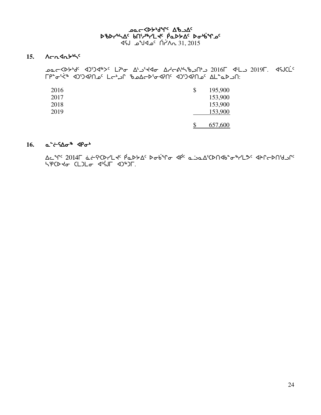# ᢧ᠗ᢠᢂᠾ᠕ᡒ᠗᠂ᠾ᠗᠂ᠾ᠗᠂᠀<br>᠔᠖ᡫ᠈ᠾᢂ᠂᠑ᡐᡄ᠆᠀ᠾ᠈ᢪ᠘ᢣᢄ᠂ᡁᢆᡉᢂ᠘<br>᠗᠖ᢂᢣ᠉᠘ᢄ᠂᠕ᡥᢣᢂ᠅ᡗ᠅᠕ᠪ \_31, 2015 ∩Nبُ∩ <sup>0</sup>م4⊌°م ل%

# $15.$  Acashbus

2019F. 4SJCL<sup>c</sup> د 2016F 4 د 2016F 4 د محاجر مكان محاجر محاجر محاجر محاجم محاجر محاجم مع ∩د AL°ه'k (1) که CP°ه'k د Lc+ی (۲۵-۱۹۶۵ م) CP°ه'k (۲۵-۱۵).

| 2016 | \$<br>195,900 |
|------|---------------|
| 2017 | 153,900       |
| 2018 | 153,900       |
| 2019 | 153,900       |
|      | 657,600       |

# 16.  $a^{\prime}$  $\leftarrow$   $\Omega \sigma^*$   $\Phi \sigma^*$

Δε<sup>4</sup>Γ<sup>ς</sup> 2014Γ άστιο Ρίκλε Ρούτο Δρούτο Δροφίζοπου της αλΓσρηίας SPCD to CLOL of digit dond F.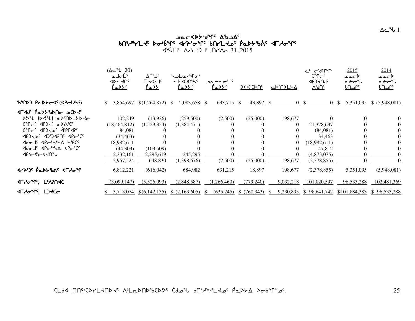# kNoXs/4fq5 wclw5 wclw5 vt3h6ymJ5 si4`vq5 xyp3iq5 si4`vq5 xyp3iq5 vtymJk5 `rN vtymJk5 `rN vtymJk5 `rNs/c`=5 xuhiq5 s/c`=5 xuhiq5s/c`=5 xuhiq5  $\begin{array}{ccc}\n\mathsf{div}\ \mathsf{div}\ & \mathsf{div}\ & \mathsf{div}\ & \mathsf{div}\ & \mathsf{div}\ & \mathsf{div}\ & \mathsf{div}\ & \mathsf{div}\ & \mathsf{div}\ & \mathsf{div}\ & \mathsf{div}\ & \mathsf{div}\ & \mathsf{div}\ & \mathsf{div}\ & \mathsf{div}\ & \mathsf{div}\ & \mathsf{div}\ & \mathsf{div}\ & \mathsf{div}\ & \mathsf{div}\ & \mathsf{div}\ & \mathsf{div}\ & \mathsf{div}\ &$

|                                                                                                                                                                                                                                                         | $(\Delta c^4L 20)$<br>a JeL'<br>ৰ⊳⊂⊀∪ <sub>ে</sub><br><u>PaDYS</u>                      | ∆Γ'⅃ <sup>ϲ</sup><br>$\Gamma$ -42 $\Gamma$<br><u>Pa DY</u> | ᡃ <b>ᡪ</b> ᠊᠘᠘ <i>ᢣ</i> ᡏ᠍ᡃᢦ <sup>ᡪ</sup><br><b>- 7c &lt;1)Untc</b><br><u>PaDYC</u> | ∟'مم−مه<br><u>PaDYS</u> | <u> )d&lt;'CDN'</u>                     | <u>⊾⊳'∩⊳L≻∆</u>                                                                 | ᡅᡃᠮ᠋ᠥᡃᡃᢦ᠓ᠰ᠌<br>$C^{\alpha}C^{-c}$<br><b>AbJAUL</b><br>$\overline{V_{\ell}$ ۹U $_{\epsilon}}$ | 2015<br>⊾صمہ<br>مخەن                     | 2014<br>⊾مصه<br>مخ∼س<br><u>یں ام</u> |
|---------------------------------------------------------------------------------------------------------------------------------------------------------------------------------------------------------------------------------------------------------|-----------------------------------------------------------------------------------------|------------------------------------------------------------|-------------------------------------------------------------------------------------|-------------------------|-----------------------------------------|---------------------------------------------------------------------------------|----------------------------------------------------------------------------------------------|------------------------------------------|--------------------------------------|
| BYD) PaDYCSS(SPCLWS)                                                                                                                                                                                                                                    | 3,854,697<br>S.                                                                         | \$(1,264,872)                                              | 2,083,658<br>-SS                                                                    | 633,715<br>-SS          | 43,897 \$<br>-S                         |                                                                                 | 0S<br>$\theta$                                                                               | 5,351,095<br>-S                          | \$ (5,948,081)                       |
| ⊲Г⊲ď Р°ФААРР∪Ф РСР<br>DOU (DRU) aDCODLYDYO<br>CM <sub>C</sub> C dp J <sub>SC</sub> & DViCc<br>CAL - dbJSPc qabLdsc<br>JPJ JAP CCCD JapCCC<br><b><ddc <ddc+l+la="" b="" l+pcc<="" 」c=""><br/><b>Adoule APC++LA APC+CC</b><br/><b>ぐんしょく</b> イント</ddc></b> | 102,249<br>(18, 464, 812)<br>84,081<br>(34, 463)<br>18,982,611<br>(44,303)<br>2.332.161 | (13,926)<br>(1,529,354)<br>(103,509)<br>2,295,619          | (259,500)<br>(1,384,471)<br>245,295                                                 | (2,500)                 | (25,000)                                | 198,677<br>$\theta$<br>$\theta$<br>$\theta$<br>$\theta$<br>$\theta$<br>$\Omega$ | 21,378,637<br>(84,081)<br>34,463<br>(18,982,611)<br>147,812<br>(4,873,075)                   | $\Omega$                                 | 0<br>$\theta$<br>$\theta$            |
| <b><br/> T<br/> A<br/> T<br/> A<br/> T<br/> A<br/> T<br/> A<br/> T<br/> A<br/> T<br/> A<br/> T<br/> A<br/> T<br/> A<br/> T<br/> A<br/> T<br/> A<br/> T<br/> A<br/> T<br/> A<br/> T<br/> A<br/> T<br <="" b=""/></b>                                     | 2,957,524<br>6,812,221                                                                  | 648,830<br>(616, 042)                                      | (1,398,676)<br>684,982                                                              | (2,500)<br>631,215      | (25,000)<br>18,897                      | 198,677<br>198,677                                                              | (2,378,855)<br>(2,378,855)                                                                   | 5,351,095                                | (5,948,081)                          |
| <b>«ΤΗσης</b> ΕΥΝΑΠΟ<br><b>JLYGAG</b> , LJKCQ                                                                                                                                                                                                           | (3,099,147)<br>3,713,074                                                                | (5,526,093)                                                | (2,848,587)<br>$\{(6,142,135)\ \$$ (2,163,605) \                                    | (1,266,460)             | (779,240)<br>$(635,245)$ \$ $(760,343)$ | 9,032,218<br>9,230,895<br>$\mathbb{S}$                                          | 101,020,597                                                                                  | 96,533,288<br>\$98,641,742 \$101,884,383 | 102,481,369<br>\$96,533,288          |

<u>CLdA በበናትርኮረLፈሀኮፈና VrLՄԽՍԵ/ԵՏԵ C</u>Q ያብ የሀይተት የሚደረገ የሚኮራ የመንግሥት የሚያደረገው የሚያደረገው የሚያደረገው የ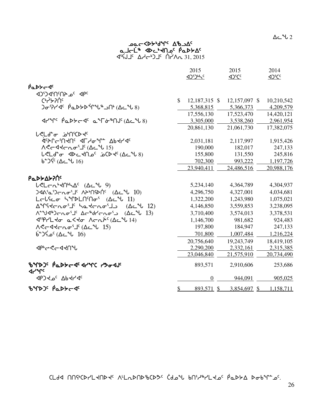$\Delta$ ے  $^2$ ل $\,$  2

# مص⊂≺4ح<sup>4</sup>0⊀محر ماحلّ<sup>ه</sup> Pot<sup>s</sup>Ma <sup>p</sup>مكك∆<sup>د</sup> 31, 2015 ∆√∽4) <sup>1</sup>د ^4 ^4 31, 2015

|                                                                                      |               | 2015<br>1)534C   | 2015          | 2014       |
|--------------------------------------------------------------------------------------|---------------|------------------|---------------|------------|
| PaDY-45                                                                              |               |                  |               |            |
| JPC 2019DPC                                                                          |               |                  |               |            |
| Christic                                                                             | $\mathcal{S}$ | 12,187,315 \$    | 12,157,097 \$ | 10,210,542 |
| $D\sigma$ ?۲۹ ( PaDSD Tube) (Ac Us)                                                  |               | 5,368,815        | 5,366,373     | 4,209,579  |
|                                                                                      |               | 17,556,130       | 17,523,470    | 14,420,121 |
| ᡏᡰ <sup>ᢦᠾ</sup> ᠄ᢆᠹᡉᢂᢣᡄ᠊ᡏ᠂ᢆᢆᢆᠣᢪᡏᡠ᠍ᡃᡙ᠘ᢅᢗᡄᠰ᠍᠍                                         |               | 3,305,000        | 3,538,260     | 2,961,954  |
|                                                                                      |               | 20,861,130       | 21,061,730    | 17,382,075 |
| <b>LぐLd</b> c __ <b>j</b> n'CD <del>d</del> c                                        |               |                  |               |            |
| <b>Actleiu4Uc dL40+Le VP44dc</b>                                                     |               | 2,031,181        | 2,117,997     | 1,915,426  |
|                                                                                      |               | 190,000          | 182,017       | 247,133    |
| $LCLd^{\sim} \sigma$ $dDCLd\Omega^c$ $\dot{\rho}$ $DQd^c$ $(\Delta C^4L8)$           |               | 155,800          | 131,550       | 245,816    |
| $b^{\circ}$ ا باشکاو ( $\Delta$ د $\sim$ $16$                                        |               | 702,300          | 993,222       | 1,197,726  |
|                                                                                      |               | 23,940,411       | 24,486,516    | 20,988,176 |
| Ρα <b>ιλλανισ</b> ι                                                                  |               |                  |               |            |
| $LCLC_1^{\bullet}$ < $\Lambda^c$ $(\Delta C^{\bullet}U^{\bullet})$                   |               | 5,234,140        | 4,364,789     | 4,304,937  |
| $340$ 2 $10$ ) $-20$                                                                 |               | 4,296,750        | 4,327,001     | 4,034,681  |
|                                                                                      |               | 1,322,200        | 1,243,980     | 1,075,021  |
| Δ <sup>9</sup> Γίκατο <sup>ί γ</sup> ικατος (Δεγ 12)                                 |               | 4,146,850        | 3,559,853     | 3,238,095  |
| Λ <sup>εα</sup> ν/d <sup>®</sup> ) cho <sup>s</sup> J Δσ®dr/σησίο (Δεºν 13)          |               | 3,710,400        | 3,574,013     | 3,378,531  |
| <b><i>Δ</i><sup>6</sup>P/L to α<to λ="" σιλ<sup="">ίς (Δ τ<sup>ι</sup>ν 14)</to></b> |               | 1,146,700        | 981,682       | 924,483    |
|                                                                                      |               | 197,800          | 184,947       | 247,133    |
| $6^{\circ}$ مْ (4c مَلا $(4^{\circ}$                                                 |               | 701,800          | 1,007,484     | 1,216,224  |
|                                                                                      |               | 20,756,640       | 19,243,749    | 18,419,105 |
| <b>⊲</b> ₧←ぐ←◁ <b>⊰∩</b> ℃                                                           |               | 2,290,200        | 2,332,161     | 2,315,385  |
|                                                                                      |               | 23,046,840       | 21,575,910    | 20,734,490 |
| <u>ზንቦኦጋና PQDSC ብር ብና ለአማር የአማብረር</u><br>$4r^{\prime}$                               |               | 893,571          | 2,910,606     | 253,686    |
| <b>JPJYPG</b> 7PYJC                                                                  |               | $\boldsymbol{0}$ | 944,091       | 905,025    |
| BYDJS PaDYCS                                                                         | $\frac{1}{2}$ | 893,571 \$       | 3,854,697 \$  | 1,158,711  |

 $\Lambda$ ah sym $\Lambda$ bmfx thad thand basks changed basks with  $\Lambda$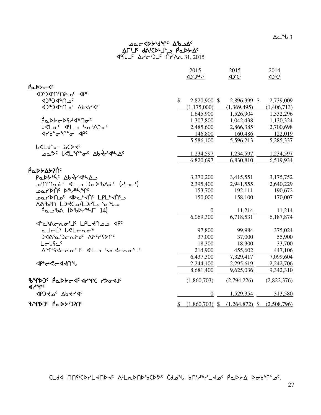$\Delta$  $\sim$   $\sim$  3

# مص⊂≺4ح<sup>4</sup>0⊀محر ያገ<sub>ን</sub> ያልግግል የሚገል 31, 2015 ∆√∽4) <sup>1</sup>د ^4 ^4 31, 2015

|                                                                                   | 2015<br><b>AJiJiLS</b>       | 2015<br><b>ADSCS</b>              | 2014<br>4 <sup>2</sup> CC |
|-----------------------------------------------------------------------------------|------------------------------|-----------------------------------|---------------------------|
| PaDY-4                                                                            |                              |                                   |                           |
| <b>4PC <sup>3</sup>QS 1PC CCD</b>                                                 |                              |                                   |                           |
| J <sup>⊕</sup> >d®∩°                                                              | $\mathbb{S}$<br>2,820,900 \$ | 2,896,399 \$                      | 2,739,009                 |
| <b>JAPO JAPO AD JAPCAC</b>                                                        | (1,175,000)                  | (1,369,495)                       | (1,406,713)               |
|                                                                                   | 1,645,900                    | 1,526,904                         | 1,332,296                 |
| <u>ҏ҆</u> ҽѢҌҼҌӷ҆ҸӡѩѠҽ <sub>ҁ</sub>                                               | 1,307,800                    | 1,042,438                         | 1,130,324                 |
| L <lo<sup>c <lo hatn<sup="">2o<sup>c</sup></lo></lo<sup>                          | 2,485,600                    | 2,866,385                         | 2,700,698                 |
|                                                                                   | 146,800                      | 160,486                           | 122,019                   |
|                                                                                   | 5,586,100                    | 5,596,213                         | 5,285,337                 |
| <b>L<ld< b=""><sup>+</sup>o b<k< td=""><td></td><td></td><td></td></k<></ld<></b> |                              |                                   |                           |
| <b>pa<sup>3</sup> LSLM-c AbdrdhAC</b>                                             | 1,234,597                    | 1,234,597                         | 1,234,597                 |
|                                                                                   | 6,820,697                    | 6,830,810                         | 6,519,934                 |
|                                                                                   |                              |                                   |                           |
| Ρα <b>ΡΣΔΣΡ</b> Ο                                                                 |                              |                                   |                           |
| PaDYN'S Abtrana                                                                   | 3,370,200                    | 3,415,551                         | 3,175,752                 |
|                                                                                   | 2,395,400                    | 2,941,555                         | 2,640,229                 |
| <b>POLYDUC D&amp; JPLALC</b>                                                      | 153,700                      | 192,111                           | 190,672                   |
| ∽סען אין קאיבילµ אי דער קער                                                       | 150,000                      | 158,100                           | 170,007                   |
| ما <sup>م</sup> ى-AA%PN LOKC                                                      |                              |                                   |                           |
| $\dot{\rho}$ a $\dot{\rho}$ ba (D $\dot{\rho}$ D $\dot{\rho}$ H $\dot{\rho}$ 14)  | $\theta$                     | 11,214                            | 11,214                    |
|                                                                                   | 6,069,300                    | 6,718,531                         | 6,187,874                 |
| J-CACUOJ LPLKN2J JPC                                                              |                              |                                   |                           |
| a JeL' beleno <sup>s</sup>                                                        | 97,800                       | 99,984                            | 375,024                   |
| <b>ጋፈል<sup>ና</sup>ፚ፡ጋ</b> ⊂ሌት <sup>ፈር</sup> ለትናረውበና                               | 37,000                       | 37,000                            | 55,900                    |
| LELSC                                                                             | 18,300                       | 18,300                            | 33,700                    |
| AMistenoil 4L hatenoil                                                            | 214,900                      | 455,602                           | 447,106                   |
|                                                                                   | 6,437,300                    | 7,329,417                         | 7,099,604                 |
| <b>ぐんしょうしゃく</b>                                                                   | 2,244,100                    | 2,295,619                         | 2,242,706                 |
|                                                                                   | 8,681,400                    | 9,625,036                         | 9,342,310                 |
| BYDJS PaDYCS STYC PSoSJS<br>$4r^{\alpha}$                                         | (1,860,703)                  | (2,794,226)                       | (2,822,376)               |
| <b>JPJ 40° Ab +1-46</b>                                                           | $\mathbf{0}$                 | 1,529,354                         | 313,580                   |
| <b>ზ</b> ঁণDጋና Pึ๊ፈD፦ ጋንበና                                                        | \$                           | $(1,860,703)$ \$ $(1,264,872)$ \$ | (2,508,796)               |

 $\Gamma$ dd nnich-Land is Aladndichts (doil bni-li-Lad padt datings).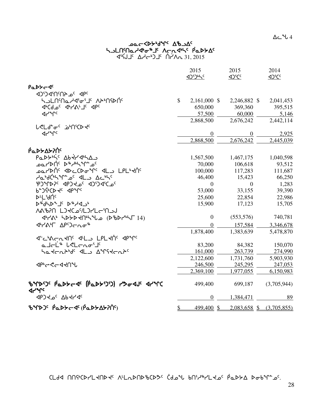$\Delta$ ے  $^4$ ل $\,$  4 $\,$ 

# مص⊂≺4ح<sup>4</sup>0⊀محر helminatory - הרת שיל Achyn- $\begin{array}{ccc}\n\overline{a} & \overline{b} & \overline{c} \\
\end{array}$  which is  $\overline{a}$  and  $\overline{b}$  who is  $\overline{a}$  is  $\overline{a}$  and  $\overline{b}$  is  $\overline{a}$  and  $\overline{a}$  and  $\overline{a}$  and  $\overline{a}$  and  $\overline{a}$  and  $\overline{a}$  and  $\overline{a}$  and  $\overline{a}$  and  $\overline{$

|                                                                                                                                                                                                                     |               | 2015           | 2015<br><br><u><br/> &lt;&lt;</u> | 2014<br><br><u><br/> &lt;&lt;</u> |
|---------------------------------------------------------------------------------------------------------------------------------------------------------------------------------------------------------------------|---------------|----------------|-----------------------------------|-----------------------------------|
| PaDY-4                                                                                                                                                                                                              |               |                |                                   |                                   |
| JPC 2010PC                                                                                                                                                                                                          |               |                |                                   |                                   |
|                                                                                                                                                                                                                     | $\mathcal{S}$ | 2,161,000 \$   | 2,246,882 \$                      | 2,041,453                         |
| <b>JICALOC JILYALJE JPC</b>                                                                                                                                                                                         |               | 650,000        | 369,360                           | 395,515                           |
| <b>Jrunc</b>                                                                                                                                                                                                        |               | 57,500         | 60,000                            | 5,146                             |
|                                                                                                                                                                                                                     |               | 2,868,500      | 2,676,242                         | 2,442,114                         |
| <b>L</b> <ld-ac anicd+c<="" td=""><td></td><td></td><td></td><td></td></ld-ac>                                                                                                                                      |               |                |                                   |                                   |
| ⊲৴৺৻                                                                                                                                                                                                                |               | $\theta$       | $\theta$                          | 2,925                             |
|                                                                                                                                                                                                                     |               | 2,868,500      | 2,676,242                         | 2,445,039                         |
| ιΑΔΡΑΣΑΣ                                                                                                                                                                                                            |               |                |                                   |                                   |
| PaDYN'S AbtranA                                                                                                                                                                                                     |               | 1,567,500      | 1,467,175                         | 1,040,598                         |
| ᠊ᠣᡆ᠘ᡃᢂᡃ᠂᠔ᢦ᠆᠉ᠰᠰ᠉ᡫ᠆                                                                                                                                                                                                   |               | 70,000         | 106,618                           | 93,512                            |
| ـممـرك11<br>مكرد4هـ17<br>محمد الكلمة                                                                                                                                                                                |               | 100,000        | 117,283                           | 111,687                           |
| debdchapter of the Active                                                                                                                                                                                           |               | 46,400         | 15,423                            | 66,250                            |
| PJ TAY GPJ +2G AD'D TOP'CA                                                                                                                                                                                          |               | $\overline{0}$ | $\overline{0}$                    | 1,283                             |
| p-J&CD fc dbrlc                                                                                                                                                                                                     |               | 53,000         | 33,155                            | 39,390                            |
| <b>D-L'AUC</b>                                                                                                                                                                                                      |               | 25,600         | 22,854                            | 22,986                            |
| D\$qPD&Jc D&Y <jp< td=""><td></td><td>15,900</td><td>17,123</td><td>15,705</td></jp<>                                                                                                                               |               | 15,900         | 17,123                            | 15,705                            |
| <b>NA&amp;AN LJKCJYLJYLGM</b>                                                                                                                                                                                       |               |                |                                   |                                   |
|                                                                                                                                                                                                                     |               | $\overline{0}$ | (553, 576)                        | 740,781                           |
| <b><br/> TAPE<br/> TAPE<br/> TAPE<br/> TAPE<br/> TAPE<br/> TAPE<br/> TAPE<br/> TAPE<br/> TAPE<br/> TAPE<br/> TAPE<br/> TAPE<br/> TAPE<br/> TAPE<br/> TAPE<br/> TAPE<br/> TAPE<br/> TAPE<br/> TAPE<br/> TAPE&lt;</b> |               | $\Omega$       | 157,584                           | 3,346,678                         |
|                                                                                                                                                                                                                     |               | 1,878,400      | 1,383,639                         | 5,478,870                         |
| JE APPE JEL LAL JAPPE                                                                                                                                                                                               |               |                |                                   |                                   |
| a Jel <sup>is</sup> lelenoiJ <sup>e</sup>                                                                                                                                                                           |               | 83,200         | 84,382                            | 150,070                           |
| SatchP <sup>6</sup> G 4L AMStchP <sup>c</sup>                                                                                                                                                                       |               | 161,000        | 263,739                           | 274,990                           |
|                                                                                                                                                                                                                     |               | 2,122,600      | 1,731,760                         | 5,903,930                         |
| <b>⊲</b> ₧←ぐ←◁ <b>√∩</b> ℃                                                                                                                                                                                          |               | 246,500        | 245,295                           | 247,053                           |
|                                                                                                                                                                                                                     |               | 2,369,100      | 1,977,055                         | 6,150,983                         |
| BYPSOS PODSCAS (PODSOS) PSOAJS APYS<br><b>J</b> <sup>4</sup>                                                                                                                                                        |               | 499,400        | 699,187                           | (3,705,944)                       |
| <b>JPJYPG</b> 7PHAC                                                                                                                                                                                                 |               | $\overline{0}$ | 1,384,471                         | 89                                |
| %ΥΡ) <sup>ς</sup> ΡαΡΣΕ (ΡαΡΣΔΣΡής)                                                                                                                                                                                 | $\mathcal{S}$ | 499,400 \$     | $2,083,658$ \$                    | (3,705,855)                       |

 $\Gamma$ 64 การจะประกาศ หนึ่งประกาศ จะว่าสำหรับ  $\Gamma$ หรับ $\Gamma$ สง จะจะจะว่า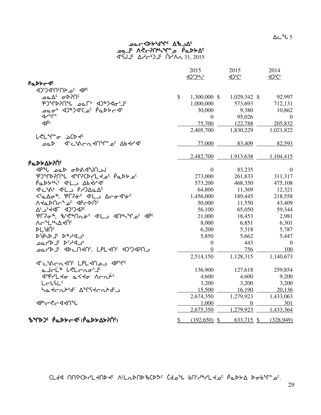$\Delta$ ے  $\sim$  5

# Ac To Y<sup>o</sup>Wid You and the co <sup>0</sup>مجاد ∧خ⊸ك∩نيم فمكح∆ 31, 2015 ∆√∽4) <sup>1</sup>د ^4 ^4 31, 2015

|                                                                                                                                                                                                                                                                                                                                                                                  |               | 2015<br><b>AJDING</b> | 2015<br>4) <sup>f</sup> Cc | 2014           |
|----------------------------------------------------------------------------------------------------------------------------------------------------------------------------------------------------------------------------------------------------------------------------------------------------------------------------------------------------------------------------------|---------------|-----------------------|----------------------------|----------------|
| PaDY-4                                                                                                                                                                                                                                                                                                                                                                           |               |                       |                            |                |
| JPC 2017PCCD                                                                                                                                                                                                                                                                                                                                                                     |               |                       |                            |                |
| ory مory مo                                                                                                                                                                                                                                                                                                                                                                      | $\mathcal{S}$ | 1,300,000 \$          | 1,029,342 \$               | 92,997         |
| PJMXPIL Dal <sup>+</sup> 4J&J4ofJ'                                                                                                                                                                                                                                                                                                                                               |               | 1,000,000             | 573,693                    | 712,131        |
|                                                                                                                                                                                                                                                                                                                                                                                  |               | 30,000                | 9,380                      | 10,862         |
| לר≁∩∼                                                                                                                                                                                                                                                                                                                                                                            |               | $\overline{0}$        | 95,026                     | $\overline{0}$ |
| ⊲p <sup>c</sup>                                                                                                                                                                                                                                                                                                                                                                  |               | 75,700                | 122,788                    | 205,832        |
|                                                                                                                                                                                                                                                                                                                                                                                  |               | 2,405,700             | 1,830,229                  | 1,021,822      |
| <b>L<line b="" bcd+c<=""></line></b>                                                                                                                                                                                                                                                                                                                                             |               |                       |                            |                |
| ∽مص                                                                                                                                                                                                                                                                                                                                                                              |               | 77,000                | 83,409                     | 82,593         |
|                                                                                                                                                                                                                                                                                                                                                                                  |               |                       |                            |                |
|                                                                                                                                                                                                                                                                                                                                                                                  |               | 2,482,700             | 1,913,638                  | 1,104,415      |
| Ρα <b>ιλλ</b> ολογής                                                                                                                                                                                                                                                                                                                                                             |               |                       |                            |                |
| JPU DOD ODAJUNOJ                                                                                                                                                                                                                                                                                                                                                                 |               | $\overline{0}$        | 83,235                     | $\theta$       |
| PUNPPOL JAPCDYLTO' PaDYO'                                                                                                                                                                                                                                                                                                                                                        |               | 273,000               | 261,833                    | 311,317        |
| Padthic dil Abtrac                                                                                                                                                                                                                                                                                                                                                               |               | 573,200               | 468,350                    | 475,108        |
| JIL AL JIL PADALA                                                                                                                                                                                                                                                                                                                                                                |               | 64,800                | 11,369                     | 12,321         |
| <'a Ao", 'PL?&< < L_> Aco <i'&<< td=""><td></td><td>1,456,000</td><td>189,445</td><td>218,558</td></i'&<<>                                                                                                                                                                                                                                                                       |               | 1,456,000             | 189,445                    | 218,558        |
| <b>VATDUCATE</b> dbCDUc                                                                                                                                                                                                                                                                                                                                                          |               | 50,000                | 11,550                     | 43,409         |
| <b>AL J'YAT AD'OAP'</b>                                                                                                                                                                                                                                                                                                                                                          |               | 56,100                | 65,050                     | 59,344         |
| PL?0%, BiC%Natc <pl>&lt;&gt; <d<></d<> <d<></d<> <d<></d<> <d<></d<> <d<></d<> <d<></d<> <d<></d<> <d<></d<> <d<></d<> <d<></d<> <d<></d<> <d<></d<> <d<></d<> <d<></d<> <d<></d<> <d<></d<> <d<></d<> <d<></d<> <d<></d<> <d<></d<> <d<></d<> <d<></d<> <d<></d<> <d<></d<> <d<></d<> <d<></d<> <d<></d<> <d<></d<> <d<></d<> <d<></d<> <d<></d<> <d<></d<> <d<></d<> &lt;</pl> |               | 21,000                | 18,453                     | 2,981          |
| ᠕ᡕ᠆᠂᠂᠘᠉ᢣ᠘ᡪ᠒                                                                                                                                                                                                                                                                                                                                                                      |               | 8,000                 | 6,851                      | 6,301          |
| <b>PL'UNC</b>                                                                                                                                                                                                                                                                                                                                                                    |               | 6,200                 | 5,318                      | 5,787          |
| <b>DIJLDJE DAJJJE</b>                                                                                                                                                                                                                                                                                                                                                            |               | 5,850                 | 5,662                      | 5,447          |
| JOLYD J DIAJO                                                                                                                                                                                                                                                                                                                                                                    |               | $\theta$              | 443                        | $\theta$       |
| בחל4 יב שבראה, LPL לחל השפר                                                                                                                                                                                                                                                                                                                                                      |               | $\overline{0}$        | 756                        | 100            |
|                                                                                                                                                                                                                                                                                                                                                                                  |               | 2,514,150             | 1,128,315                  | 1,140,673      |
| <b>J-C-YC-LAUS LPL-ADOJ JP-MS</b>                                                                                                                                                                                                                                                                                                                                                |               |                       |                            |                |
| a Joli® l <lonoij⊆< td=""><td></td><td>136,900</td><td>127,618</td><td>259,854</td></lonoij⊆<>                                                                                                                                                                                                                                                                                   |               | 136,900               | 127,618                    | 259,854        |
| ש <sup>יק</sup> רלד בללד מרתד <sup>נ</sup>                                                                                                                                                                                                                                                                                                                                       |               | 4,600                 | 4,600                      | 9,200          |
| Lelfic                                                                                                                                                                                                                                                                                                                                                                           |               | 3,200                 | 3,200                      | 3,200          |
| Satchbrd <sup>c</sup> AMStchbdc                                                                                                                                                                                                                                                                                                                                                  |               | 15,500                | 16,190                     | 20,136         |
|                                                                                                                                                                                                                                                                                                                                                                                  |               | 2,674,350             | 1,279,923                  | 1,433,063      |
| <b>⊲</b> ₧←ぐ←◁ <b>⊰∩</b> ℃                                                                                                                                                                                                                                                                                                                                                       |               | 1,000                 | $\overline{0}$             | 301            |
|                                                                                                                                                                                                                                                                                                                                                                                  |               | 2,675,350             | 1,279,923                  | 1,433,364      |
| %ΥΡ) <sup>ς</sup> ΡαΡΣΕ (ΡαΡΣΔΣΡής)                                                                                                                                                                                                                                                                                                                                              | \$            | $(192,650)$ \$        | $633,715$ \$               | (328,949)      |

 $\Gamma$ 64 การจะประกาศ หนึ่งประกาศ จะว่าสำหรับ  $\Gamma$ หรับ $\Gamma$ สง จะจะจะว่า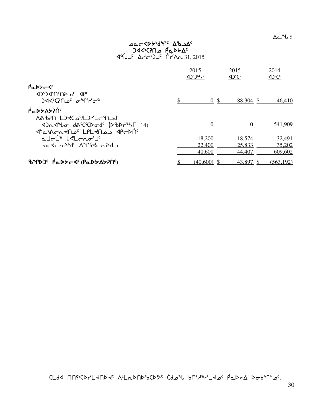$\Delta$ ے  $\sim$  6

# مص⊂≺4ح<sup>4</sup>0⊀محر <sup>6</sup>α×4م مـ∩?∿>4< 31, 2015 ∆√∽4) <sup>1</sup>د ^4 ^4 31, 2015

|                                                                                                                       | 2015<br>$\langle$ 4) $\langle$ | 2015<br><b>ADSCC</b> | 2014       |
|-----------------------------------------------------------------------------------------------------------------------|--------------------------------|----------------------|------------|
| $\beta_0$<br><b>In Cream</b> CrCP<br><b>)∢&lt;•C?Ո_օ⊆ գ~Րՙ</b> Շ~•                                                    | $0 \text{ }$                   | 88,304 \$            | 46,410     |
| ιΑΔΡΑΣΑΣ<br><b>VYPIU FIRECTIONE</b><br>$4Dn4^4$ or $dA^5C^5CD$ or $d^c$ $(D^6D)^{16}$<br>JE CONCRYPLE LPL JAD JACAN'S | $\theta$                       | $\Omega$             | 541,909    |
| a Irl <sup>'s</sup> LeLrao'I'                                                                                         | 18,200                         | 18,574               | 32,491     |
| ᡃᡆ᠊᠍ᡪᡄ᠍᠘ᠷᡁᡕ᠂᠊᠙ᡒᡁ᠌ᢄᠰᢁᢋᢄ                                                                                                | 22,400                         | 25,833               | 35,202     |
|                                                                                                                       | 40,600                         | 44,407               | 609,602    |
| <b><i>ზΥ</i>Ρ</b> Ο <sup>ς</sup> ΡΟΡΣΑΦ (ΡΟΡΣΔΣΑ) (9                                                                  | (40,600) \$                    | 43,897 \$            | (563, 192) |

 $\Gamma$ dd nnich-Land is Aladndichts (doil bni-li-Lad padt datings).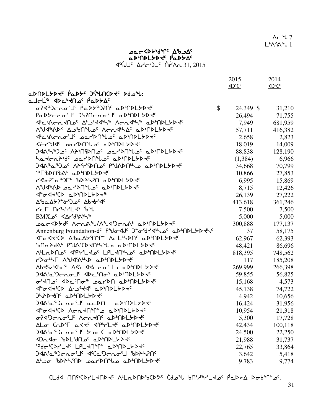CLdd NN 46 ALLAD CDD 6 CDD COLL da HON-

| aDNDLYD T PaDYS JSUNCD TS Ddo U:                                                                       |           |         |
|--------------------------------------------------------------------------------------------------------|-----------|---------|
|                                                                                                        |           |         |
| ماحلّه Abc المام PabbA                                                                                 |           |         |
| ᡋ᠌ᡳᢃᠳᡗᠴ᠖ᢣ᠑ᠾᢉᢠᢓᠾ᠗ᠾᢄᢞᢣ᠗ᢣ᠓ᢄ᠂ᢒ<br>$\mathcal{S}$                                                            | 24,349 \$ | 31,210  |
| Padtchoil Jhinchoil adMaltdt                                                                           | 26,494    | 71,755  |
| <sup>d</sup> "C"ACLXU2C A'J'Ydh\" ACL4h" aD"NDLYDYC                                                    | 7,949     | 681,959 |
| ᠕ᡨ᠕᠕ᡒᢂ᠘ᢇ᠂᠕᠆᠘᠀᠕᠕᠅᠕ᡐ᠂ᡗ᠆᠂ᢉ᠅᠕ᢆᢀ᠕ᢂᠰ᠕᠅                                                                       | 57,711    | 416,382 |
|                                                                                                        | 2,658     | 2,823   |
| להרישלי בפרוטחילבי פוטיחומובאלי                                                                        | 18,019    | 14,009  |
|                                                                                                        | 88,838    | 128,190 |
| לפלרת4' <sup>6</sup> ספול101'0 <sup>0</sup> פ4'DDL40'                                                  | (1, 384)  | 6,966   |
|                                                                                                        | 34,668    | 70,799  |
| PLPDUPY, TPPUPFAG                                                                                      | 10,866    | 27,853  |
| Y C J L & B D HAN D L B D D D L B V C                                                                  | 6,995     | 15,869  |
| A°U<14AD DQrDN°Loc QD°NDLYD+C                                                                          | 8,715     | 12,426  |
|                                                                                                        | 26,139    | 27,222  |
| Δ <i>'</i> baΔ <del>'</del> > <sup>2</sup> ' o' Δbdr' d'                                               | 413,618   | 361,246 |
| רבר חר <i>גי</i> רבלי יטיע                                                                             | 7,500     | 7,500   |
| $BMX_0^c < \Delta r d^c \Lambda^b \Lambda^c$                                                           | 5,000     | 5,000   |
| ᠴ᠌eᡄ<Ϸᢣď ለᡄ᠘᠊ᡘᡃᡃ᠕ᠰᡃᠨᡏ᠑ᡄ᠘᠊ᡐ᠂ᡆᢂᠾᢂᢣᢂ                                                                      | 300,888   | 177,137 |
| Annenburg Foundation-dc Puo <jc 2010l5d440<="" 4420="" j-o-8d="" td=""><td>37</td><td>58,175</td></jc> | 37        | 58,175  |
| <b>√`</b> ~√√℃♪ ∆₺௳∆≻ነՈኍՐ՟ ∧←L <sub>'</sub> ५♪Ո <sup>৻</sup> ௳▷ነՈ♪L≻▷ <del>√</del> ‹                   | 62,967    | 62,393  |
| BARAGO COMPART COMPUTE                                                                                 | 48,421    | 86,696  |
| A'LLDO' <plyo' ad'ndlydy'<="" lplyo'lo'="" td=""><td>818,395</td><td>748,562</td></plyo'>              | 818,395   | 748,562 |
| COGNT AVJAWND aDMDLYD                                                                                  | 117       | 185,208 |
| YP4d14.0% VGC44CVQ.77 ThUDFAD4d                                                                        | 269,999   | 266,398 |
| ᢃᡏᠰ᠍᠖᠘᠈ᢕᡄ᠘ᡉ <b>ᢖ</b> ᢄ᠂᠓ᡔ᠑᠕᠉᠘᠈᠕ᢂ                                                                       | 59,855    | 56,825  |
| ᡋ᠌᠄ᠰ᠑᠂ᡕᢂᢣᡄ᠓ᢁ᠅᠉᠊᠗᠖ᠷ᠈᠗᠘ᢣᢧ᠙                                                                               | 15,168    | 4,573   |
| J-044'CD A'J'44' aD'NDLYD4'                                                                            | 45,138    | 74,722  |
| JSAPARC aPMDLSD4C                                                                                      | 4,942     | 10,656  |
| JAA'a"Jcno'J' acDN aD'NDLYD+                                                                           | 16,424    | 31,956  |
| ᡏ᠆ᡏᢞᢗᢂ᠕ᠸ᠘ᡪ᠓ᠰ᠆ᢆᠣ᠂ᡋᡖ᠉ᡁᢂᢄᢣᢂ                                                                               | 10,954    | 21,318  |
| <b>研究</b> AKION'S AFTY LAPION                                                                          | 5,300     | 17,728  |
| ΔLσ (ΛΣ۴Γ α<Ψς dφγLΨς σΡρυΡΓΑΡΑς                                                                       | 42,434    | 100,118 |
| <b>)ᢉ᠍</b> ᡧ᠈ᠳ᠉ᢣᠳ᠓ᢣ᠖ᡔ᠑ᡄᢉ                                                                               | 24,500    | 22,250  |
| <b><d^dd adddf="" phplique="">dd</d^dd></b>                                                            | 21,988    | 31,737  |
| Pdc'CDYLt'LPLtN'I aD'NDLYDt'                                                                           | 22,765    | 33,864  |
| <b>)ᢉ᠍</b> ᡧᢉ᠖᠂᠘᠅᠀᠀ᢒ᠑᠅᠀ᢉ᠅ᡘ᠅᠕ᢄ᠂ᢒ᠕ᢂᢄ                                                                     | 3,642     | 5,418   |
| <b>A' Jo 'bDAS'ND LearDN°U a aD'NDLYD+C</b>                                                            | 9,783     | 9,774   |

∆د ″ل⊽ L'A'A'L 1

2014

 $42^{\circ}C^{\circ}$ 

2015

 $\Delta$ <sup>S</sup>CC

# שבכל45 יחיים מים בר השיר ל aDMDLSD + PaDSAC  $451.2015$   $\Delta7 - 215$   $\Delta7 - 215$

31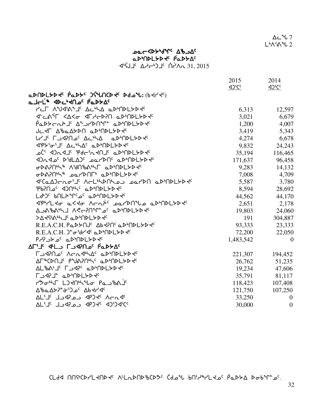CLdA NNSCDYLKNDK ALLADNDSCD3 Cdol bNSLRYLK0 PaDSA Dobln=0.

|                                                     | 2015                                   | 2014                                 |
|-----------------------------------------------------|----------------------------------------|--------------------------------------|
|                                                     | $\Delta$ ) <sup>s</sup> C <sup>c</sup> | $\Delta$ <sup>s</sup> C <sup>c</sup> |
| aDUDLYD T PaDYS JSUNCD TO DO U: (b T/ Ts)           |                                        |                                      |
| ماحلّ <sup>ه</sup> جاكد الحام <sup>د</sup> افعالحه< |                                        |                                      |
| YCL VAARALS ACHY OPHUDLADES                         | 6,313                                  | 12,597                               |
| ᡏᡄᡭᡃᡏ᠂ᢉᡌᡳᢁ᠂ᡏ᠘ᢣᡄᢂᡁ᠈ᠾ᠉ᠾᢂᢣ                             | 3,021                                  | 6,679                                |
| Paddrad "YDN" admolddd                              | 1,200                                  | 4,007                                |
| JCYF AbaAYDA aDMDLYDY                               | 3,419                                  | 5,343                                |
| <b>LYJ' LOYIQO' ACHA aDINDLYD +C</b>                | 4,274                                  | 6,678                                |
| <p>'o"J&lt; Ac"AC aP"NPL&gt;P+C</p>                 | 9,832                                  | 24,243                               |
| ᠊ᢆᠣᢗ᠄᠂᠂ᡐ᠘ᢦ᠆ᡁ᠂ᡁᢂᠳ᠈ᡫᢂ᠂᠂᠘ᡐᠾ᠘ᢣ᠑ᢣᡠ                       | 35,194                                 | 116,465                              |
| Dado PULAJ CoarDN aDMDLYD                           | 171,637                                | 96,458                               |
| GDAPN'S AYNGALL aDINDLYDE                           | 9,283                                  | 14,132                               |
| GPAPN'S POLYDUL' OP'UDLYDY'                         | 7,008                                  | 4,709                                |
| JECalDCroil ACLIADAL22 2011DA aDIADLYD              | 5,587                                  | 3,780                                |
| Pb?n C < 2014/C a D+NDL > D+ Pb?n                   | 8,594                                  | 28,692                               |
| LdbJc bnLAMCoc aDbnDLSDdc                           | 44,562                                 | 44,170                               |
| <i><b>SPHLTO aKTO ACRPC ParDUL aDMDLLPDT</b></i>    | 2,651                                  | 2,178                                |
| AJABANJ ACCPNYLOS aDMDLYDES                         | 19,803                                 | 24,060                               |
| >AKYSALTE TANDFADAE                                 | 191                                    | 304,887                              |
| R.E.A.C.H. PaDYNJ <sup>c</sup> AbdPNC aDDDLYDdC     | 93,333                                 | 23,333                               |
| R.E.A.C.H. J-o-dr/ << a D-nDL > D-V                 | 72,200                                 | 22,050                               |
| PHONO 2 2 APMOLSD                                   | 1,483,542                              | $\mathbf{0}$                         |
| ∆F'J' J'L ר_ר Fב Aרוי P^                            |                                        |                                      |
| <b>LAYUR' VEUGHYV, TANDLADE</b>                     | 221,307                                | 194,452                              |
| AL&CDUTE bANSURYE TPPUDFFD4c                        | 26,762                                 | 51,235                               |
| AL&A'J' LJ4P' aD'NDLYD-                             | 19,234                                 | 47,606                               |
| LAST TANDFAD4c                                      | 35,791                                 | 81,117                               |
| reth Lathrud Pastal                                 | 118,423                                | 107,408                              |
| <b>Δ</b> <i>ზ</i> αΔ <del>Σις ου</del> ς Δρ<Γ<      | 121,750                                | 107,250                              |
| AL'I' JAP COSPCL IL'IN                              | 33,250                                 | $\boldsymbol{0}$                     |
| AL'I <sup>c</sup> JSQP COSPCL IL'IA                 | 30,000                                 | $\boldsymbol{0}$                     |
|                                                     |                                        |                                      |

∆د <sup>م</sup>ل 7  $L^{\mathfrak{b}}\Lambda^{\mathfrak{c}}\Lambda^{\mathfrak{a}}$ u 2

# ᠴᡉᡄ᠆᠀᠊ᢂ᠕ᡕ᠂᠊ᡏ᠋ᢔ᠑ aDODLYDY<sup>c</sup> PaDYAC d'SJJC Δd-bJLC Nd 21, 2015

32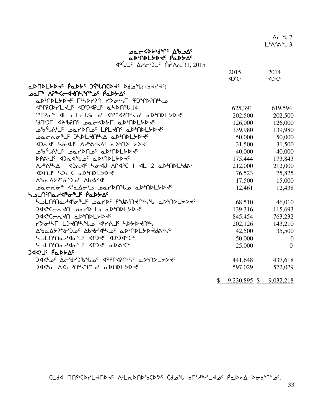$\Gamma$ dd nnich-Land is Aladndichts (doil bni-li-Lad padt datings).

∆د <sup>م</sup>ل 7  $L^b \Lambda^c \Lambda^d$ U 3

# Ac Bart Abad> שבר <45 aDMDLSD + PaDSA

| √`{\J`{` ∆\dr}}_ `^^`\\n_31,2015 |  |  |
|----------------------------------|--|--|
|                                  |  |  |

|                                                                                                                                                                                                                                     | 2015                         | 2014              |
|-------------------------------------------------------------------------------------------------------------------------------------------------------------------------------------------------------------------------------------|------------------------------|-------------------|
|                                                                                                                                                                                                                                     | $\Delta$ <sup>S</sup> CC     | 4 <sup>2</sup> CC |
| aDNDLYD T PaDYS JSLACD TS Ddol: (bt/ts)                                                                                                                                                                                             |                              |                   |
| ᠊ᢁ᠆ᡁ᠂᠂᠐ᢣᡒᢗ᠆ᢦᢋ᠐ᡰᢣ᠕ᡕᢖᡛᢑᡛ᠉ᢆ᠖ᡛ᠀                                                                                                                                                                                                         |                              |                   |
| aDMDLYDK FHDY?N YDoHF PJMD?NHo                                                                                                                                                                                                      |                              |                   |
| <b>JPPCD-LHIF JPPCALL ANDILIAN</b>                                                                                                                                                                                                  | 625,391                      | 619,594           |
| PT?08 JLD LELSCOC JPPJ?Nhoc aDMDLbD + C                                                                                                                                                                                             | 202,500                      | 202,500           |
| 90°JF 42870° JOL-422F QD'ADLYD                                                                                                                                                                                                      | 126,000                      | 126,000           |
| ᠴᡃ᠍᠍᠍᠍ᡃᢐᡃᢥ᠕ᡃ᠋᠂ᠴ᠋ᢁᡕ᠑᠋᠐᠌ᢀ᠂᠘᠑ᡰ᠘ᢂ᠂ᠴ᠖ᢣ᠐ᢂ                                                                                                                                                                                                 | 139,980                      | 139,980           |
| ᠴ᠍ᠣᡄ᠊᠌᠘᠋ᡐ᠕᠂᠑ᢣ᠑ᡫᢂ᠘ᡧ᠕ᢣᡌ᠂ᡓᢂᠾᢂ                                                                                                                                                                                                          | 50,000                       | 50,000            |
| Dade hodde Achamac aphOpLbbec                                                                                                                                                                                                       | 31,500                       | 31,500            |
| ᠊᠉᠕ᡒ᠗᠀ᡕᢀ᠀᠀᠉᠘᠉᠕ᢣ᠘᠈᠉᠕᠉ᡫ᠉᠗ᢞᡆ                                                                                                                                                                                                           | 40,000                       | 40,000            |
| DPALJE <da<1l0c adpndl="">D+C</da<1l0c>                                                                                                                                                                                             | 175,444                      | 173,843           |
| NABABLA <dr<<br></dr<<br> ADR<<br>ADPLB<<br>ADPLB<<br>ADPLB<<br>ADPLB<br>ADPLB<br>ADPLB<br>ADPLB<br>ADPLB<br>ADPLB<br>ADPLB<br>ADPLB<br>ADPLB<br>ADPLB<br>ADPLB<br>ADPLB<br>ADPLB <br< td=""><td>212,000</td><td>212,000</td></br<> | 212,000                      | 212,000           |
|                                                                                                                                                                                                                                     | 76,523                       | 75,825            |
| <b>Δ</b> <i>ზ</i> αΔ <del>Σιος</del> Δbdrdc                                                                                                                                                                                         | 17,500                       | 15,000            |
| ـەمىرىمە ≪ەلىلەل/1910م مىلەنگە ھەمە                                                                                                                                                                                                 | 12,461                       | 12,438            |
| ᢣ <b>Ⴢ</b> ႾႶႤႭჍჃჼჾჼ <del></del> ႾჼჼႭϷ <del>Ⴤ</del> Ϫჼ                                                                                                                                                                              |                              |                   |
| ႷჂႲႮ <b>ႱႪႯႯჼ</b> ႧჅႨႠႨჾჾႥႦႠႦჅჽႷႷႷႱႵჅჅჼႴჁႮႦႲ <del>Ⴡ</del> ႦჅႠ                                                                                                                                                                       | 68,510                       | 46,010            |
| 94<14N140 cL4N partDJ>                                                                                                                                                                                                              | 139,316                      | 115,693           |
| JA <cccao qpcndlyd+<="" td=""><td>845,454</td><td>763,232</td></cccao>                                                                                                                                                              | 845,454                      | 763,232           |
| COGNT LIKUNYLO GYAJS SPYPKUN                                                                                                                                                                                                        | 202,126                      | 143,210           |
| ΔჼbaΔלλ <sup>ε</sup> τΌρς Δbdr/Jhloc aDMDL5Dddnh®                                                                                                                                                                                   | 42,500                       | 35,500            |
| hululayda'ik dhjak djijdaca                                                                                                                                                                                                         | 50,000                       | $\theta$          |
| YPFUWUTYQQ.Tk dbJ4c QPY4C#                                                                                                                                                                                                          | 25,000                       | $\Omega$          |
| <b>JA&lt;'S PaDYAC</b>                                                                                                                                                                                                              |                              |                   |
| <b>JA&lt;ʰoʿ À←șł)\$``Jo` 4ªPՐ4?Ոʰ\` aDʰՈDL5D+`</b>                                                                                                                                                                                 | 441,648                      | 437,618           |
| <u>) የተመል አልተነበት የተማሪ የአባክበት የተ</u>                                                                                                                                                                                                 | 597,029                      | 572,029           |
|                                                                                                                                                                                                                                     |                              |                   |
|                                                                                                                                                                                                                                     | 9,230,895 \$ 9,032,218<br>S. |                   |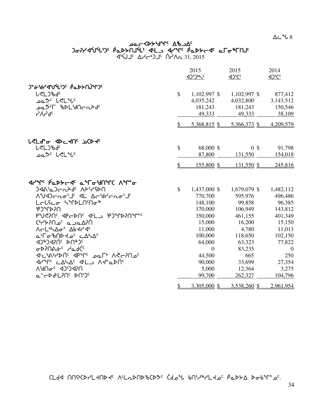$\Delta$ ے  $\sim$  8

# مص⊂≺4ح<sup>4</sup>0⊀محر )لاكالالكان Arthi Afric Adamation of the Partical Septings and the Septings of A  $\begin{array}{ccc}\n\overline{d}^{1}\overline{c} & \Delta d^{1} & \Delta d^{1} \\
\end{array}$

|                                                                                                                                 |               | 2015<br>1)5)65 | 2015           | 2014           |
|---------------------------------------------------------------------------------------------------------------------------------|---------------|----------------|----------------|----------------|
|                                                                                                                                 |               |                |                |                |
| <b>L</b> <l)bdc< td=""><td>\$</td><td><math>1,102,997</math> \$</td><td><math>1,102,997</math> \$</td><td>877,412</td></l)bdc<> | \$            | $1,102,997$ \$ | $1,102,997$ \$ | 877,412        |
| ∟مع <sup>&gt;د</sup> لح∟ <sup>م</sup> لا                                                                                        |               | 4,035,242      | 4,032,800      | 3,143,512      |
| ᠊ᢩᠣᢆᢆ᠘ᠫᡰᡏ᠂ᡀᢂ᠓᠆᠘ᢓᢦ᠖                                                                                                              |               | 181,243        | 181,243        | 150,546        |
| <b>SPYV-</b>                                                                                                                    |               | 49,333         | 49,333         | 38,109         |
|                                                                                                                                 | $\mathcal{S}$ | 5,368,815 \$   | 5,366,373 \$   | 4,209,579      |
| <b>LELd<sup>e</sup>o</b> <dc do="" dove<="" td=""><td></td><td></td><td></td><td></td></dc>                                     |               |                |                |                |
| <b>L</b> CLC'bdc                                                                                                                | $\mathcal{S}$ | 68,000 \$      | 0 <sup>3</sup> | 91,798         |
| ∟م2 <sup>0 ر</sup> ∕دا <sup>م</sup> ا                                                                                           |               | 87,800         | 131,550        | 154,018        |
|                                                                                                                                 | $\mathbb{S}$  | 155,800 \$     | 131,550 \$     | 245,816        |
| <b>JYM' PLDG-4' L'Fo'JNMC AM'o</b>                                                                                              |               |                |                |                |
| <b>JAN'aJEAPd' APYYPN</b>                                                                                                       | $\mathcal{S}$ | 1,437,000 \$   | 1,679,079 \$   | 1,482,112      |
| <b>AUDENGIS AL AFGYFRGIS</b>                                                                                                    |               | 770,700        | 595,976        | 496,486        |
| Lelfer SiPLNMo <sup>\$</sup>                                                                                                    |               | 148,100        | 99,858         | 96,385         |
| <b>USKULCA</b>                                                                                                                  |               | 170,000        | 106,949        | 143,812        |
| PUSING APEDNG ALLS PJMDINALE                                                                                                    |               | 350,000        | 461,155        | 401,349        |
| <u>חלאם כם ים חללאי</u>                                                                                                         |               | 15,000         | 16,200         | 15,150         |
| <b>NELLAGE</b> S Abtride                                                                                                        |               | 11,000         | 4,780          | 11,013         |
| a'ro'bndda' caha'                                                                                                               |               | 100,000        | 118,650        | 102,150        |
| 4)#J4PNC PU#JC                                                                                                                  |               | 64,000         | 63,323         | 77,822         |
| ᡉᢂ᠋ᢇᠷ᠖᠂ᡆ᠑ᢗ                                                                                                                      |               | $\overline{0}$ | 83,235         | $\overline{0}$ |
| JE AS-YON' JPAC DOLP AC-70 DC                                                                                                   |               | 44,500         | 665            | 250            |
| Jerre CALAS JHLS ARADOS                                                                                                         |               | 90,000         | 33,699         | 27,354         |
| VAPC <sub>6</sub> C dD <sub>A</sub> V                                                                                           |               | 5,000          | 12,364         | 3,275          |
| a <sup>r</sup> chd <sup>u</sup> L?N° bN')°                                                                                      |               | 99,700         | 262,327        | 104,796        |
|                                                                                                                                 | $\mathcal{S}$ | 3,305,000 \$   | 3,538,260 \$   | 2,961,954      |

 $\Gamma$ GLdd nnigcdrlandas viladndigcdds (doil puilair lais pobla doilinis).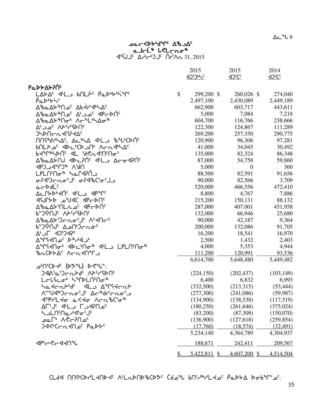CLdA NNSCDYLKNDK NLLDNDBCD3 Cdol bNSLRYLK0 PaDSA Dobln=0.

| <b>Ρα</b> ΝΑΣΥΛΟ                                                                 |                      |                |            |
|----------------------------------------------------------------------------------|----------------------|----------------|------------|
| LAYA <sup>c</sup> JLJ bNLXC PODuyujqc                                            | \$<br>299,200 \$     | 260,026 \$     | 274,040    |
| PaDby5                                                                           | 2,497,100            | 2,430,089      | 2,449,189  |
| ΔზαΔ <del>Σ</del> <sup>ኈ</sup> Πος Δb ΥΥΦΑΣ                                      | 662,900              | 603,717        | 443,611    |
| ∆ზჲ∆≻®∩ه⊂∿∆ عدد∆ د^∆ 4P~                                                         | 5,000                | 7,084          | 7,218      |
| ᠘ᡃᡃᢐ᠋ᡅ᠘ᡃᡔ <sup>ᇻ</sup> ᠌᠌᠓᠋ᢦ᠊ᡃ᠂᠕ᡕ᠆᠂᠂᠘ᡃᢂ᠘ᢦ᠆᠍᠍ᡑ                                    | 604,700              | 116,766        | 238,666    |
| <sup>2</sup> ΛΑ <sup>ς</sup> ΥΡ <sup>ς</sup> ΛΡ <sup>ς</sup>                     | 122,300              | 124,867        | 111,289    |
| <b>JYAULUAUSATC</b>                                                              | 269,200              | 257,350        | 290,775    |
| $\Lambda$ nstale $\Delta$ c Actes dels toticons                                  | 120,900              | 96,306         | 97,281     |
| bNLA o <sup>c</sup> <d<br></d<br> > <d<br></d<br> >                              | 41,000               | 34,045         | 30,492     |
| Ⴆ <b>Ⴣ</b> ჼՐჼჁჁჁႶჼႷႡჁჼႻႠჀႷჽჀႧჼ                                                  | 135,000              | 82,324         | 86,348     |
| Δზ⊾Δ⊁NJ ⊲Ϸϲ?Νς ⊲4L⊃ Δ⊂σ⊲?Νς                                                      | 87,000               | 54,758         | 59,860     |
| UPSV <sub>®</sub> CJ <sub>®</sub> D ~CGD                                         | 5,000                | $\overline{0}$ | 360        |
| LPLNM + Ser4PN                                                                   | 88,500               | 82,591         | 91,656     |
| ᡋ᠌ᡳ᠔ᡰᢄᡝᢀᢂ᠖᠀                                                                      | 90,000               | 82,566         | 3,709      |
| acDdL'                                                                           | 520,000              | 466,556        | 472,410    |
| ACPSPORTO 4LD APOP                                                               | 8,800                | 4,767          | 7,886      |
| 797 JOU OU AYURD                                                                 | 215,200              | 150,131        | 88,132     |
| ΔზαΔ⊁ՙՈLنه <sup>ς</sup> ⊲Ρςρής                                                   | 287,000              | 407,001        | 451,958    |
| <b>Ρ<sub>Α</sub>Ͻ</b> ϟͶʹϒϓϧϲϞϨϷϢ                                                | 132,000              | 66,946         | 25,680     |
| ∆%⊾∆≻`)⊂∿م.⊺∈ ∨∈≺∪⊂د                                                             | 90,000               | 42,187         | 9,364      |
| ᡃ <b>ᡠ᠆</b> ᡗᡲᡃ᠓ᢞ᠂᠘᠘᠕ᡃ᠑ᠸ᠊᠘ᡠ <sup>ᢈ</sup>                                         | 200,000              | 132,086        | 91,705     |
| ∆' J <1)'J<1                                                                     | 16,200               | 18,541         | 16,970     |
| AMSYNOC D <sup>&amp;</sup> H4Jb                                                  | 2,500                | 1,432          | 2,403      |
| <b>A ASKA ADCHO AL AL LPLNSO AB</b>                                              | 4,000                | 5,353          | 4,944      |
| ჼᲮռ <sup>(</sup> ़⊳≻∆՟ ∧~ռ⊀Ո℉                                                    | 111,200              | 120,991        | 93,536     |
|                                                                                  | 6,614,700            | 5,648,480      | 5,449,482  |
| ـr^^{\left{\delign{\delign{\delign{\delign{\delign{\delign{\delign{\delign{\deli |                      |                |            |
| <b>ጋፈል<sup>ና</sup>Ⴍ'ጋ</b> ⊂ <i>∿</i> ኦዋረ Vታራሊያሁሁ                                 | (224, 150)           | (202, 437)     | (103, 149) |
| Lᡄ᠋Ⴑ᠍ᡪᡄᠥᡃ᠂ᢣ᠋᠍ᢩᢣ᠌ᡗ <b>ᡅ᠘ᡤ</b> ᠒ᠣ᠍᠍᠍᠍᠊                                             | 6,400                | 6,832          | 6,993      |
| Satchbods als Angtchb                                                            | (332,500)            | (213,315)      | (53, 444)  |
| <b>N-NA+) Crosil Ac+drcnoin</b>                                                  | (277,300)            | (241,086)      | (59, 987)  |
| <b>JiPrLto aKto ArnbCio<sup>s</sup></b>                                          | (134,900)            | (138, 538)     | (117,519)  |
| AL'I < J' LJ LO 2000                                                             | (180, 250)           | (261, 646)     | (375, 024) |
| ᢣ <b>ᠵᡄᢕ</b> ᢉᡆᠵᡃᡏᡃᠥ᠋                                                            | (83,200)             | (87, 309)      | (150,070)  |
| °مـ∩?–≫۸ ∿]ءم                                                                    | (136,900)            | (127, 618)     | (259, 854) |
| <sup>6</sup> לאפי נרהלה פורשל                                                    | (17,760)             | (18, 574)      | (32, 491)  |
|                                                                                  | 5,234,140            | 4,364,789      | 4,304,937  |
| <b>⊲</b> ₧←ぐ←◁ <b>⊰∩</b> ℃                                                       | 188,671              | 242,411        | 209,567    |
|                                                                                  | \$<br>$5,422,811$ \$ | $4,607,200$ \$ | 4,514,504  |

# **acCDSdr' Ab AC**<br>alc<sup>is</sup> Lelcor<sup>s</sup><br>d'Sul Addie Lelcors

2015

<u><br/>1954 <br/><</u>

 $\Delta$ ے  $\sim$  9

2014

 $\Delta$ <sup>S</sup>CC

2015

<u><br/>105</u>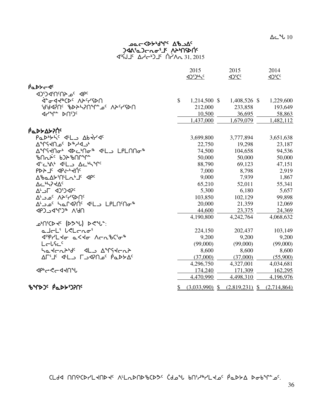CLdd nnstcdr'L thdte ALL DND bCD3c Cdotl bnid PL toc PaDSA Dobin 26.

|                                                       |               |                  | <br>12°C         | <br>12°C    |
|-------------------------------------------------------|---------------|------------------|------------------|-------------|
| ሶ๋⊾⊳≻~∢ <sup>‹</sup>                                  |               |                  |                  |             |
| JPC 2010PCCD                                          |               |                  |                  |             |
|                                                       | $\mathcal{S}$ | 1,214,500 \$     | 1,408,526 \$     | 1,229,600   |
| USPYAN <sup>C</sup> TAUSPAN JUSPAR                    |               | 212,000          | 233,858          | 193,649     |
| <b>JYM<sub>F</sub></b> DUDC                           |               | 10,500           | 36,695           | 58,863      |
|                                                       |               | 1,437,000        | 1,679,079        | 1,482,112   |
| ΡάΡΣΔΣΡΩ                                              |               |                  |                  |             |
| Padbytic dil badda                                    |               | 3,699,800        | 3,777,894        | 3,651,638   |
| ∿°∽۹ <sup>&gt;</sup> ه ۱≻۲۹°^                         |               | 22,750           | 19,298           | 23,187      |
| ∆ <sup>ᅆ</sup> ᡗᡪᡪᡕ᠗ᡉᡃ᠂ᢦᢂᡄᡃ᠒᠋ᠣ᠍᠍᠍ᠰ᠂ᡏᡃᡅ᠍᠑᠂᠘ᠹ᠘᠓ᢙ᠍᠍ᠰ     |               | 74,500           | 104,658          | 94,536      |
|                                                       |               | 50,000           | 50,000           | 50,000      |
| d'c'al d'Lo Actions                                   |               | 88,790           | 69,123           | 47,151      |
| P                                                     |               | 7,000            | 8,798            | 2,919       |
| AbaAYMLn'Jaqpa                                        |               | 9,000            | 7,939            | 1,867       |
| <b>AC<sup>6</sup>4744C</b>                            |               | 65,210           | 52,011           | 55,341      |
| <b>A' JL JUYOR'</b>                                   |               | 5,300            | 6,180            | 5,657       |
| <sup>ە</sup> ∩⊲؟≺∧ <sup>∍</sup> مەب∆                  |               | 103,850          | 102,129          | 99,898      |
| ∆ك د طا <sup>ن</sup> ك ∩Ard?Nُ <sup>د</sup> d'طرد LPL |               | 20,000           | 21,359           | 12,069      |
| JPJ 4ºCJ® A'JN                                        |               | 44,600           | 23,375           | 24,369      |
|                                                       |               | 4,190,800        | 4,242,764        | 4,068,632   |
| <b>ے'∩'CD <del>J</del> (U°CM) D</b> C                 |               |                  |                  |             |
| a Jol' Wolong'                                        |               | 224,150          | 202,437          | 103,149     |
| ᡏ <sup>ᡊ</sup> ᢪ᠘ᢣᡉ᠂᠍ᢆᡅ᠆ᢣᢣᡆ᠂᠕ᠸ᠘᠋᠍᠍᠖ᢗ <sup>᠖</sup>     |               | 9,200            | 9,200            | 9,200       |
| Lelfec                                                |               | (99,000)         | (99,000)         | (99,000)    |
| Satchbid <sup>e</sup> dLo Airstchb                    |               | 8,600            | 8,600            | 8,600       |
| ٬ A−۱٬ 4٬ اسم ۱۲٬۹۶۵٬ میلادی است                      |               | (37,000)         | (37,000)         | (55,900)    |
|                                                       |               | 4,296,750        | 4,327,001        | 4,034,681   |
| <b>⊲</b> ₧←ぐ←◁ <b>⊰∩</b> ℃                            |               | 174,240          | 171,309          | 162,295     |
|                                                       |               | 4,470,990        | 4,498,310        | 4,196,976   |
| <b>ზ</b> ኍኈጋና Pึ๊ፌ⊳፦ነጋንበና                             |               | $(3,033,990)$ \$ | $(2,819,231)$ \$ | (2,714,864) |

**¤ AS-82 Prb+dyr-aa**<br>**PAS PLAS-AD-CASADC**<br>AS-C+D-C+D-C+D-C+D-C+D-AD-AS-AS-AD-AS-AS-AD-AS-AD-AS-AD-AD-AS-AD-AD-AD-AD-AD-AD-AD-AC-AD-AC-AD-AC-AD-AC-AD-AC-

2015 2015

2014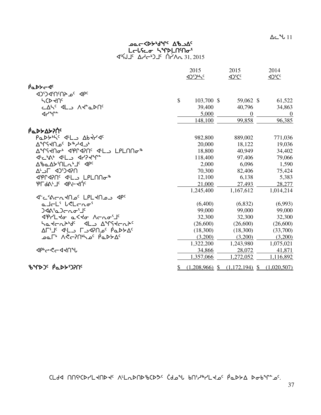$\Delta$ ے  $11$ 

# **DOCKDAPIALE** L<del>c</del>lናሬመ <mark>S</mark>ግን LAMin 31, 2015 ∆√∽4) <sup>1</sup>د ^4 ^4 31, 2015

|                                                                          | 2015                   | 2015<br><b>4D<sup>S</sup>CC</b> | 2014<br>4 <sup>2</sup> CC |
|--------------------------------------------------------------------------|------------------------|---------------------------------|---------------------------|
| $\beta$ a $D$ $\gamma$ $\alpha$ <sup>c</sup>                             |                        |                                 |                           |
| JPC 20 2010                                                              |                        |                                 |                           |
| <b>SCDKUC</b>                                                            | \$<br>103,700 \$       | 59,062 \$                       | 61,522                    |
| CASC ALD AR" aDNG                                                        | 39,400                 | 40,796                          | 34,863                    |
| ⊲∩⊶∪ <del>⊶</del>                                                        | 5,000                  | $\theta$                        | $\overline{0}$            |
|                                                                          | 148,100                | 99,858                          | 96,385                    |
| ιΑΔΡΑΣΑΣ                                                                 |                        |                                 |                           |
| PaDYN'S JL Abtr JS                                                       | 982,800                | 889,002                         | 771,036                   |
| ∿°∿°∀ <sup>ع</sup> م∩≻؟^°∆                                               | 20,000                 | 18,122                          | 19,036                    |
| <u>ለግናፈበው ፈልሁፈልሁ ፈተር ከቤተሠግሚ</u>                                          | 18,800                 | 40,949                          | 34,402                    |
| JULIAN JLL JAPYY                                                         | 118,400                | 97,406                          | 79,066                    |
| ∆%a∆≻'∩Ln'J' <p'< td=""><td>2,000</td><td>6,096</td><td>1,590</td></p'<> | 2,000                  | 6,096                           | 1,590                     |
| ח?4כיֿכ4 ח∈י∆                                                            | 70,300                 | 82,406                          | 75,424                    |
|                                                                          | 12,100                 | 6,138                           | 5,383                     |
| PL9V <sub>L</sub> Ic dbe-4Uc                                             | 21,000                 | 27,493                          | 28,277                    |
|                                                                          | 1,245,400              | 1,167,612                       | 1,014,214                 |
| JE COLTUS LPLIN                                                          |                        |                                 |                           |
| altL' leLtno'                                                            | (6,400)                | (6,832)                         | (6,993)                   |
| <b>JAA'aJcho'J'</b>                                                      | 99,000                 | 99,000                          | 99,000                    |
|                                                                          | 32,300                 | 32,300                          | 32,300                    |
| hadrahda dLa Amsdraha                                                    | (26,600)               | (26,600)                        | (26,600)                  |
| ΔΓ'لا د اله اسم ۵۲۴ کو ۵۲                                                | (18,300)               | (18,300)                        | (33,700)                  |
| ᠊ᢩᠣᡅ <sup>ᠾ</sup> ᠂᠕ᡭ <i>ᠸ</i> ᠊᠌᠒ᡰᡃᡪᠴ <sup>ᡕ᠂</sup> ᠙ᢆᡅᢂᢣ᠘ <sup>ᡕ</sup> | (3,200)                | (3,200)                         | (3,200)                   |
|                                                                          | 1,322,200              | 1,243,980                       | 1,075,021                 |
| <b>⊲</b> ₧←ぐ←◁ <b>⊰∩</b> ℃                                               | 34,866                 | 28,072                          | 41,871                    |
|                                                                          | 1,357,066              | 1,272,052                       | 1,116,892                 |
|                                                                          | \$<br>$(1,208,966)$ \$ | $(1,172,194)$ \$                | (1,020,507)               |

 $\Gamma$ dd nnich-Land is Aladnd bad idal bni-la-c padda dobin-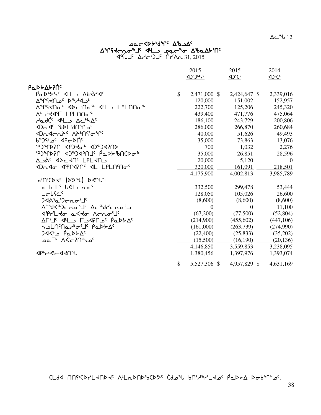$\Delta$ ے 12

# مص⊂≺4ح<sup>4</sup>0⊀محر ש∱∂4∆ ש∿− ב⊾4 ל4∟ בייס ∆&∆4\ 31, 2015 ∆√∽4) <sup>1</sup>د ^4 ^4 31, 2015

|                                                   |              | 2015         | 2015            | 2014              |
|---------------------------------------------------|--------------|--------------|-----------------|-------------------|
|                                                   |              |              | $42^{\circ}$ Cc | 4 <sup>2</sup> CC |
| <b>Ρα</b> ΝΑΣΑΡΙΑ                                 |              |              |                 |                   |
| PODOSK 4L DD Abrilda                              | \$           | 2,471,000 \$ | 2,424,647 \$    | 2,339,016         |
| ∿°∿°∀ <sup>ع</sup> مر ۲۹+۲۹^                      |              | 120,000      | 151,002         | 152,957           |
|                                                   |              | 222,700      | 125,206         | 245,320           |
| ∆└JˤIIT LPLNNo <sup>-</sup>                       |              | 439,400      | 471,776         | 475,064           |
| AadC <sup>c</sup> JL AchAc                        |              | 186,100      | 243,729         | 200,806           |
| JOG BDL'JATLO                                     |              | 286,000      | 266,870         | 260,684           |
|                                                   |              | 40,000       | 51,626          | 49,493            |
| <sup>6</sup> °⊃ <sup>0</sup> ° ⊲P⊂ÞN <sup>c</sup> |              | 35,000       | 73,863          | 13,076            |
| <b>PJ*CP/CP +D&gt;CPP NSP1*CP</b>                 |              | 700          | 1,032           | 2,276             |
| ჼႲჂჼႶႼႨႷჽႨႳႻႨႷႨႷჼჼ <del></del>                    |              | 35,000       | 26,851          | 28,596            |
| Aגי PL-AU LPL-AU                                  |              | 20,000       | 5,120           | $\Omega$          |
| 12 Jan 190110 11 LPLNM                            |              | 320,000      | 161,091         | 218,501           |
|                                                   |              | 4,175,900    | 4,002,813       | 3,985,789         |
| ل <sup>04</sup> °(D*c−) b−°+1′ch−                 |              |              |                 |                   |
| alch' lelcno'                                     |              | 332,500      | 299,478         | 53,444            |
| ال <del>ر</del> اردد                              |              | 128,050      | 105,026         | 26,600            |
| <b>) ∢ላ\</b> ՙჲՙ) ← ~ ∫ ՙ                         |              | (8,600)      | (8,600)         | (8,600)           |
| ᠰ᠋᠆ᡨ᠕᠆ᠾᢀ᠆ᡆ᠉ᡫᢄ᠂᠘ᡕ᠆᠗ᡊ᠂᠘ᢞ᠂᠕                          |              | $\Omega$     | $\Omega$        | 11,100            |
|                                                   |              | (67,200)     | (77,500)        | (52, 804)         |
| ΔΓ'لا د اله اسم ۵۲۴ کو ۵۲                         |              | (214,900)    | (455,602)       | (447,106)         |
| <b>₩</b>                                          |              | (161,000)    | (263,739)       | (274,990)         |
| <sup>0</sup> ∆ל⊄ם P مف≻4                          |              | (22,400)     | (25, 833)       | (35,202)          |
| _പെ്∗ ∧<്പി <sup>പ</sup> ്                        |              | (15,500)     | (16,190)        | (20, 136)         |
|                                                   |              | 4,146,850    | 3,559,853       | 3,238,095         |
| <b>ぐんしょく</b> とし                                   |              | 1,380,456    | 1,397,976       | 1,393,074         |
|                                                   | $\mathbb{S}$ | 5,527,306 \$ | 4,957,829 \$    | 4,631,169         |

 $\Gamma$ dd nnich-Land is Aladnd bad idal bni-la-c padda dobin-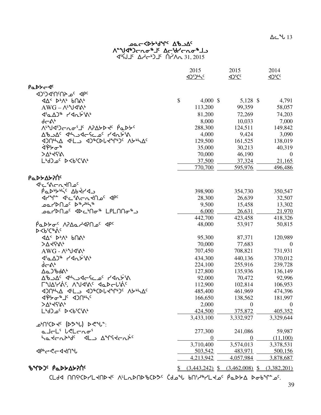CLdA NNSCDYLKNDK ALLADNDBCD3C Cdorl bNS/8/LK2C PaDSA Dobrnas.

|                                                                                             |                  | <b>D<sub>iCc</sub></b> |                                                         |
|---------------------------------------------------------------------------------------------|------------------|------------------------|---------------------------------------------------------|
| PaDY-JC                                                                                     |                  |                        |                                                         |
| <b>4PC</b> <sup>2</sup> ^ 4APC                                                              |                  |                        |                                                         |
|                                                                                             | \$<br>$4,000$ \$ | 5,128 $\frac{1}{2}$    | 4,791                                                   |
| $AWG - \Lambda^{\iota}Yd^{\iota}\Lambda^{\iota}$                                            | 113,200          | 99,359                 | 58,057                                                  |
| $\langle 16\Delta 16 \rangle$ $\sim$ $\langle 16\Delta 16 \rangle$                          | 81,200           | 72,269                 | 74,203                                                  |
| ďሞላ                                                                                         | 8,000            | 10,033                 | 7,000                                                   |
| ᠕ <sup>ᡁ</sup> ᡃᢧᠿ᠑ᡕ᠆ᡴ᠋ᠥ᠄᠋᠂᠕᠈᠘ᢣᡅᢣ᠙᠂ <i>ᡭ</i> ᡆᢧᢣ <sup>᠌</sup>                               | 288,300          | 124,511                | 149,842                                                 |
| ∆°خ∧د کامرے کا حاصد احمد کی م                                                               | 4,000            | 9,424                  | 3,090                                                   |
| <b>IDUMA ILS IDECALIANS VAMAS</b>                                                           | 129,500          | 161,525                | 138,019                                                 |
| ᢤᢠᢂ                                                                                         | 35,000           | 30,213                 | 40,319                                                  |
| >∆ <sub>°</sub> ∢ናል                                                                         | 70,000           | 46,190                 | $\theta$                                                |
| LbJ_0' D <b'c's\b< td=""><td>37,500</td><td>37,324</td><td>21,165</td></b'c's\b<>           | 37,500           | 37,324                 | 21,165                                                  |
|                                                                                             | 770,700          | 595,976                | 496,486                                                 |
| Ρα <b>ιλλ</b> ολογής                                                                        |                  |                        |                                                         |
| ᡧᡄ᠍᠍᠍᠍ᡧ᠌ᡄ᠆ᠺᡳ᠆᠘ᡴ᠑ᠻ                                                                           |                  |                        |                                                         |
| Paduric Abtra                                                                               | 398,900          | 354,730                | 350,547                                                 |
|                                                                                             | 28,300           | 26,639                 | 32,507                                                  |
| ⊕مل <sup>ام</sup> ∱ط ¢م∩D∩ےه                                                                | 9,500            | 15,458                 | 13,302                                                  |
| ഛ/>∩ച <sup>്</sup> ∢⊳∟ിിം® ∟PL∩∩ം ച                                                         | 6,000            | 26,631                 | 21,970                                                  |
|                                                                                             | 442,700          | 423,458                | 418,326                                                 |
| $\overline{P}$ ۹۵۶ - ۱۹۶۵ - ۹۵۲ $\overline{P}$ ۹۵ - ۹۵۲ $\overline{P}$ ۹۵                   | 48,000           | 53,917                 | 50,815                                                  |
| ⊳ <bˤር፨ል<sup>‹</bˤር፨ል<sup>                                                                  |                  |                        |                                                         |
|                                                                                             | 95,300           | 87,371                 | 120,989                                                 |
| >746%,                                                                                      | 70,000           | 77,683                 | $\overline{0}$                                          |
| $AWG - \Lambda^{\iota}Yd^{\iota}\Lambda^{\iota}$                                            | 707,450          | 708,821                | 731,931                                                 |
|                                                                                             | 434,300          | 440,136                | 370,012                                                 |
| $d - \Delta^b$                                                                              | 224,100          | 255,916                | 239,728                                                 |
| ᠘ᢆᢅ᠔᠖᠕                                                                                      | 127,800          | 135,936                | 136,149                                                 |
| A&JAF 20-92-46-20-46                                                                        | 92,000           | 70,472                 | 92,996                                                  |
| LUAYY'S VARYSE ALDEVYC                                                                      | 112,900          | 102,814                | 106,953                                                 |
|                                                                                             | 485,400          | 461,969                | 474,396                                                 |
| <b>⊲</b> ჼፆᡔ <i>ᢐ</i> ᠂᠆᠂᠂ᢦ᠑᠐ᡃᡰᡪ                                                            | 166,650          | 138,562                | 181,997                                                 |
| <b>&gt;∆</b> •ל?ډ^                                                                          | 2,000            | $\boldsymbol{0}$       | $\boldsymbol{0}$                                        |
| LbJ_0' D <b'c's\b< td=""><td>424,500</td><td><u>375,872</u></td><td>405,352</td></b'c's\b<> | 424,500          | <u>375,872</u>         | 405,352                                                 |
|                                                                                             | 3,433,100        | 3,332,927              | 3,329,644                                               |
| ث <sup>ہ</sup> \r^{>¢ (ا+c∀) d>^{\}^:                                                       |                  |                        |                                                         |
| alt <sup>'</sup> betras'                                                                    | 277,300          | 241,086                | 59,987                                                  |
| ᡃᡆ᠋ᡪᡄᡊᢣᡃď᠂᠂ᢦᡌᢇ᠀᠊᠊᠙ᠰ᠙ᠰᡄᠩᢣ                                                                    | $\boldsymbol{0}$ | $\boldsymbol{0}$       | (11,100)                                                |
|                                                                                             | 3,710,400        | 3,574,013              | 3,378,531                                               |
| <b>⊲</b> ₧උ<උ⊿∢∩∿                                                                           | 503,542          | 483,971                | 500,156                                                 |
|                                                                                             | 4,213,942        | 4,057,984              | 3,878,687                                               |
| <b>ზ</b> ᠰ₧₯₣₱ <del></del>                                                                  |                  |                        | $\frac{1}{2}$ (3,443,242) \; (3,462,008) \; (3,382,201) |

39

# AC SP-dre Cap-Dc Vedalgo Le Dondedigto  $\begin{array}{ccc}\n\sqrt{3} & \sqrt{3} & \sqrt{3} \\
\sqrt{3} & \sqrt{3} & \sqrt{3} \\
\sqrt{3} & \sqrt{3} & \sqrt{3} \\
\sqrt{3} & \sqrt{3} & \sqrt{3} \\
\sqrt{3} & \sqrt{3} & \sqrt{3} \\
\sqrt{3} & \sqrt{3} & \sqrt{3} \\
\sqrt{3} & \sqrt{3} & \sqrt{3} \\
\sqrt{3} & \sqrt{3} & \sqrt{3} \\
\sqrt{3} & \sqrt{3} & \sqrt{3} \\
\sqrt{3} & \sqrt{3} & \sqrt{3} \\
\sqrt{3} & \sqrt{3} & \sqrt{3} \\
\sqrt{3} & \sqrt{3} & \sqrt$

2015 2015 2014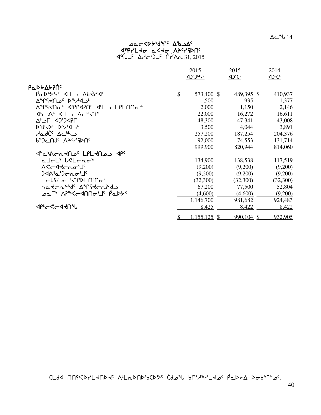$\Delta$ ⊂  $^{\circ}$ ሁ 14

# مص⊂≺4ح<sup>4</sup>0⊀محر **ፈ**የየረገረት ወረረት የታራሊያው 31, 2015 ∆√∽4) <sup>1</sup>د ^4 ^4 31, 2015

|                                                   | 2015 |                | 2015            | 2014            |
|---------------------------------------------------|------|----------------|-----------------|-----------------|
|                                                   |      | <b>AJDING</b>  | <u><br/>105</u> | <u><br/>105</u> |
| Ρα <b>ιλλ</b> ολος                                |      |                |                 |                 |
| Padyrys dil badyds                                | \$   | 573,400 \$     | 489,395 \$      | 410,937         |
| ∿°د4∜∿ که ∩≻۲۹∱                                   |      | 1,500          | 935             | 1,377           |
|                                                   |      | 2,000          | 1,150           | 2,146           |
| JULIA JL ALLYM                                    |      | 22,000         | 16,272          | 16,611          |
| ח?4כיֿכ4 ⊐כ <sup>י</sup> ∆                        |      | 48,300         | 47,341          | 43,008          |
| AAPC DiyaJP                                       |      | 3,500          | 4,044           | 3,891           |
| حامرڈ <sup>د</sup> ∆د <sup>4</sup> ک              |      | 257,200        | 187,254         | 204,376         |
| ₽₽ጋ⊂Uገ <sub>፡</sub> V <del>&gt;</del> ‹ኣይሀ‹       |      | 92,000         | 74,553          | 131,714         |
|                                                   |      | 999,900        | 820,944         | 814,060         |
|                                                   |      |                |                 |                 |
| a JoL' LeLong*                                    |      | 134,900        | 138,538         | 117,519         |
| ASCATCLO'J'                                       |      | (9,200)        | (9,200)         | (9,200)         |
|                                                   |      | (9,200)        | (9,200)         | (9,200)         |
| LELSCO SIPPLNMOS                                  |      | (32,300)       | (32,300)        | (32,300)        |
| ᡃᢁ᠊᠍᠍ᡪᡄ᠍᠍᠍ᢈᡃᠲ᠙᠂᠊᠊᠊᠊᠙ᡒᡁ᠙ᢋᡄ᠊᠍ᢈᢑ᠍ᠲ᠑                  |      | 67,200         | 77,500          | 52,804          |
| ᠊ᢩᠣᡅ <sup>ᠾ</sup> ᠂᠕᠈ᡃ᠍ᡃᢦ<ᡄᢦ᠓᠒ᠣ᠋ᡃ᠋᠂ <i>ᢆ</i> ᠙ᡅᢂᢣ |      | (4,600)        | (4,600)         | (9,200)         |
|                                                   |      | 1,146,700      | 981,682         | 924,483         |
| <b>ぐんしんしょうしゃ</b>                                  |      | 8,425          | 8,422           | 8,422           |
|                                                   | \$   | $1,155,125$ \$ | $990,104$ \$    | 932,905         |

bmfx ttC4bsymJtsJ5 W7mEstscbsK5 `bfkz vt3h6ymJk5 `rNs/w sivq8k5.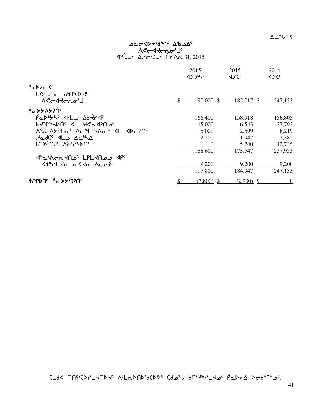# مص⊂≺4ح<sup>4</sup>0⊀محر Aלרקלרטפ<sub>י</sub> 31, 2015 ∆√∽4) <sup>1</sup>د ^4 ^4 31, 2015

|                                                      | 2015             | 2015<br><b>4D<sup>S</sup>CC</b> | 2014<br>4 <sup>2</sup> CC |
|------------------------------------------------------|------------------|---------------------------------|---------------------------|
| PaDY-4c<br><b>L</b> <ld<del>c price</ld<del>         |                  |                                 |                           |
| $A^e \sim A^e \sim \sigma^e$                         | \$<br>190,000 \$ | 182,017 \$                      | 247,133                   |
| ιΑΔΡΑΣΑΣ                                             |                  |                                 |                           |
|                                                      | 166,400          | 158,918                         | 156,805                   |
| philippy of ACU35U                                   | 15,000           | 6.543                           | 27,792                    |
| ᠘ᡃᡃᠣᡆ᠘ᡃᡔᡃᡃ᠒᠋ᠤᡃ᠂᠕ᡕ᠆᠂᠋ᡶ᠍᠍ᡃᢣ᠋᠘ᡒ᠂᠂ᡏᡅ᠂᠂ᢦᡅ᠘᠈᠒ <sup>ᡕ</sup> | 5,000            | 2,599                           | 8,219                     |
| AadC <sup>c</sup> IL Ac <sup>6</sup> A               | 2,200            | 1,947                           | 2,382                     |
| P-JGUL VYCAUC                                        | $\theta$         | 5,740                           | 42,735                    |
|                                                      | 188,600          | 175,747                         | 237,933                   |
| ית ל־כימרת לחבי נפונות לר                            |                  |                                 |                           |
| SPLL to a Sto Arasi                                  | 9,200            | 9,200                           | 9,200                     |
|                                                      | 197,800          | 184,947                         | 247,133                   |
| <b>ზ</b> ᠰᡗᢂᡗ᠂ <i>ᡭ</i> ᡆᢂᢣ᠑ᡝ                        | $(7,800)$ \$     | $(2,930)$ \$                    | $\overline{0}$            |

 $\Gamma$ dd nnich-Land is Aladnd bad idal bni-la-c padda dobin-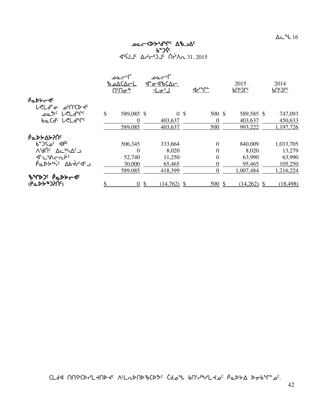# $456J1c \Delta A - 5J1c \Delta A - 31,2015$

|                                                                                                                   | _ا∽ےم            |        | ⊃'~∟ە             |               |                       |               |               |
|-------------------------------------------------------------------------------------------------------------------|------------------|--------|-------------------|---------------|-----------------------|---------------|---------------|
|                                                                                                                   | ـا⊃∆)∆مـط        |        | <u>J-01600-01</u> |               |                       | 2015          | 2014          |
|                                                                                                                   | ՈՙՈσ՞            |        | $-L\sigma^{s}$    |               | $4r^{\circ}r^{\circ}$ | ᠾ᠃᠐ᡁ          | <u>ႦႶჼჂႶჼ</u> |
| $\beta$ <sub>Q</sub> D $\beta$ <sub>C</sub> $\beta$ <sup>c</sup>                                                  |                  |        |                   |               |                       |               |               |
| <b>L</b> <ld<del>c pricp+</ld<del>                                                                                |                  |        |                   |               |                       |               |               |
| oمګ <sup>و</sup> لرول <i>۱۹</i> ۳۹ وه                                                                             | \$<br>589,085 \$ |        | $\overline{0}$    | $\mathcal{S}$ | 500 \$                | 589,585 \$    | 747,093       |
| baCdc LeLderc                                                                                                     | $\Omega$         |        | 403,637           |               | $\Omega$              | 403,637       | 450,633       |
|                                                                                                                   | 589,085          |        | 403,637           |               | 500                   | 993,222       | 1,197,726     |
| ιΑΔΣΥΔΣΑΙ                                                                                                         |                  |        |                   |               |                       |               |               |
| $b^2$ $c^4$                                                                                                       | 506,345          |        | 333,664           |               | $\theta$              | 840,009       | 1,033,705     |
| ASANC ACHAC                                                                                                       | $\theta$         |        | 8,020             |               | $\theta$              | 8,020         | 13,279        |
| J-CAC-LAC                                                                                                         | 52,740           |        | 11,250            |               | $\overline{0}$        | 63,990        | 63,990        |
| $\overline{\rho}a$ $\overline{\rho}b$ $\overline{\rho}c$ $\overline{\rho}b$ $\overline{\rho}c$ $\overline{\rho}d$ | 30,000           |        | 65,465            |               | 0                     | 95,465        | 105,250       |
|                                                                                                                   | 589,085          |        | 418,399           |               | $\Omega$              | 1,007,484     | 1,216,224     |
| BYDJ' PaDYCJ'                                                                                                     |                  |        |                   |               |                       |               |               |
| $(PQP+P)$                                                                                                         |                  | $0$ \$ | $(14,762)$ \$     |               | 500S                  | $(14,262)$ \$ | (18, 498)     |

CLdd NNGCDYLKNDK NLLDNDGCD3C Cdol bNillthCLK0C PaDSA Dobln=0C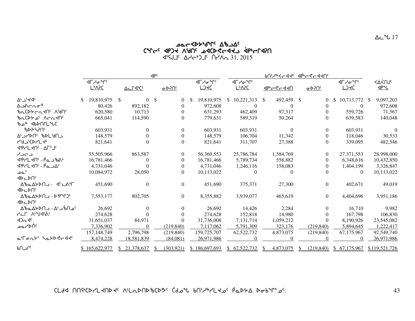# kNoXs/4fq5 wclw5 bqo5 xrgJ Wdt5 kxbs?oxJl `xr4OQxDt $\Delta$ 31, 2015  $\Delta$ ליאב $\Delta$ לי $\Delta$ בי חברי 31, 2015

|                                             | $\mathsf{d} \mathsf{b}^{\mathsf{c}}$                    |               |                      |               |                |                                                  | <b>PULLARSCASE AbraSCASUS</b> |                                                         |      |                                     |              |                |    |                                                 |     |                      |
|---------------------------------------------|---------------------------------------------------------|---------------|----------------------|---------------|----------------|--------------------------------------------------|-------------------------------|---------------------------------------------------------|------|-------------------------------------|--------------|----------------|----|-------------------------------------------------|-----|----------------------|
|                                             | <b>⊲</b> Гᢣᠥ <sup>ᡈ</sup> ᡗ<br><b>L</b> <sup></sup> APC |               | Δc Γ4 <sup>6</sup> C |               | <u>o D?N°</u>  | ⊲୮ᢣᠦ <sup>ᡈ</sup> ᡗ <sup>ᡕ</sup><br><u>L) kĊ</u> |                               | ⊲୮ᢣ <b>ᡒ</b> ᡃᡗ <sup>ᡕ</sup><br><u>L<sub>b</sub>V5C</u> |      | <u>&lt;&lt;&lt;&lt;&lt;&lt;&lt;</u> |              | <u>لJJAP o</u> |    | ⊲୮ᢣᠥ <sup>ᡈ</sup> ᡗ <sup>ᡕ</sup><br><u>LIKĆ</u> |     | <⊻<∪⊱<br><u>JP2L</u> |
| Δ <sup>ι</sup> - 14 <sup>c</sup>            | 19,810,975                                              | $\mathcal{S}$ | $\Omega$             | \$            | $\Omega$       | 19,810,975                                       | <sup>\$</sup>                 | 10,221,313                                              | - \$ | 492,459 \$                          |              | $\Omega$       | -S | 10,713,772                                      | -SS | 9,097,203            |
| ∆౨∆⊂൨൳ <sup>ቈ</sup>                         | 80,426                                                  |               | 892,182              |               | 0              | 972,608                                          |                               | $\Omega$                                                |      | $\Omega$                            |              | $\Omega$       |    | $\Omega$                                        |     | 972,608              |
| PURY - VAUC                                 | 620,580                                                 |               | 10,713               |               | 0              | 631,293                                          |                               | 462,409                                                 |      | 97,317                              |              | $\Omega$       |    | 559,726                                         |     | 71,567               |
| <u>brCDS of</u> Acry<br>ზഛ ∢ს⊅∩ՐL°სC        | 665,041                                                 |               | 114,590              |               | 0              | 779,631                                          |                               | 589,319                                                 |      | 50,264                              |              |                |    | 639,583                                         |     | 140,048              |
| ჼႦჁჁჄႶჼ                                     | 603,931                                                 |               | $\Omega$             |               | $\theta$       | 603,931                                          |                               | 603,931                                                 |      | $\Omega$                            |              | $\Omega$       |    | 603,931                                         |     | $\Omega$             |
| ר∪ף,Aף א∪קגרי                               | 148,579                                                 |               | 0                    |               | 0              | 148,579                                          |                               | 106,704                                                 |      | 11,342                              |              | $\Omega$       |    | 118,046                                         |     | 30,533               |
| <b>457CDrL+c</b><br><b>JPYLING - ALITIC</b> | 821,641                                                 |               |                      |               | $\Omega$       | 821,641                                          |                               | 311,707                                                 |      | 27,388                              |              |                |    | 339,095                                         |     | 482,546              |
| دےداے                                       | 55,505,966                                              |               | 863,587              |               | $\theta$       | 56,369,553                                       |                               | 25,786,784                                              |      | 1,584,769                           |              | $\Omega$       |    | 27,371,553                                      |     | 28,998,000           |
| <b>JPYL 40' - PanbA'</b>                    | 16,781,466                                              |               | $\Omega$             |               | 0              | 16,781,466                                       |                               | 5,789,734                                               |      | 558,882                             |              | 0              |    | 6,348,616                                       |     | 10,432,850           |
| <u> 1975 - 6757 - 4</u>                     | 4,731,046                                               |               |                      |               |                | 4,731,046                                        |                               | 1,246,116                                               |      | 158,083                             |              |                |    | 1,404,199                                       |     | 3,326,847            |
| ے م<br><b>∢⊳⊂⊳∪</b>                         | 10,084,972                                              |               | 28,050               |               | $\Omega$       | 10,113,022                                       |                               |                                                         |      |                                     |              |                |    | $\theta$                                        |     | 10,113,022           |
| ∆%⊾∆≻⊳∩ك - ≺∸د∧∿Г<br><b>IDCDU</b>           | 451,690                                                 |               | $\Omega$             |               | $\theta$       | 451,690                                          |                               | 375,371                                                 |      | 27,300                              |              | $\Omega$       |    | 402,671                                         |     | 49,019               |
| ΔზαΔ⊁ϷΠ౨ - ϷͲϞՐϽϤ<br><b>IDCDU</b>           | 7,553,177                                               |               | 802,705              |               | $\overline{0}$ | 8,355,882                                        |                               | 3,939,077                                               |      | 465,619                             |              | $\overline{0}$ |    | 4,404,696                                       |     | 3,951,186            |
| ∆ზჲ∆≻⊳∩౨ - ∆ <sup>ړ∙</sup> ن^               | 26,692                                                  |               | $\Omega$             |               | $\Omega$       | 26,692                                           |                               | 14,426                                                  |      | 2,284                               |              | $\theta$       |    | 16,710                                          |     | 9.982                |
| <b>PLF ALUARIC</b>                          | 274,628                                                 |               |                      |               | 0              | 274,628                                          |                               | 152,818                                                 |      | 14,980                              |              | $\Omega$       |    | 167,798                                         |     | 106,830              |
| 42n4c                                       | 31,651,037                                              |               | 84,971               |               | 0              | 31,736,008                                       |                               | 7,131,714                                               |      | 1,059,212                           |              |                |    | 8,190,926                                       |     | 23,545,082           |
| _ംപ∕⊳∩്                                     | 7,336,902                                               |               | $\Omega$             |               | (219, 840)     | 7,117,062                                        |                               | 5,791,309                                               |      | 323,176                             |              | (219, 840)     |    | 5,894,645                                       |     | 1,222,417            |
|                                             | 157,148,749                                             |               | 2,796,798            |               | (219, 840)     | 159,725,707                                      |                               | 62,522,732                                              |      | 4,873,075                           |              | (219, 840)     |    | 67,175,967                                      |     | 92,549,740           |
| a'ronts hattedd                             | 8,474,228                                               |               | 18,581,839           |               | (84,081)       | 26,971,986                                       |                               |                                                         |      |                                     |              |                |    |                                                 |     | 26,971,986           |
| ∿د∩ه                                        | \$165,622,977                                           | S.            | 21,378,637           | <sup>\$</sup> | (303, 921)     | \$186,697,693                                    |                               | \$62,522,732                                            |      | 4,873,075                           | <sup>S</sup> | (219, 840)     |    | \$67,175,967                                    |     | \$119,521,726        |

<u>CLdA በበናትርኮረLፈሀኮፈና VrLՄԽJP የ</u>CAS CAPA የሀገሪቱ የተገለጸ የሚገኙ የሚገኙ የሚገኙ የሚገኙ የሚገኙ የተገለጸ የተገ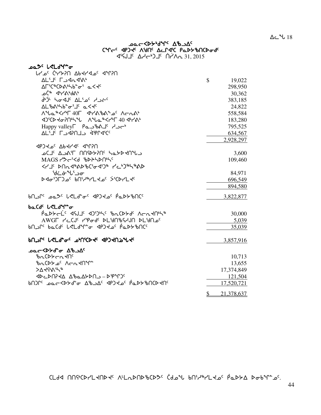# פבר≺45'יטיי<sup>ג ק</sup>0" CALCO 46JEC VAUC DELATIONS

| <u>በናምን <sup>ጋ</sup>ፋ የተንያበ ለ</u> የትላም የሌላ                                                         |               |            |
|----------------------------------------------------------------------------------------------------|---------------|------------|
| AL'I' LAGA'A'                                                                                      | $\mathbb{S}$  | 19,022     |
| <b>AF</b> 5CBCDA65b205 a< <c< td=""><td></td><td>298,950</td></c<>                                 |               | 298,950    |
| ᠊᠘᠖ᢠ᠂ᢦᡃᢇ᠘ᢣ᠈᠕ᢣ                                                                                      |               | 30,362     |
| 6' اخدام کمیا کا 45 میں ان                                                                         |               | 383,185    |
| <b>AL</b> <i>b</i> Abb+ofJc a< <c< td=""><td></td><td>24,822</td></c<>                             |               | 24,822     |
| ለ <sup>Վ</sup> ሌ <sup>&amp;</sup> <r 40f="" 465="" <="" td="" ለ<<=""><td></td><td>558,584</td></r> |               | 558,584    |
|                                                                                                    |               | 183,280    |
| Happy valley Pa - ball <                                                                           |               | 795,525    |
| AL'I' LAPOLL ÀPPAIC                                                                                |               | 634,567    |
|                                                                                                    |               | 2,928,297  |
| JPJ JP AP AP JPT/9                                                                                 |               |            |
| ב ש <sup>י</sup> ח4לא יחזלאחר חואבב יב                                                             |               | 3,600      |
| MAGS PSCSS & BDPSDNSS                                                                              |               | 109,460    |
| ←←↓← ←↑↑↑↑↑↑↑↑↑↑↑↑↑↑↑↑↑                                                                            |               |            |
| ᡃᢦᡃᡄᡠ᠊᠋ᡃᡃᡃᠴᠥ                                                                                       |               | 84,971     |
| ᢂᡆ᠑ᡄ᠑᠊ᢆ᠖᠂᠖ᡃ᠕᠈ᠳᢂ᠂᠖ᢉᢃᢗᢂ᠂᠑᠖ᢉ                                                                          |               | 696,549    |
|                                                                                                    |               | 894,580    |
| <b>bNJCC DQSC LRLd-0CC APJRJCC PQDYBNCC</b>                                                        |               | 3,822,877  |
| baCdc LeLdMa                                                                                       |               |            |
| Paddel' << ASI << ADSON' BaCDde Acadon's                                                           |               | 30,000     |
| AWGF YECJS YPOdS DL&NBSYJN DL&NQS                                                                  |               | 5,039      |
| bNJLC paCdc L <ldmad dpjdjc="" padybucc<="" td=""><td></td><td>35,039</td></ldmad>                 |               | 35,039     |
| <b>PUPLC LSLAL<sup>a</sup>C PPUCDAC AbJAUPATA</b>                                                  |               | 3,857,916  |
|                                                                                                    |               |            |
| <u>⊅م</u> دح∨45 <del>ه</del> *لح                                                                   |               |            |
| <b>PACDYCATO</b>                                                                                   |               | 10,713     |
| <b><i>bnCDY of Acndnight</i></b>                                                                   |               | 13,655     |
| >∆לና•ያሪ ምራ                                                                                         |               | 17,374,849 |
| JDCDN7JA AbaADDAJ-DPPTO                                                                            |               | 121,504    |
|                                                                                                    |               | 17,520,721 |
|                                                                                                    | $\mathcal{P}$ | 21,378,637 |

CLdd NNGCDYLKNDK NLLDNDGCD3C Cdol bNilltoC PaDSA DoblLaC.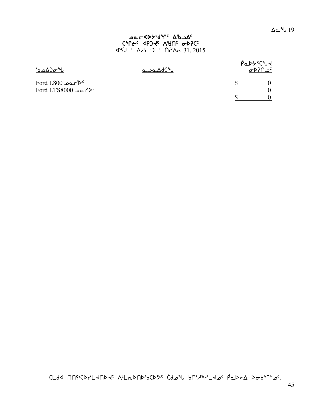# **ے <del>مرد (</del>der** de al SALE AND AND ANCE

| ზഛ∆თ*ს                                                                          | م∟ہ⊿∆ہ⊂∿ | PaDYCUY<br>$\sigma$ مـــ ۱۲۹۸م |  |  |  |  |
|---------------------------------------------------------------------------------|----------|--------------------------------|--|--|--|--|
| $\text{Ford } L800$ $\text{a}$<br>$\text{Ford LTS8000}$ - $\text{C}^{\text{c}}$ |          |                                |  |  |  |  |

CLdd nnstcdr'L thdte ALL DND bCD3c Cdotl bnid PL toc PaDSA Dobin 26.